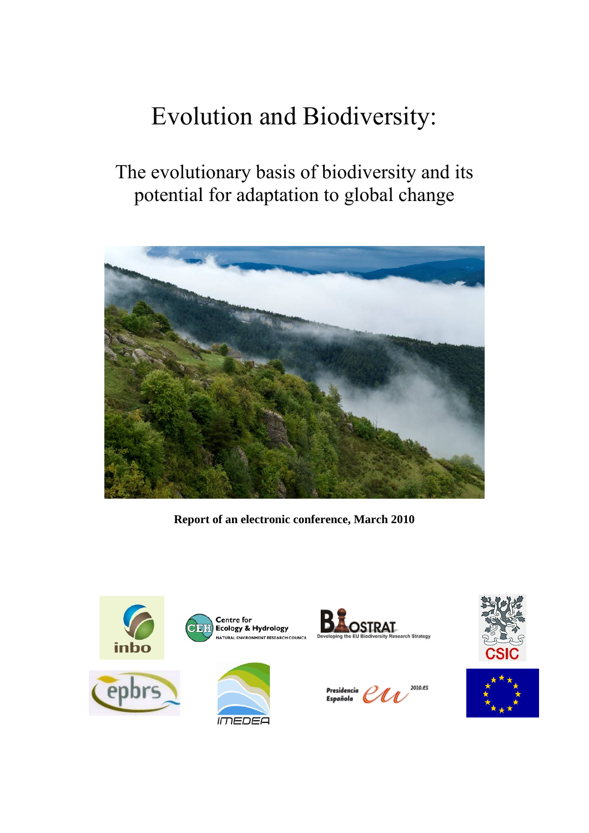# Evolution and Biodiversity:

# The evolutionary basis of biodiversity and its potential for adaptation to global change



**Report of an electronic conference, March 2010** 

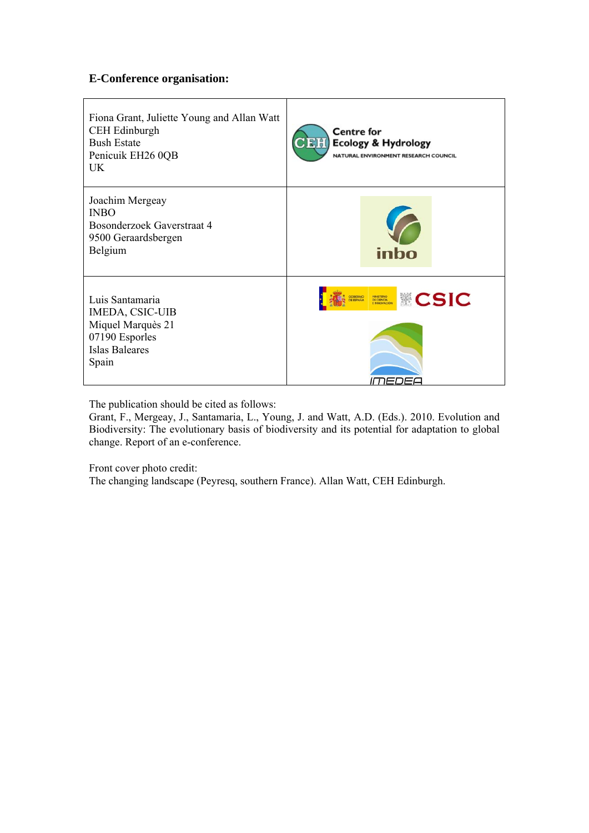# **E-Conference organisation:**

| Fiona Grant, Juliette Young and Allan Watt<br><b>CEH Edinburgh</b><br><b>Bush Estate</b><br>Penicuik EH26 0QB<br>UK. | <b>Centre for</b><br><b>CEH</b><br><b>Ecology &amp; Hydrology</b><br>NATURAL ENVIRONMENT RESEARCH COUNCIL |
|----------------------------------------------------------------------------------------------------------------------|-----------------------------------------------------------------------------------------------------------|
| Joachim Mergeay<br><b>INBO</b><br>Bosonderzoek Gaverstraat 4<br>9500 Geraardsbergen<br>Belgium                       | inbo                                                                                                      |
| Luis Santamaria<br>IMEDA, CSIC-UIB<br>Miquel Marquès 21<br>07190 Esporles<br><b>Islas Baleares</b><br>Spain          | <b>CSIC</b><br><b>GOBIERNO</b><br>DE ESPAÑA<br>MINISTERIO<br>DE CIENCIA                                   |

The publication should be cited as follows:

Grant, F., Mergeay, J., Santamaria, L., Young, J. and Watt, A.D. (Eds.). 2010. Evolution and Biodiversity: The evolutionary basis of biodiversity and its potential for adaptation to global change. Report of an e-conference.

Front cover photo credit:

The changing landscape (Peyresq, southern France). Allan Watt, CEH Edinburgh.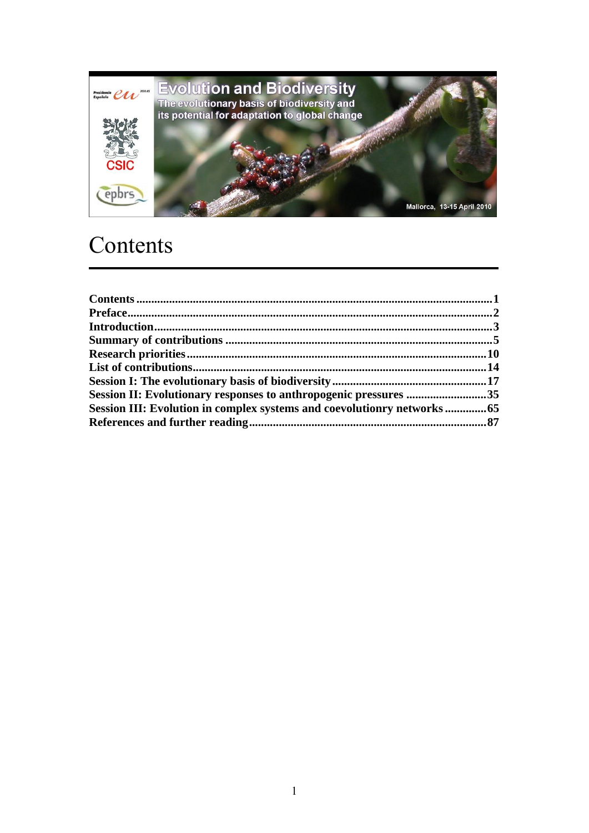

# Contents

| Session II: Evolutionary responses to anthropogenic pressures 35       |  |
|------------------------------------------------------------------------|--|
| Session III: Evolution in complex systems and coevolutionry networks65 |  |
|                                                                        |  |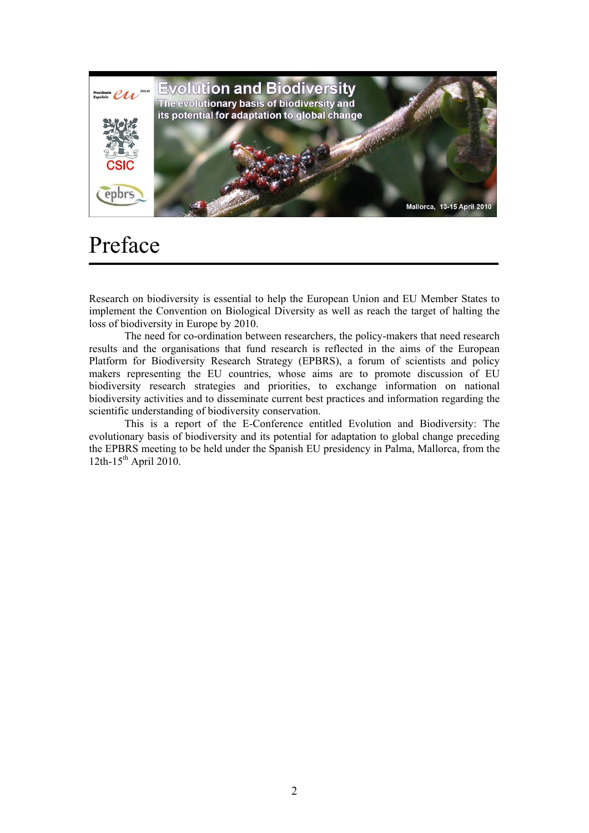

# Preface

Research on biodiversity is essential to help the European Union and EU Member States to implement the Convention on Biological Diversity as well as reach the target of halting the loss of biodiversity in Europe by 2010.

The need for co-ordination between researchers, the policy-makers that need research results and the organisations that fund research is reflected in the aims of the European Platform for Biodiversity Research Strategy (EPBRS), a forum of scientists and policy makers representing the EU countries, whose aims are to promote discussion of EU biodiversity research strategies and priorities, to exchange information on national biodiversity activities and to disseminate current best practices and information regarding the scientific understanding of biodiversity conservation.

This is a report of the E-Conference entitled Evolution and Biodiversity: The evolutionary basis of biodiversity and its potential for adaptation to global change preceding the EPBRS meeting to be held under the Spanish EU presidency in Palma, Mallorca, from the 12th-15<sup>th</sup> April 2010.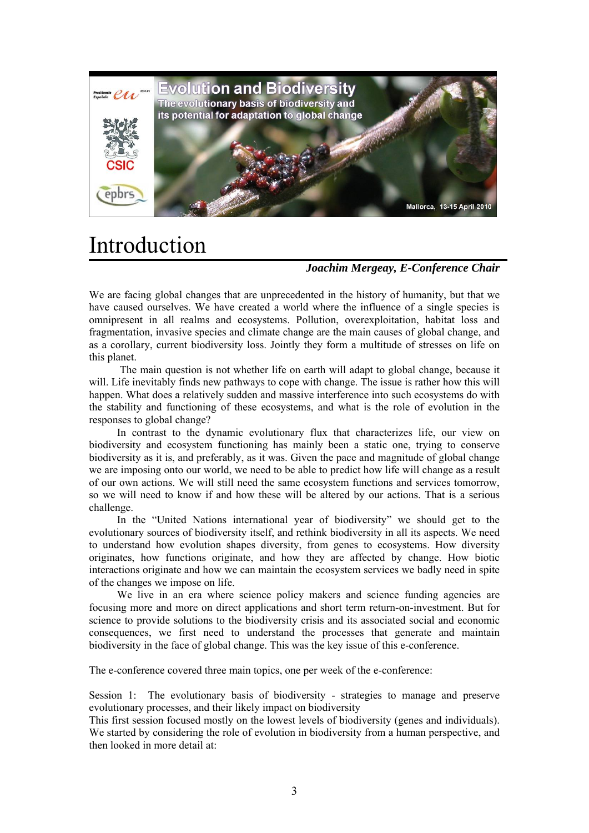

# Introduction

# *Joachim Mergeay, E-Conference Chair*

We are facing global changes that are unprecedented in the history of humanity, but that we have caused ourselves. We have created a world where the influence of a single species is omnipresent in all realms and ecosystems. Pollution, overexploitation, habitat loss and fragmentation, invasive species and climate change are the main causes of global change, and as a corollary, current biodiversity loss. Jointly they form a multitude of stresses on life on this planet.

 The main question is not whether life on earth will adapt to global change, because it will. Life inevitably finds new pathways to cope with change. The issue is rather how this will happen. What does a relatively sudden and massive interference into such ecosystems do with the stability and functioning of these ecosystems, and what is the role of evolution in the responses to global change?

In contrast to the dynamic evolutionary flux that characterizes life, our view on biodiversity and ecosystem functioning has mainly been a static one, trying to conserve biodiversity as it is, and preferably, as it was. Given the pace and magnitude of global change we are imposing onto our world, we need to be able to predict how life will change as a result of our own actions. We will still need the same ecosystem functions and services tomorrow, so we will need to know if and how these will be altered by our actions. That is a serious challenge.

In the "United Nations international year of biodiversity" we should get to the evolutionary sources of biodiversity itself, and rethink biodiversity in all its aspects. We need to understand how evolution shapes diversity, from genes to ecosystems. How diversity originates, how functions originate, and how they are affected by change. How biotic interactions originate and how we can maintain the ecosystem services we badly need in spite of the changes we impose on life.

We live in an era where science policy makers and science funding agencies are focusing more and more on direct applications and short term return-on-investment. But for science to provide solutions to the biodiversity crisis and its associated social and economic consequences, we first need to understand the processes that generate and maintain biodiversity in the face of global change. This was the key issue of this e-conference.

The e-conference covered three main topics, one per week of the e-conference:

Session 1: The evolutionary basis of biodiversity - strategies to manage and preserve evolutionary processes, and their likely impact on biodiversity

This first session focused mostly on the lowest levels of biodiversity (genes and individuals). We started by considering the role of evolution in biodiversity from a human perspective, and then looked in more detail at: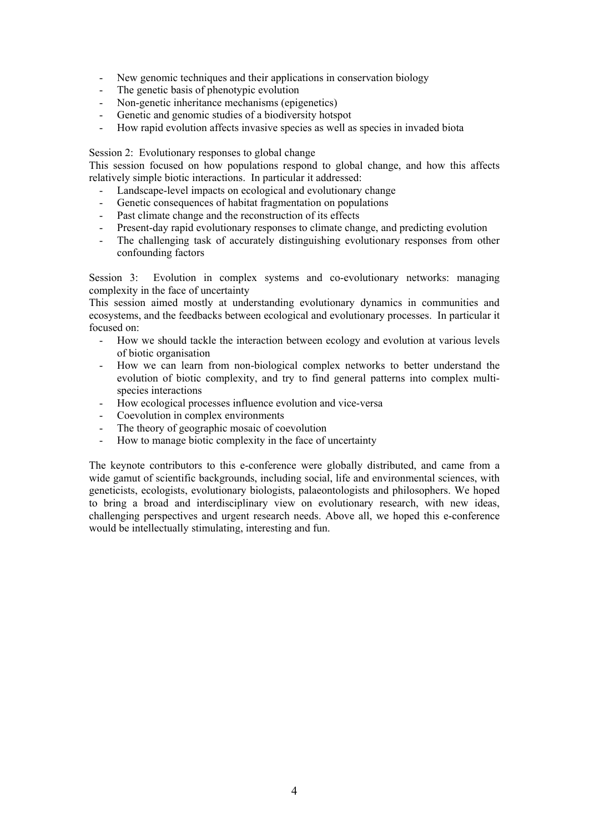- New genomic techniques and their applications in conservation biology
- The genetic basis of phenotypic evolution
- Non-genetic inheritance mechanisms (epigenetics)
- Genetic and genomic studies of a biodiversity hotspot
- How rapid evolution affects invasive species as well as species in invaded biota

Session 2: Evolutionary responses to global change

This session focused on how populations respond to global change, and how this affects relatively simple biotic interactions. In particular it addressed:

- Landscape-level impacts on ecological and evolutionary change
- Genetic consequences of habitat fragmentation on populations
- Past climate change and the reconstruction of its effects
- Present-day rapid evolutionary responses to climate change, and predicting evolution
- The challenging task of accurately distinguishing evolutionary responses from other confounding factors

Session 3: Evolution in complex systems and co-evolutionary networks: managing complexity in the face of uncertainty

This session aimed mostly at understanding evolutionary dynamics in communities and ecosystems, and the feedbacks between ecological and evolutionary processes. In particular it focused on:

- How we should tackle the interaction between ecology and evolution at various levels of biotic organisation
- How we can learn from non-biological complex networks to better understand the evolution of biotic complexity, and try to find general patterns into complex multispecies interactions
- How ecological processes influence evolution and vice-versa
- Coevolution in complex environments
- The theory of geographic mosaic of coevolution
- How to manage biotic complexity in the face of uncertainty

The keynote contributors to this e-conference were globally distributed, and came from a wide gamut of scientific backgrounds, including social, life and environmental sciences, with geneticists, ecologists, evolutionary biologists, palaeontologists and philosophers. We hoped to bring a broad and interdisciplinary view on evolutionary research, with new ideas, challenging perspectives and urgent research needs. Above all, we hoped this e-conference would be intellectually stimulating, interesting and fun.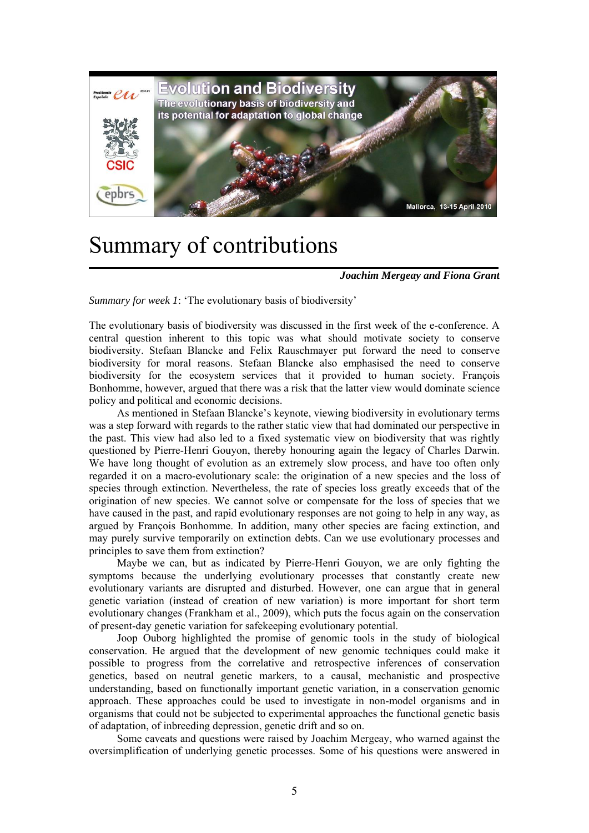

# Summary of contributions

*Joachim Mergeay and Fiona Grant* 

*Summary for week 1*: 'The evolutionary basis of biodiversity'

The evolutionary basis of biodiversity was discussed in the first week of the e-conference. A central question inherent to this topic was what should motivate society to conserve biodiversity. Stefaan Blancke and Felix Rauschmayer put forward the need to conserve biodiversity for moral reasons. Stefaan Blancke also emphasised the need to conserve biodiversity for the ecosystem services that it provided to human society. François Bonhomme, however, argued that there was a risk that the latter view would dominate science policy and political and economic decisions.

As mentioned in Stefaan Blancke's keynote, viewing biodiversity in evolutionary terms was a step forward with regards to the rather static view that had dominated our perspective in the past. This view had also led to a fixed systematic view on biodiversity that was rightly questioned by Pierre-Henri Gouyon, thereby honouring again the legacy of Charles Darwin. We have long thought of evolution as an extremely slow process, and have too often only regarded it on a macro-evolutionary scale: the origination of a new species and the loss of species through extinction. Nevertheless, the rate of species loss greatly exceeds that of the origination of new species. We cannot solve or compensate for the loss of species that we have caused in the past, and rapid evolutionary responses are not going to help in any way, as argued by François Bonhomme. In addition, many other species are facing extinction, and may purely survive temporarily on extinction debts. Can we use evolutionary processes and principles to save them from extinction?

Maybe we can, but as indicated by Pierre-Henri Gouyon, we are only fighting the symptoms because the underlying evolutionary processes that constantly create new evolutionary variants are disrupted and disturbed. However, one can argue that in general genetic variation (instead of creation of new variation) is more important for short term evolutionary changes (Frankham et al., 2009), which puts the focus again on the conservation of present-day genetic variation for safekeeping evolutionary potential.

Joop Ouborg highlighted the promise of genomic tools in the study of biological conservation. He argued that the development of new genomic techniques could make it possible to progress from the correlative and retrospective inferences of conservation genetics, based on neutral genetic markers, to a causal, mechanistic and prospective understanding, based on functionally important genetic variation, in a conservation genomic approach. These approaches could be used to investigate in non-model organisms and in organisms that could not be subjected to experimental approaches the functional genetic basis of adaptation, of inbreeding depression, genetic drift and so on.

Some caveats and questions were raised by Joachim Mergeay, who warned against the oversimplification of underlying genetic processes. Some of his questions were answered in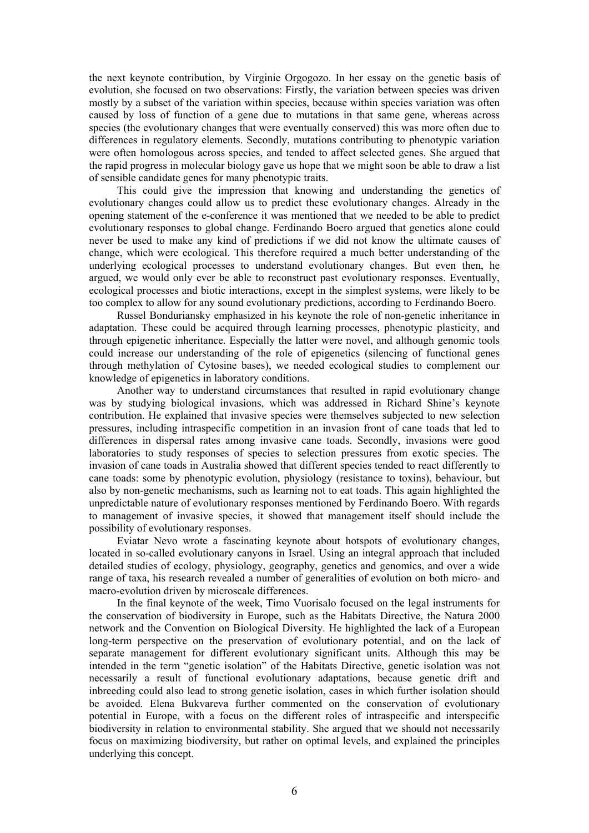the next keynote contribution, by Virginie Orgogozo. In her essay on the genetic basis of evolution, she focused on two observations: Firstly, the variation between species was driven mostly by a subset of the variation within species, because within species variation was often caused by loss of function of a gene due to mutations in that same gene, whereas across species (the evolutionary changes that were eventually conserved) this was more often due to differences in regulatory elements. Secondly, mutations contributing to phenotypic variation were often homologous across species, and tended to affect selected genes. She argued that the rapid progress in molecular biology gave us hope that we might soon be able to draw a list of sensible candidate genes for many phenotypic traits.

This could give the impression that knowing and understanding the genetics of evolutionary changes could allow us to predict these evolutionary changes. Already in the opening statement of the e-conference it was mentioned that we needed to be able to predict evolutionary responses to global change. Ferdinando Boero argued that genetics alone could never be used to make any kind of predictions if we did not know the ultimate causes of change, which were ecological. This therefore required a much better understanding of the underlying ecological processes to understand evolutionary changes. But even then, he argued, we would only ever be able to reconstruct past evolutionary responses. Eventually, ecological processes and biotic interactions, except in the simplest systems, were likely to be too complex to allow for any sound evolutionary predictions, according to Ferdinando Boero.

Russel Bonduriansky emphasized in his keynote the role of non-genetic inheritance in adaptation. These could be acquired through learning processes, phenotypic plasticity, and through epigenetic inheritance. Especially the latter were novel, and although genomic tools could increase our understanding of the role of epigenetics (silencing of functional genes through methylation of Cytosine bases), we needed ecological studies to complement our knowledge of epigenetics in laboratory conditions.

Another way to understand circumstances that resulted in rapid evolutionary change was by studying biological invasions, which was addressed in Richard Shine's keynote contribution. He explained that invasive species were themselves subjected to new selection pressures, including intraspecific competition in an invasion front of cane toads that led to differences in dispersal rates among invasive cane toads. Secondly, invasions were good laboratories to study responses of species to selection pressures from exotic species. The invasion of cane toads in Australia showed that different species tended to react differently to cane toads: some by phenotypic evolution, physiology (resistance to toxins), behaviour, but also by non-genetic mechanisms, such as learning not to eat toads. This again highlighted the unpredictable nature of evolutionary responses mentioned by Ferdinando Boero. With regards to management of invasive species, it showed that management itself should include the possibility of evolutionary responses.

Eviatar Nevo wrote a fascinating keynote about hotspots of evolutionary changes, located in so-called evolutionary canyons in Israel. Using an integral approach that included detailed studies of ecology, physiology, geography, genetics and genomics, and over a wide range of taxa, his research revealed a number of generalities of evolution on both micro- and macro-evolution driven by microscale differences.

In the final keynote of the week, Timo Vuorisalo focused on the legal instruments for the conservation of biodiversity in Europe, such as the Habitats Directive, the Natura 2000 network and the Convention on Biological Diversity. He highlighted the lack of a European long-term perspective on the preservation of evolutionary potential, and on the lack of separate management for different evolutionary significant units. Although this may be intended in the term "genetic isolation" of the Habitats Directive, genetic isolation was not necessarily a result of functional evolutionary adaptations, because genetic drift and inbreeding could also lead to strong genetic isolation, cases in which further isolation should be avoided. Elena Bukvareva further commented on the conservation of evolutionary potential in Europe, with a focus on the different roles of intraspecific and interspecific biodiversity in relation to environmental stability. She argued that we should not necessarily focus on maximizing biodiversity, but rather on optimal levels, and explained the principles underlying this concept.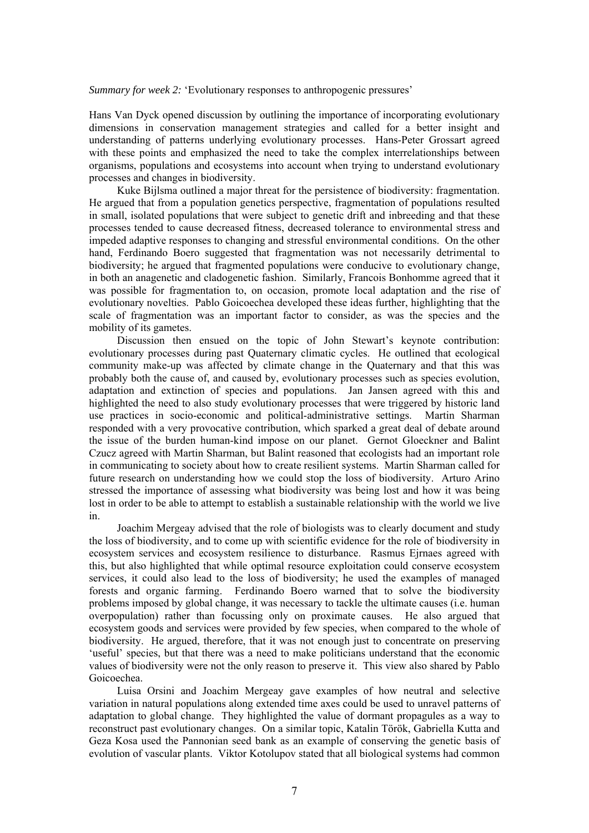*Summary for week 2:* 'Evolutionary responses to anthropogenic pressures'

Hans Van Dyck opened discussion by outlining the importance of incorporating evolutionary dimensions in conservation management strategies and called for a better insight and understanding of patterns underlying evolutionary processes. Hans-Peter Grossart agreed with these points and emphasized the need to take the complex interrelationships between organisms, populations and ecosystems into account when trying to understand evolutionary processes and changes in biodiversity.

Kuke Bijlsma outlined a major threat for the persistence of biodiversity: fragmentation. He argued that from a population genetics perspective, fragmentation of populations resulted in small, isolated populations that were subject to genetic drift and inbreeding and that these processes tended to cause decreased fitness, decreased tolerance to environmental stress and impeded adaptive responses to changing and stressful environmental conditions. On the other hand, Ferdinando Boero suggested that fragmentation was not necessarily detrimental to biodiversity; he argued that fragmented populations were conducive to evolutionary change, in both an anagenetic and cladogenetic fashion. Similarly, Francois Bonhomme agreed that it was possible for fragmentation to, on occasion, promote local adaptation and the rise of evolutionary novelties. Pablo Goicoechea developed these ideas further, highlighting that the scale of fragmentation was an important factor to consider, as was the species and the mobility of its gametes.

Discussion then ensued on the topic of John Stewart's keynote contribution: evolutionary processes during past Quaternary climatic cycles. He outlined that ecological community make-up was affected by climate change in the Quaternary and that this was probably both the cause of, and caused by, evolutionary processes such as species evolution, adaptation and extinction of species and populations. Jan Jansen agreed with this and highlighted the need to also study evolutionary processes that were triggered by historic land use practices in socio-economic and political-administrative settings. Martin Sharman responded with a very provocative contribution, which sparked a great deal of debate around the issue of the burden human-kind impose on our planet. Gernot Gloeckner and Balint Czucz agreed with Martin Sharman, but Balint reasoned that ecologists had an important role in communicating to society about how to create resilient systems. Martin Sharman called for future research on understanding how we could stop the loss of biodiversity. Arturo Arino stressed the importance of assessing what biodiversity was being lost and how it was being lost in order to be able to attempt to establish a sustainable relationship with the world we live in.

Joachim Mergeay advised that the role of biologists was to clearly document and study the loss of biodiversity, and to come up with scientific evidence for the role of biodiversity in ecosystem services and ecosystem resilience to disturbance. Rasmus Ejrnaes agreed with this, but also highlighted that while optimal resource exploitation could conserve ecosystem services, it could also lead to the loss of biodiversity; he used the examples of managed forests and organic farming. Ferdinando Boero warned that to solve the biodiversity problems imposed by global change, it was necessary to tackle the ultimate causes (i.e. human overpopulation) rather than focussing only on proximate causes. He also argued that ecosystem goods and services were provided by few species, when compared to the whole of biodiversity. He argued, therefore, that it was not enough just to concentrate on preserving 'useful' species, but that there was a need to make politicians understand that the economic values of biodiversity were not the only reason to preserve it. This view also shared by Pablo Goicoechea.

Luisa Orsini and Joachim Mergeay gave examples of how neutral and selective variation in natural populations along extended time axes could be used to unravel patterns of adaptation to global change. They highlighted the value of dormant propagules as a way to reconstruct past evolutionary changes. On a similar topic, Katalin Török, Gabriella Kutta and Geza Kosa used the Pannonian seed bank as an example of conserving the genetic basis of evolution of vascular plants. Viktor Kotolupov stated that all biological systems had common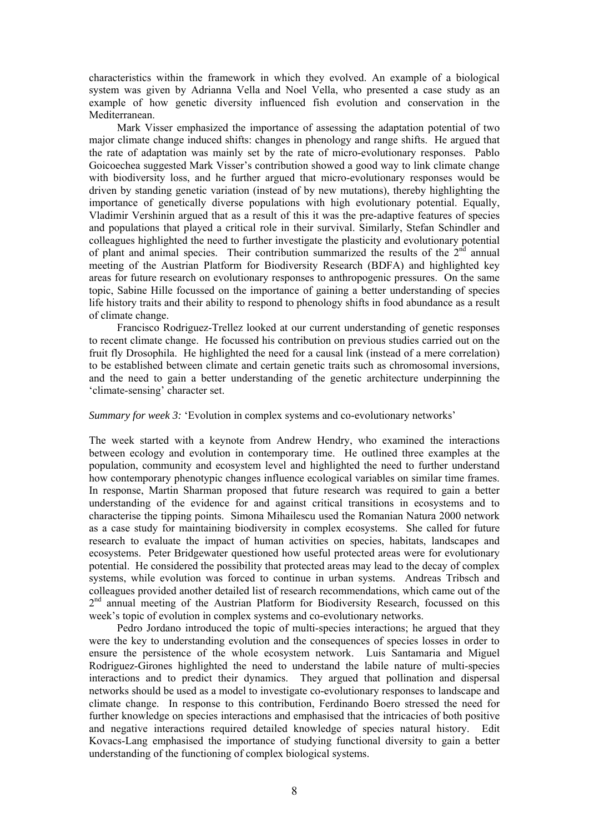characteristics within the framework in which they evolved. An example of a biological system was given by Adrianna Vella and Noel Vella, who presented a case study as an example of how genetic diversity influenced fish evolution and conservation in the Mediterranean.

Mark Visser emphasized the importance of assessing the adaptation potential of two major climate change induced shifts: changes in phenology and range shifts. He argued that the rate of adaptation was mainly set by the rate of micro-evolutionary responses. Pablo Goicoechea suggested Mark Visser's contribution showed a good way to link climate change with biodiversity loss, and he further argued that micro-evolutionary responses would be driven by standing genetic variation (instead of by new mutations), thereby highlighting the importance of genetically diverse populations with high evolutionary potential. Equally, Vladimir Vershinin argued that as a result of this it was the pre-adaptive features of species and populations that played a critical role in their survival. Similarly, Stefan Schindler and colleagues highlighted the need to further investigate the plasticity and evolutionary potential of plant and animal species. Their contribution summarized the results of the  $2<sup>nd</sup>$  annual meeting of the Austrian Platform for Biodiversity Research (BDFA) and highlighted key areas for future research on evolutionary responses to anthropogenic pressures. On the same topic, Sabine Hille focussed on the importance of gaining a better understanding of species life history traits and their ability to respond to phenology shifts in food abundance as a result of climate change.

Francisco Rodriguez-Trellez looked at our current understanding of genetic responses to recent climate change. He focussed his contribution on previous studies carried out on the fruit fly Drosophila. He highlighted the need for a causal link (instead of a mere correlation) to be established between climate and certain genetic traits such as chromosomal inversions, and the need to gain a better understanding of the genetic architecture underpinning the 'climate-sensing' character set.

### *Summary for week 3:* 'Evolution in complex systems and co-evolutionary networks'

The week started with a keynote from Andrew Hendry, who examined the interactions between ecology and evolution in contemporary time. He outlined three examples at the population, community and ecosystem level and highlighted the need to further understand how contemporary phenotypic changes influence ecological variables on similar time frames. In response, Martin Sharman proposed that future research was required to gain a better understanding of the evidence for and against critical transitions in ecosystems and to characterise the tipping points. Simona Mihailescu used the Romanian Natura 2000 network as a case study for maintaining biodiversity in complex ecosystems. She called for future research to evaluate the impact of human activities on species, habitats, landscapes and ecosystems. Peter Bridgewater questioned how useful protected areas were for evolutionary potential. He considered the possibility that protected areas may lead to the decay of complex systems, while evolution was forced to continue in urban systems. Andreas Tribsch and colleagues provided another detailed list of research recommendations, which came out of the 2<sup>nd</sup> annual meeting of the Austrian Platform for Biodiversity Research, focussed on this week's topic of evolution in complex systems and co-evolutionary networks.

Pedro Jordano introduced the topic of multi-species interactions; he argued that they were the key to understanding evolution and the consequences of species losses in order to ensure the persistence of the whole ecosystem network. Luis Santamaria and Miguel Rodriguez-Girones highlighted the need to understand the labile nature of multi-species interactions and to predict their dynamics. They argued that pollination and dispersal networks should be used as a model to investigate co-evolutionary responses to landscape and climate change. In response to this contribution, Ferdinando Boero stressed the need for further knowledge on species interactions and emphasised that the intricacies of both positive and negative interactions required detailed knowledge of species natural history. Edit Kovacs-Lang emphasised the importance of studying functional diversity to gain a better understanding of the functioning of complex biological systems.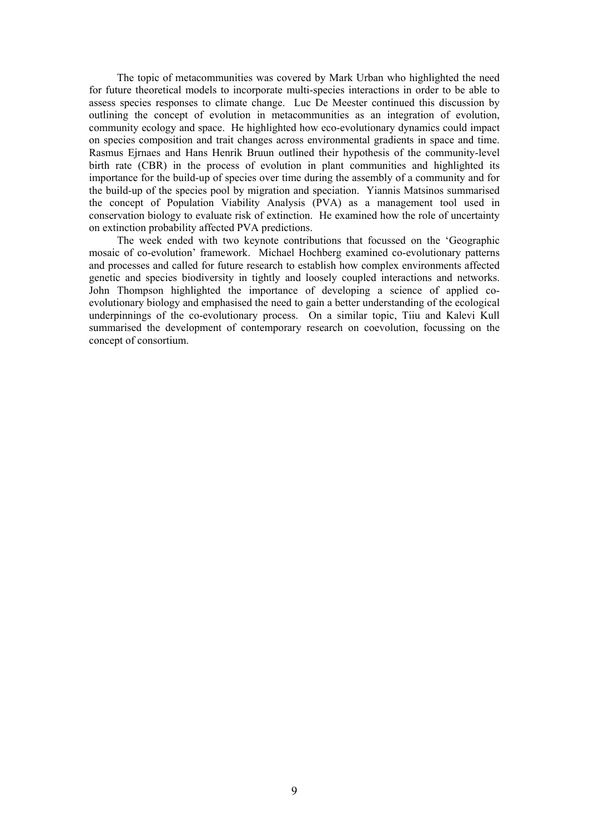The topic of metacommunities was covered by Mark Urban who highlighted the need for future theoretical models to incorporate multi-species interactions in order to be able to assess species responses to climate change. Luc De Meester continued this discussion by outlining the concept of evolution in metacommunities as an integration of evolution, community ecology and space. He highlighted how eco-evolutionary dynamics could impact on species composition and trait changes across environmental gradients in space and time. Rasmus Ejrnaes and Hans Henrik Bruun outlined their hypothesis of the community-level birth rate (CBR) in the process of evolution in plant communities and highlighted its importance for the build-up of species over time during the assembly of a community and for the build-up of the species pool by migration and speciation. Yiannis Matsinos summarised the concept of Population Viability Analysis (PVA) as a management tool used in conservation biology to evaluate risk of extinction. He examined how the role of uncertainty on extinction probability affected PVA predictions.

The week ended with two keynote contributions that focussed on the 'Geographic mosaic of co-evolution' framework. Michael Hochberg examined co-evolutionary patterns and processes and called for future research to establish how complex environments affected genetic and species biodiversity in tightly and loosely coupled interactions and networks. John Thompson highlighted the importance of developing a science of applied coevolutionary biology and emphasised the need to gain a better understanding of the ecological underpinnings of the co-evolutionary process. On a similar topic, Tiiu and Kalevi Kull summarised the development of contemporary research on coevolution, focussing on the concept of consortium.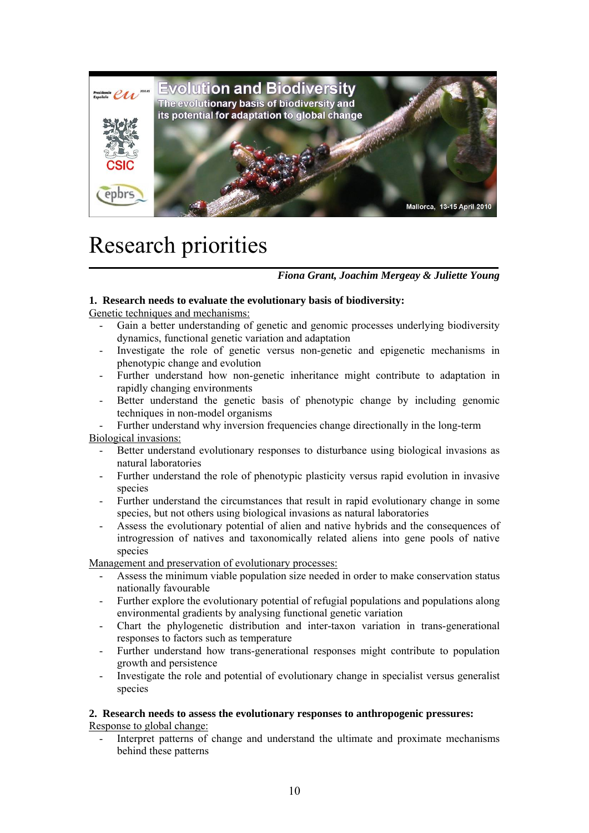

# Research priorities

*Fiona Grant, Joachim Mergeay & Juliette Young* 

# **1. Research needs to evaluate the evolutionary basis of biodiversity:**

Genetic techniques and mechanisms:

- Gain a better understanding of genetic and genomic processes underlying biodiversity dynamics, functional genetic variation and adaptation
- Investigate the role of genetic versus non-genetic and epigenetic mechanisms in phenotypic change and evolution
- Further understand how non-genetic inheritance might contribute to adaptation in rapidly changing environments
- Better understand the genetic basis of phenotypic change by including genomic techniques in non-model organisms

- Further understand why inversion frequencies change directionally in the long-term Biological invasions:

- Better understand evolutionary responses to disturbance using biological invasions as natural laboratories
- Further understand the role of phenotypic plasticity versus rapid evolution in invasive species
- Further understand the circumstances that result in rapid evolutionary change in some species, but not others using biological invasions as natural laboratories
- Assess the evolutionary potential of alien and native hybrids and the consequences of introgression of natives and taxonomically related aliens into gene pools of native species

Management and preservation of evolutionary processes:

- Assess the minimum viable population size needed in order to make conservation status nationally favourable
- Further explore the evolutionary potential of refugial populations and populations along environmental gradients by analysing functional genetic variation
- Chart the phylogenetic distribution and inter-taxon variation in trans-generational responses to factors such as temperature
- Further understand how trans-generational responses might contribute to population growth and persistence
- Investigate the role and potential of evolutionary change in specialist versus generalist species

## **2. Research needs to assess the evolutionary responses to anthropogenic pressures:**

Response to global change:

- Interpret patterns of change and understand the ultimate and proximate mechanisms behind these patterns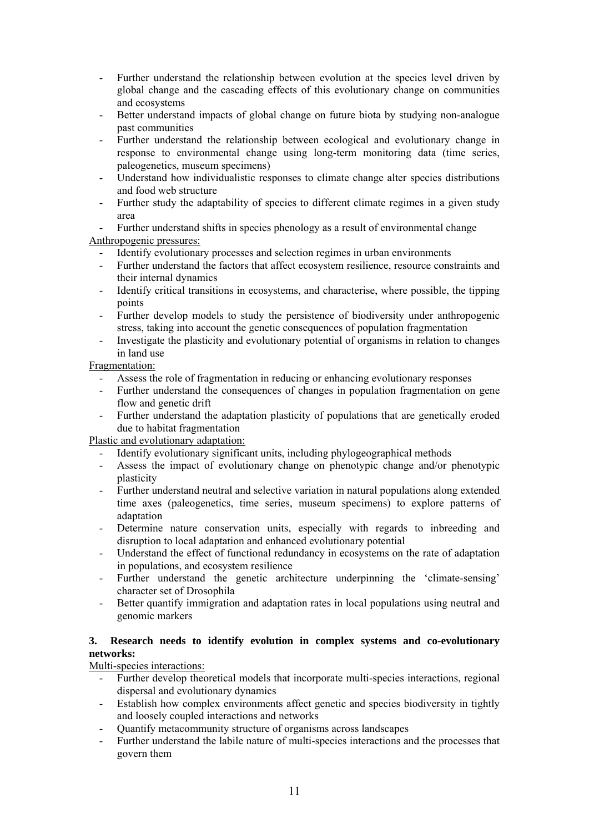- Further understand the relationship between evolution at the species level driven by global change and the cascading effects of this evolutionary change on communities and ecosystems
- Better understand impacts of global change on future biota by studying non-analogue past communities
- Further understand the relationship between ecological and evolutionary change in response to environmental change using long-term monitoring data (time series, paleogenetics, museum specimens)
- Understand how individualistic responses to climate change alter species distributions and food web structure
- Further study the adaptability of species to different climate regimes in a given study area

Further understand shifts in species phenology as a result of environmental change

Anthropogenic pressures:

- Identify evolutionary processes and selection regimes in urban environments
- Further understand the factors that affect ecosystem resilience, resource constraints and their internal dynamics
- Identify critical transitions in ecosystems, and characterise, where possible, the tipping points
- Further develop models to study the persistence of biodiversity under anthropogenic stress, taking into account the genetic consequences of population fragmentation
- Investigate the plasticity and evolutionary potential of organisms in relation to changes in land use

# Fragmentation:

- Assess the role of fragmentation in reducing or enhancing evolutionary responses
- Further understand the consequences of changes in population fragmentation on gene flow and genetic drift
- Further understand the adaptation plasticity of populations that are genetically eroded due to habitat fragmentation

Plastic and evolutionary adaptation:

- Identify evolutionary significant units, including phylogeographical methods
- Assess the impact of evolutionary change on phenotypic change and/or phenotypic plasticity
- Further understand neutral and selective variation in natural populations along extended time axes (paleogenetics, time series, museum specimens) to explore patterns of adaptation
- Determine nature conservation units, especially with regards to inbreeding and disruption to local adaptation and enhanced evolutionary potential
- Understand the effect of functional redundancy in ecosystems on the rate of adaptation in populations, and ecosystem resilience
- Further understand the genetic architecture underpinning the 'climate-sensing' character set of Drosophila
- Better quantify immigration and adaptation rates in local populations using neutral and genomic markers

# **3. Research needs to identify evolution in complex systems and co-evolutionary networks:**

# Multi-species interactions:

- Further develop theoretical models that incorporate multi-species interactions, regional dispersal and evolutionary dynamics
- Establish how complex environments affect genetic and species biodiversity in tightly and loosely coupled interactions and networks
- Quantify metacommunity structure of organisms across landscapes
- Further understand the labile nature of multi-species interactions and the processes that govern them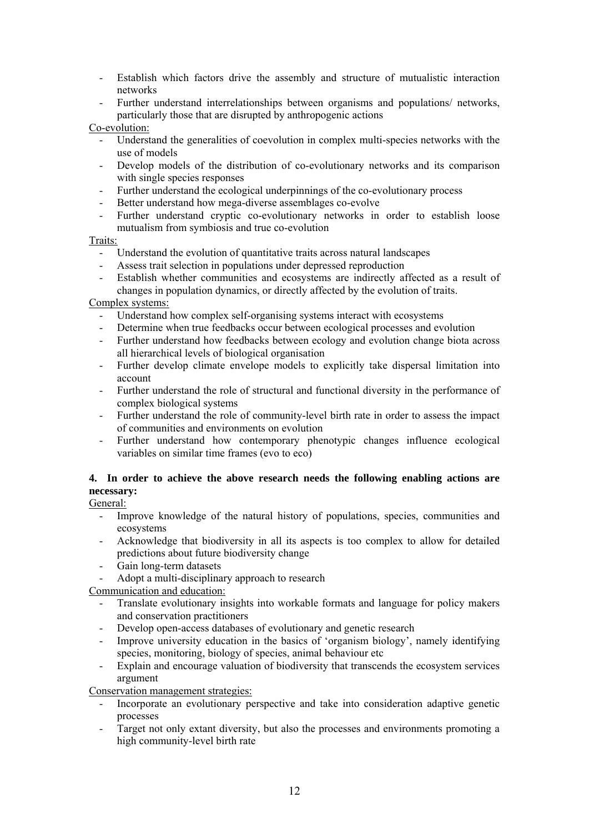Establish which factors drive the assembly and structure of mutualistic interaction networks

- Further understand interrelationships between organisms and populations/ networks, particularly those that are disrupted by anthropogenic actions

## Co-evolution:

- Understand the generalities of coevolution in complex multi-species networks with the use of models
- Develop models of the distribution of co-evolutionary networks and its comparison with single species responses
- Further understand the ecological underpinnings of the co-evolutionary process
- Better understand how mega-diverse assemblages co-evolve
- Further understand cryptic co-evolutionary networks in order to establish loose mutualism from symbiosis and true co-evolution

## Traits:

- Understand the evolution of quantitative traits across natural landscapes
- Assess trait selection in populations under depressed reproduction
- Establish whether communities and ecosystems are indirectly affected as a result of changes in population dynamics, or directly affected by the evolution of traits.

# Complex systems:

- Understand how complex self-organising systems interact with ecosystems
- Determine when true feedbacks occur between ecological processes and evolution
- Further understand how feedbacks between ecology and evolution change biota across all hierarchical levels of biological organisation
- Further develop climate envelope models to explicitly take dispersal limitation into account
- Further understand the role of structural and functional diversity in the performance of complex biological systems
- Further understand the role of community-level birth rate in order to assess the impact of communities and environments on evolution
- Further understand how contemporary phenotypic changes influence ecological variables on similar time frames (evo to eco)

# **4. In order to achieve the above research needs the following enabling actions are necessary:**

General:

- Improve knowledge of the natural history of populations, species, communities and ecosystems
- Acknowledge that biodiversity in all its aspects is too complex to allow for detailed predictions about future biodiversity change
- Gain long-term datasets
- Adopt a multi-disciplinary approach to research

Communication and education:

- Translate evolutionary insights into workable formats and language for policy makers and conservation practitioners
- Develop open-access databases of evolutionary and genetic research
- Improve university education in the basics of 'organism biology', namely identifying species, monitoring, biology of species, animal behaviour etc
- Explain and encourage valuation of biodiversity that transcends the ecosystem services argument

Conservation management strategies:

- Incorporate an evolutionary perspective and take into consideration adaptive genetic processes
- Target not only extant diversity, but also the processes and environments promoting a high community-level birth rate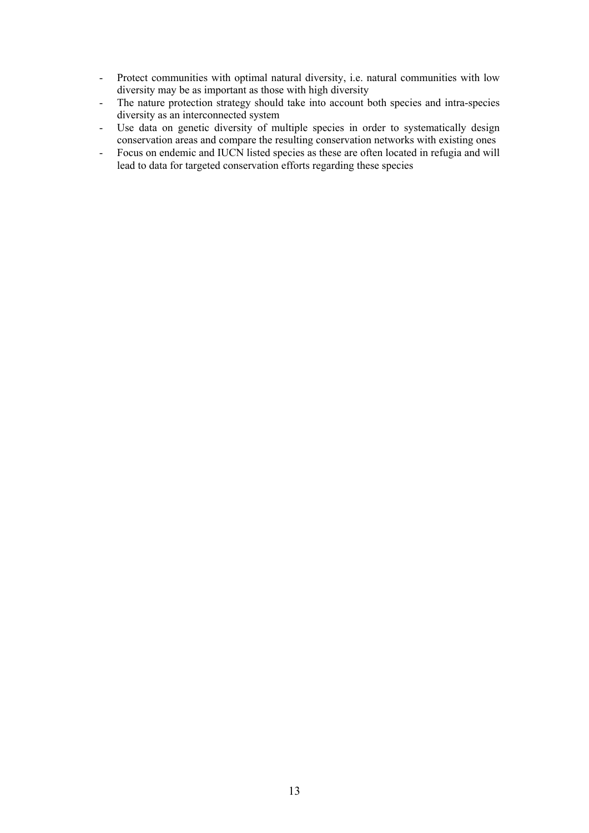- Protect communities with optimal natural diversity, i.e. natural communities with low diversity may be as important as those with high diversity
- The nature protection strategy should take into account both species and intra-species diversity as an interconnected system
- Use data on genetic diversity of multiple species in order to systematically design conservation areas and compare the resulting conservation networks with existing ones
- Focus on endemic and IUCN listed species as these are often located in refugia and will lead to data for targeted conservation efforts regarding these species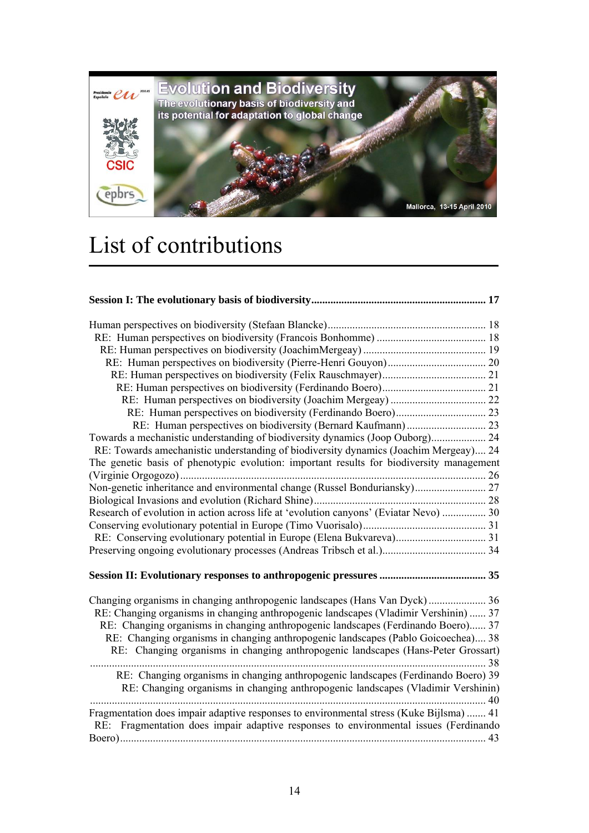

# List of contributions

| Towards a mechanistic understanding of biodiversity dynamics (Joop Ouborg) 24                                                                                                                                                                                                                                                                       |      |
|-----------------------------------------------------------------------------------------------------------------------------------------------------------------------------------------------------------------------------------------------------------------------------------------------------------------------------------------------------|------|
| RE: Towards amechanistic understanding of biodiversity dynamics (Joachim Mergeay) 24                                                                                                                                                                                                                                                                |      |
| The genetic basis of phenotypic evolution: important results for biodiversity management                                                                                                                                                                                                                                                            |      |
|                                                                                                                                                                                                                                                                                                                                                     |      |
| Non-genetic inheritance and environmental change (Russel Bonduriansky) 27                                                                                                                                                                                                                                                                           |      |
|                                                                                                                                                                                                                                                                                                                                                     |      |
| Research of evolution in action across life at 'evolution canyons' (Eviatar Nevo)  30                                                                                                                                                                                                                                                               |      |
|                                                                                                                                                                                                                                                                                                                                                     |      |
|                                                                                                                                                                                                                                                                                                                                                     |      |
|                                                                                                                                                                                                                                                                                                                                                     |      |
|                                                                                                                                                                                                                                                                                                                                                     |      |
| RE: Changing organisms in changing anthropogenic landscapes (Vladimir Vershinin)  37<br>RE: Changing organisms in changing anthropogenic landscapes (Ferdinando Boero) 37<br>RE: Changing organisms in changing anthropogenic landscapes (Pablo Goicoechea) 38<br>RE: Changing organisms in changing anthropogenic landscapes (Hans-Peter Grossart) | . 38 |
| RE: Changing organisms in changing anthropogenic landscapes (Ferdinando Boero) 39<br>RE: Changing organisms in changing anthropogenic landscapes (Vladimir Vershinin)                                                                                                                                                                               |      |
| Fragmentation does impair adaptive responses to environmental stress (Kuke Bijlsma)  41<br>RE: Fragmentation does impair adaptive responses to environmental issues (Ferdinando                                                                                                                                                                     |      |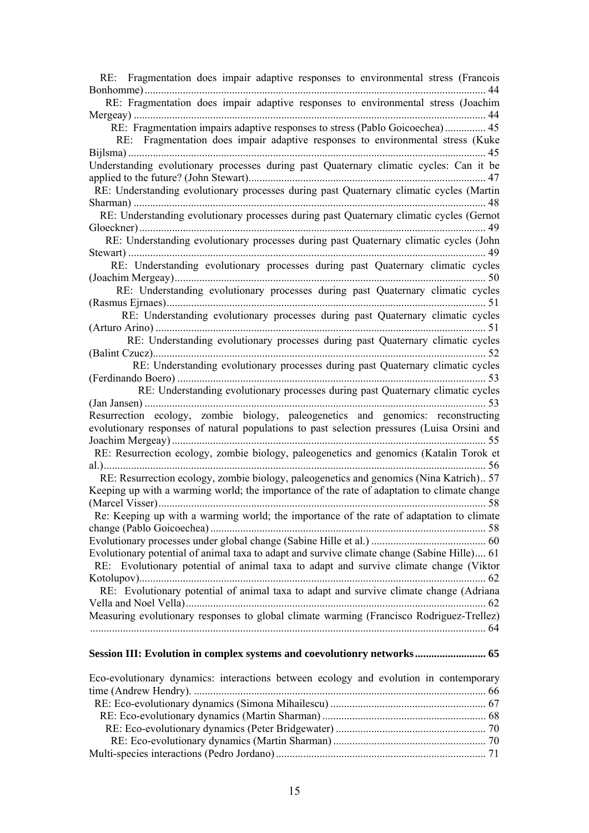| RE: Fragmentation does impair adaptive responses to environmental stress (Francois          |
|---------------------------------------------------------------------------------------------|
| 44                                                                                          |
| RE: Fragmentation does impair adaptive responses to environmental stress (Joachim           |
|                                                                                             |
| RE: Fragmentation impairs adaptive responses to stress (Pablo Goicoechea) 45                |
| RE: Fragmentation does impair adaptive responses to environmental stress (Kuke              |
|                                                                                             |
| Understanding evolutionary processes during past Quaternary climatic cycles: Can it be      |
|                                                                                             |
| RE: Understanding evolutionary processes during past Quaternary climatic cycles (Martin     |
|                                                                                             |
| RE: Understanding evolutionary processes during past Quaternary climatic cycles (Gernot     |
| 49                                                                                          |
| RE: Understanding evolutionary processes during past Quaternary climatic cycles (John       |
|                                                                                             |
| RE: Understanding evolutionary processes during past Quaternary climatic cycles             |
|                                                                                             |
| RE: Understanding evolutionary processes during past Quaternary climatic cycles             |
| 51                                                                                          |
| RE: Understanding evolutionary processes during past Quaternary climatic cycles             |
| 51                                                                                          |
| RE: Understanding evolutionary processes during past Quaternary climatic cycles             |
| 52                                                                                          |
| RE: Understanding evolutionary processes during past Quaternary climatic cycles             |
|                                                                                             |
| RE: Understanding evolutionary processes during past Quaternary climatic cycles             |
|                                                                                             |
| Resurrection ecology, zombie biology, paleogenetics and genomics: reconstructing            |
| evolutionary responses of natural populations to past selection pressures (Luisa Orsini and |
| 55                                                                                          |
| RE: Resurrection ecology, zombie biology, paleogenetics and genomics (Katalin Torok et      |
| 56                                                                                          |
| RE: Resurrection ecology, zombie biology, paleogenetics and genomics (Nina Katrich) 57      |
| Keeping up with a warming world; the importance of the rate of adaptation to climate change |
|                                                                                             |
| Re: Keeping up with a warming world; the importance of the rate of adaptation to climate    |
|                                                                                             |
|                                                                                             |
| Evolutionary potential of animal taxa to adapt and survive climate change (Sabine Hille) 61 |
| RE: Evolutionary potential of animal taxa to adapt and survive climate change (Viktor       |
|                                                                                             |
| RE: Evolutionary potential of animal taxa to adapt and survive climate change (Adriana      |
|                                                                                             |
| Measuring evolutionary responses to global climate warming (Francisco Rodriguez-Trellez)    |
|                                                                                             |
|                                                                                             |
|                                                                                             |

# **Session III: Evolution in complex systems and coevolutionry networks .......................... 65**

| Eco-evolutionary dynamics: interactions between ecology and evolution in contemporary |  |
|---------------------------------------------------------------------------------------|--|
|                                                                                       |  |
|                                                                                       |  |
|                                                                                       |  |
|                                                                                       |  |
|                                                                                       |  |
|                                                                                       |  |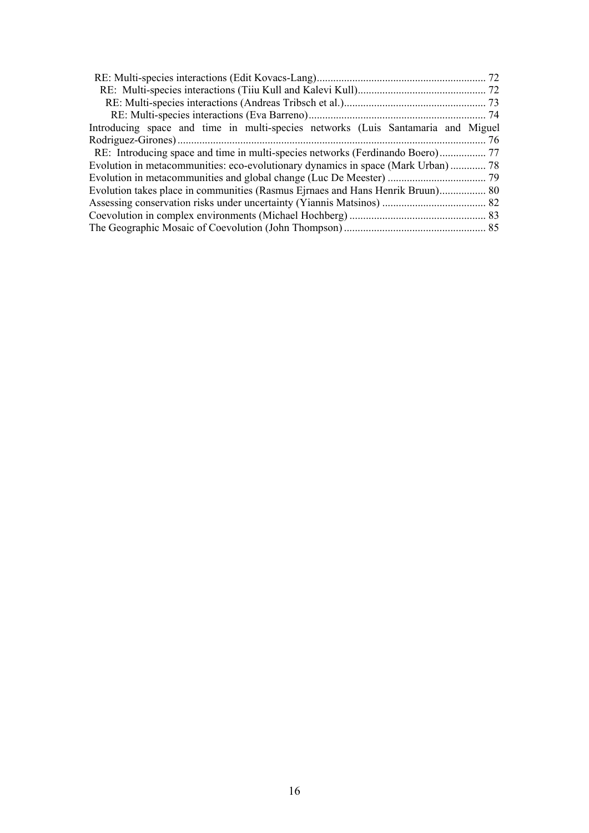| Introducing space and time in multi-species networks (Luis Santamaria and Miguel |  |
|----------------------------------------------------------------------------------|--|
|                                                                                  |  |
|                                                                                  |  |
| Evolution in metacommunities: eco-evolutionary dynamics in space (Mark Urban) 78 |  |
|                                                                                  |  |
| Evolution takes place in communities (Rasmus Ejrnaes and Hans Henrik Bruun) 80   |  |
|                                                                                  |  |
|                                                                                  |  |
|                                                                                  |  |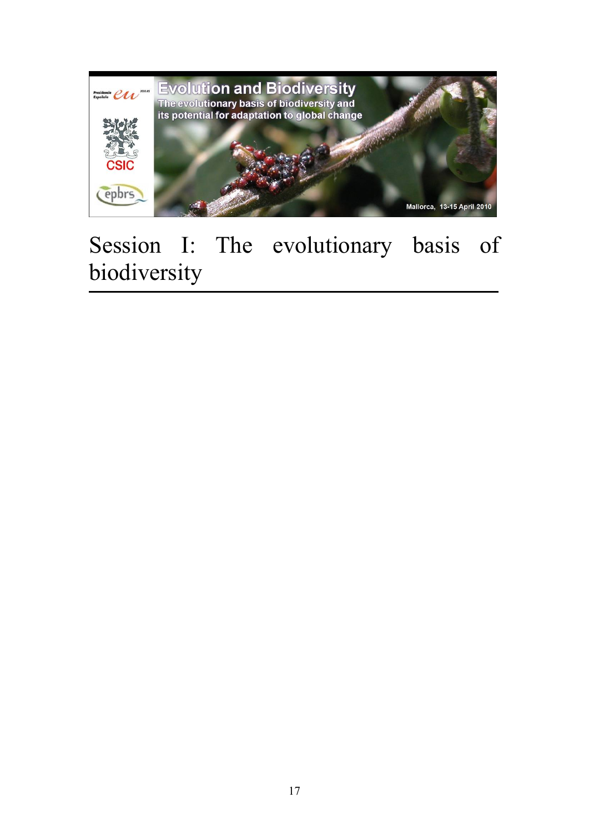

# Session I: The evolutionary basis of biodiversity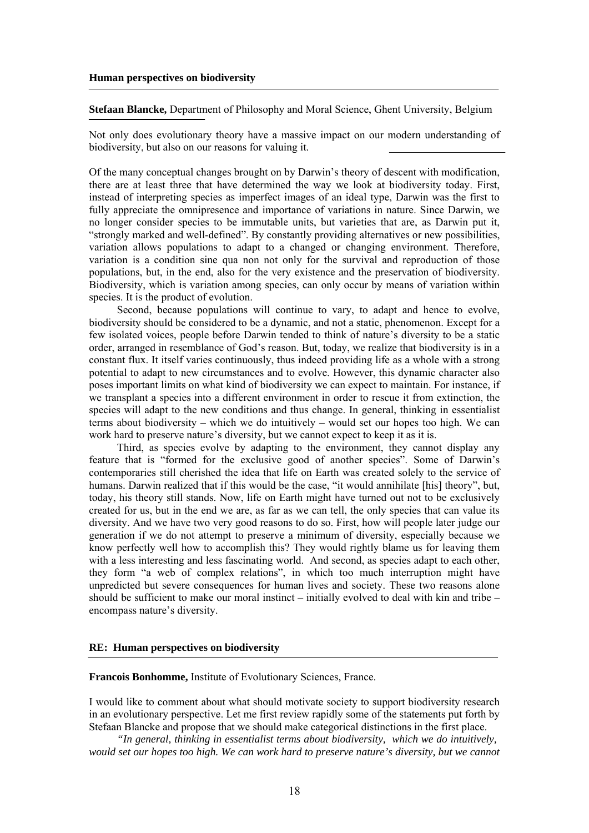**Stefaan Blancke,** Department of Philosophy and Moral Science, Ghent University, Belgium

Not only does evolutionary theory have a massive impact on our modern understanding of biodiversity, but also on our reasons for valuing it.

Of the many conceptual changes brought on by Darwin's theory of descent with modification, there are at least three that have determined the way we look at biodiversity today. First, instead of interpreting species as imperfect images of an ideal type, Darwin was the first to fully appreciate the omnipresence and importance of variations in nature. Since Darwin, we no longer consider species to be immutable units, but varieties that are, as Darwin put it, "strongly marked and well-defined". By constantly providing alternatives or new possibilities, variation allows populations to adapt to a changed or changing environment. Therefore, variation is a condition sine qua non not only for the survival and reproduction of those populations, but, in the end, also for the very existence and the preservation of biodiversity. Biodiversity, which is variation among species, can only occur by means of variation within species. It is the product of evolution.

Second, because populations will continue to vary, to adapt and hence to evolve, biodiversity should be considered to be a dynamic, and not a static, phenomenon. Except for a few isolated voices, people before Darwin tended to think of nature's diversity to be a static order, arranged in resemblance of God's reason. But, today, we realize that biodiversity is in a constant flux. It itself varies continuously, thus indeed providing life as a whole with a strong potential to adapt to new circumstances and to evolve. However, this dynamic character also poses important limits on what kind of biodiversity we can expect to maintain. For instance, if we transplant a species into a different environment in order to rescue it from extinction, the species will adapt to the new conditions and thus change. In general, thinking in essentialist terms about biodiversity – which we do intuitively – would set our hopes too high. We can work hard to preserve nature's diversity, but we cannot expect to keep it as it is.

Third, as species evolve by adapting to the environment, they cannot display any feature that is "formed for the exclusive good of another species". Some of Darwin's contemporaries still cherished the idea that life on Earth was created solely to the service of humans. Darwin realized that if this would be the case, "it would annihilate [his] theory", but, today, his theory still stands. Now, life on Earth might have turned out not to be exclusively created for us, but in the end we are, as far as we can tell, the only species that can value its diversity. And we have two very good reasons to do so. First, how will people later judge our generation if we do not attempt to preserve a minimum of diversity, especially because we know perfectly well how to accomplish this? They would rightly blame us for leaving them with a less interesting and less fascinating world. And second, as species adapt to each other, they form "a web of complex relations", in which too much interruption might have unpredicted but severe consequences for human lives and society. These two reasons alone should be sufficient to make our moral instinct – initially evolved to deal with kin and tribe – encompass nature's diversity.

#### **RE: Human perspectives on biodiversity**

**Francois Bonhomme,** Institute of Evolutionary Sciences, France.

I would like to comment about what should motivate society to support biodiversity research in an evolutionary perspective. Let me first review rapidly some of the statements put forth by Stefaan Blancke and propose that we should make categorical distinctions in the first place.

*"In general, thinking in essentialist terms about biodiversity, which we do intuitively, would set our hopes too high. We can work hard to preserve nature's diversity, but we cannot*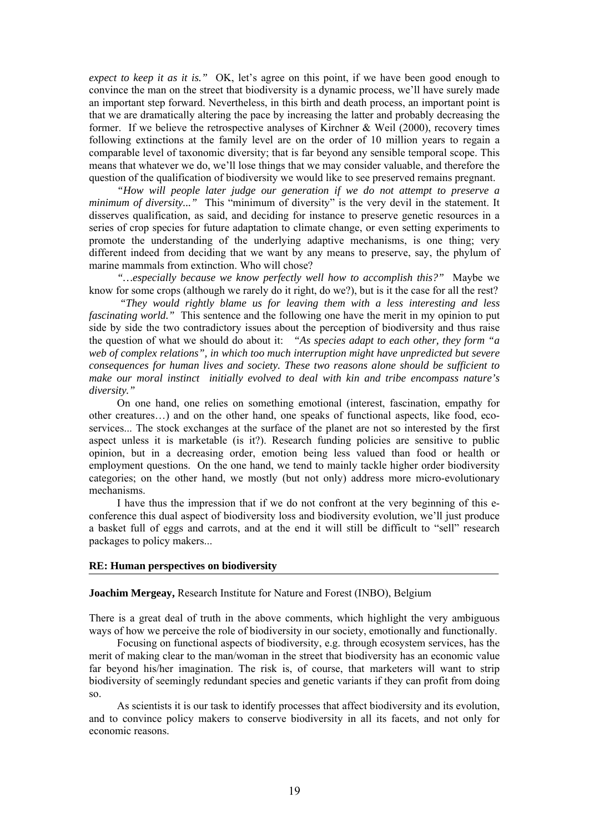*expect to keep it as it is."* OK, let's agree on this point, if we have been good enough to convince the man on the street that biodiversity is a dynamic process, we'll have surely made an important step forward. Nevertheless, in this birth and death process, an important point is that we are dramatically altering the pace by increasing the latter and probably decreasing the former. If we believe the retrospective analyses of Kirchner & Weil (2000), recovery times following extinctions at the family level are on the order of 10 million years to regain a comparable level of taxonomic diversity; that is far beyond any sensible temporal scope. This means that whatever we do, we'll lose things that we may consider valuable, and therefore the question of the qualification of biodiversity we would like to see preserved remains pregnant.

*"How will people later judge our generation if we do not attempt to preserve a minimum of diversity..."* This "minimum of diversity" is the very devil in the statement. It disserves qualification, as said, and deciding for instance to preserve genetic resources in a series of crop species for future adaptation to climate change, or even setting experiments to promote the understanding of the underlying adaptive mechanisms, is one thing; very different indeed from deciding that we want by any means to preserve, say, the phylum of marine mammals from extinction. Who will chose?

*"…especially because we know perfectly well how to accomplish this?"* Maybe we know for some crops (although we rarely do it right, do we?), but is it the case for all the rest?

 *"They would rightly blame us for leaving them with a less interesting and less fascinating world."* This sentence and the following one have the merit in my opinion to put side by side the two contradictory issues about the perception of biodiversity and thus raise the question of what we should do about it: *"As species adapt to each other, they form "a web of complex relations", in which too much interruption might have unpredicted but severe consequences for human lives and society. These two reasons alone should be sufficient to make our moral instinct initially evolved to deal with kin and tribe encompass nature's diversity."* 

On one hand, one relies on something emotional (interest, fascination, empathy for other creatures…) and on the other hand, one speaks of functional aspects, like food, ecoservices... The stock exchanges at the surface of the planet are not so interested by the first aspect unless it is marketable (is it?). Research funding policies are sensitive to public opinion, but in a decreasing order, emotion being less valued than food or health or employment questions. On the one hand, we tend to mainly tackle higher order biodiversity categories; on the other hand, we mostly (but not only) address more micro-evolutionary mechanisms.

I have thus the impression that if we do not confront at the very beginning of this econference this dual aspect of biodiversity loss and biodiversity evolution, we'll just produce a basket full of eggs and carrots, and at the end it will still be difficult to "sell" research packages to policy makers...

#### **RE: Human perspectives on biodiversity**

#### **Joachim Mergeay,** Research Institute for Nature and Forest (INBO), Belgium

There is a great deal of truth in the above comments, which highlight the very ambiguous ways of how we perceive the role of biodiversity in our society, emotionally and functionally.

Focusing on functional aspects of biodiversity, e.g. through ecosystem services, has the merit of making clear to the man/woman in the street that biodiversity has an economic value far beyond his/her imagination. The risk is, of course, that marketers will want to strip biodiversity of seemingly redundant species and genetic variants if they can profit from doing so.

As scientists it is our task to identify processes that affect biodiversity and its evolution, and to convince policy makers to conserve biodiversity in all its facets, and not only for economic reasons.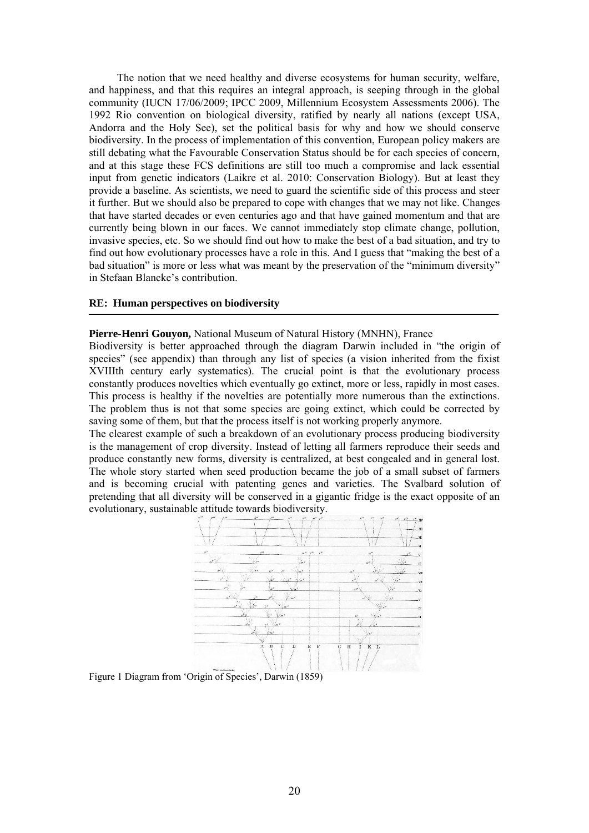The notion that we need healthy and diverse ecosystems for human security, welfare, and happiness, and that this requires an integral approach, is seeping through in the global community (IUCN 17/06/2009; IPCC 2009, Millennium Ecosystem Assessments 2006). The 1992 Rio convention on biological diversity, ratified by nearly all nations (except USA, Andorra and the Holy See), set the political basis for why and how we should conserve biodiversity. In the process of implementation of this convention, European policy makers are still debating what the Favourable Conservation Status should be for each species of concern, and at this stage these FCS definitions are still too much a compromise and lack essential input from genetic indicators (Laikre et al. 2010: Conservation Biology). But at least they provide a baseline. As scientists, we need to guard the scientific side of this process and steer it further. But we should also be prepared to cope with changes that we may not like. Changes that have started decades or even centuries ago and that have gained momentum and that are currently being blown in our faces. We cannot immediately stop climate change, pollution, invasive species, etc. So we should find out how to make the best of a bad situation, and try to find out how evolutionary processes have a role in this. And I guess that "making the best of a bad situation" is more or less what was meant by the preservation of the "minimum diversity" in Stefaan Blancke's contribution.

### **RE: Human perspectives on biodiversity**

**Pierre-Henri Gouyon,** National Museum of Natural History (MNHN), France

Biodiversity is better approached through the diagram Darwin included in "the origin of species" (see appendix) than through any list of species (a vision inherited from the fixist XVIIIth century early systematics). The crucial point is that the evolutionary process constantly produces novelties which eventually go extinct, more or less, rapidly in most cases. This process is healthy if the novelties are potentially more numerous than the extinctions. The problem thus is not that some species are going extinct, which could be corrected by saving some of them, but that the process itself is not working properly anymore.

The clearest example of such a breakdown of an evolutionary process producing biodiversity is the management of crop diversity. Instead of letting all farmers reproduce their seeds and produce constantly new forms, diversity is centralized, at best congealed and in general lost. The whole story started when seed production became the job of a small subset of farmers and is becoming crucial with patenting genes and varieties. The Svalbard solution of pretending that all diversity will be conserved in a gigantic fridge is the exact opposite of an evolutionary, sustainable attitude towards biodiversity.



Figure 1 Diagram from 'Origin of Species', Darwin (1859)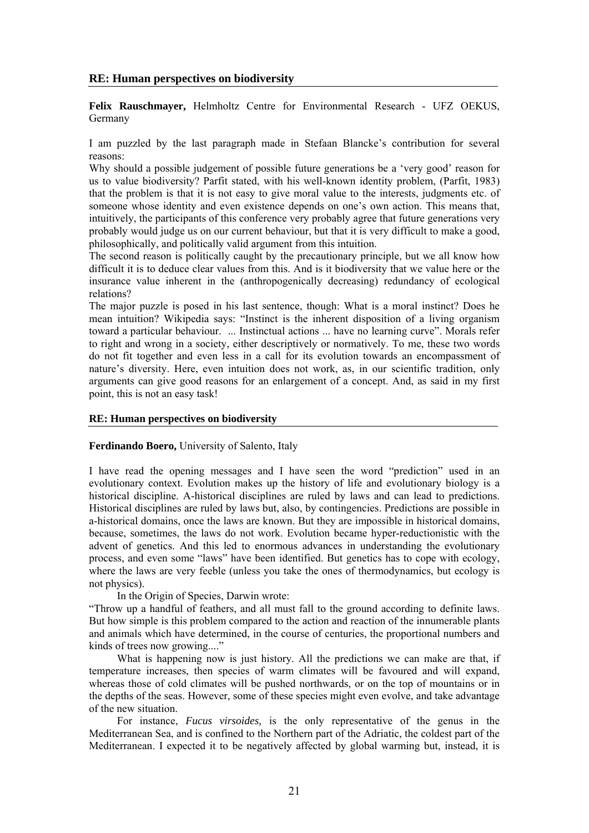# **RE: Human perspectives on biodiversity**

**Felix Rauschmayer,** Helmholtz Centre for Environmental Research - UFZ OEKUS, Germany

I am puzzled by the last paragraph made in Stefaan Blancke's contribution for several reasons:

Why should a possible judgement of possible future generations be a 'very good' reason for us to value biodiversity? Parfit stated, with his well-known identity problem, (Parfit, 1983) that the problem is that it is not easy to give moral value to the interests, judgments etc. of someone whose identity and even existence depends on one's own action. This means that, intuitively, the participants of this conference very probably agree that future generations very probably would judge us on our current behaviour, but that it is very difficult to make a good, philosophically, and politically valid argument from this intuition.

The second reason is politically caught by the precautionary principle, but we all know how difficult it is to deduce clear values from this. And is it biodiversity that we value here or the insurance value inherent in the (anthropogenically decreasing) redundancy of ecological relations?

The major puzzle is posed in his last sentence, though: What is a moral instinct? Does he mean intuition? Wikipedia says: "Instinct is the inherent disposition of a living organism toward a particular behaviour. ... Instinctual actions ... have no learning curve". Morals refer to right and wrong in a society, either descriptively or normatively. To me, these two words do not fit together and even less in a call for its evolution towards an encompassment of nature's diversity. Here, even intuition does not work, as, in our scientific tradition, only arguments can give good reasons for an enlargement of a concept. And, as said in my first point, this is not an easy task!

## **RE: Human perspectives on biodiversity**

### **Ferdinando Boero,** University of Salento, Italy

I have read the opening messages and I have seen the word "prediction" used in an evolutionary context. Evolution makes up the history of life and evolutionary biology is a historical discipline. A-historical disciplines are ruled by laws and can lead to predictions. Historical disciplines are ruled by laws but, also, by contingencies. Predictions are possible in a-historical domains, once the laws are known. But they are impossible in historical domains, because, sometimes, the laws do not work. Evolution became hyper-reductionistic with the advent of genetics. And this led to enormous advances in understanding the evolutionary process, and even some "laws" have been identified. But genetics has to cope with ecology, where the laws are very feeble (unless you take the ones of thermodynamics, but ecology is not physics).

In the Origin of Species, Darwin wrote:

"Throw up a handful of feathers, and all must fall to the ground according to definite laws. But how simple is this problem compared to the action and reaction of the innumerable plants and animals which have determined, in the course of centuries, the proportional numbers and kinds of trees now growing...."

What is happening now is just history. All the predictions we can make are that, if temperature increases, then species of warm climates will be favoured and will expand, whereas those of cold climates will be pushed northwards, or on the top of mountains or in the depths of the seas. However, some of these species might even evolve, and take advantage of the new situation.

For instance, *Fucus virsoides,* is the only representative of the genus in the Mediterranean Sea, and is confined to the Northern part of the Adriatic, the coldest part of the Mediterranean. I expected it to be negatively affected by global warming but, instead, it is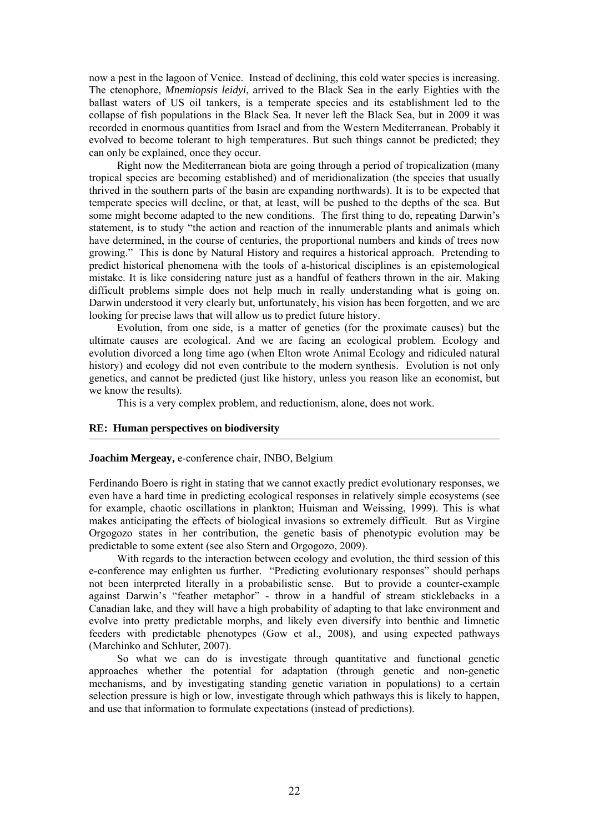now a pest in the lagoon of Venice. Instead of declining, this cold water species is increasing. The ctenophore, *Mnemiopsis leidyi*, arrived to the Black Sea in the early Eighties with the ballast waters of US oil tankers, is a temperate species and its establishment led to the collapse of fish populations in the Black Sea. It never left the Black Sea, but in 2009 it was recorded in enormous quantities from Israel and from the Western Mediterranean. Probably it evolved to become tolerant to high temperatures. But such things cannot be predicted; they can only be explained, once they occur.

Right now the Mediterranean biota are going through a period of tropicalization (many tropical species are becoming established) and of meridionalization (the species that usually thrived in the southern parts of the basin are expanding northwards). It is to be expected that temperate species will decline, or that, at least, will be pushed to the depths of the sea. But some might become adapted to the new conditions. The first thing to do, repeating Darwin's statement, is to study "the action and reaction of the innumerable plants and animals which have determined, in the course of centuries, the proportional numbers and kinds of trees now growing." This is done by Natural History and requires a historical approach. Pretending to predict historical phenomena with the tools of a-historical disciplines is an epistemological mistake. It is like considering nature just as a handful of feathers thrown in the air. Making difficult problems simple does not help much in really understanding what is going on. Darwin understood it very clearly but, unfortunately, his vision has been forgotten, and we are looking for precise laws that will allow us to predict future history.

Evolution, from one side, is a matter of genetics (for the proximate causes) but the ultimate causes are ecological. And we are facing an ecological problem. Ecology and evolution divorced a long time ago (when Elton wrote Animal Ecology and ridiculed natural history) and ecology did not even contribute to the modern synthesis. Evolution is not only genetics, and cannot be predicted (just like history, unless you reason like an economist, but we know the results).

This is a very complex problem, and reductionism, alone, does not work.

## **RE: Human perspectives on biodiversity**

#### **Joachim Mergeay,** e-conference chair, INBO, Belgium

Ferdinando Boero is right in stating that we cannot exactly predict evolutionary responses, we even have a hard time in predicting ecological responses in relatively simple ecosystems (see for example, chaotic oscillations in plankton; Huisman and Weissing, 1999). This is what makes anticipating the effects of biological invasions so extremely difficult. But as Virgine Orgogozo states in her contribution, the genetic basis of phenotypic evolution may be predictable to some extent (see also Stern and Orgogozo, 2009).

With regards to the interaction between ecology and evolution, the third session of this e-conference may enlighten us further. "Predicting evolutionary responses" should perhaps not been interpreted literally in a probabilistic sense. But to provide a counter-example against Darwin's "feather metaphor" - throw in a handful of stream sticklebacks in a Canadian lake, and they will have a high probability of adapting to that lake environment and evolve into pretty predictable morphs, and likely even diversify into benthic and limnetic feeders with predictable phenotypes (Gow et al., 2008), and using expected pathways (Marchinko and Schluter, 2007).

So what we can do is investigate through quantitative and functional genetic approaches whether the potential for adaptation (through genetic and non-genetic mechanisms, and by investigating standing genetic variation in populations) to a certain selection pressure is high or low, investigate through which pathways this is likely to happen, and use that information to formulate expectations (instead of predictions).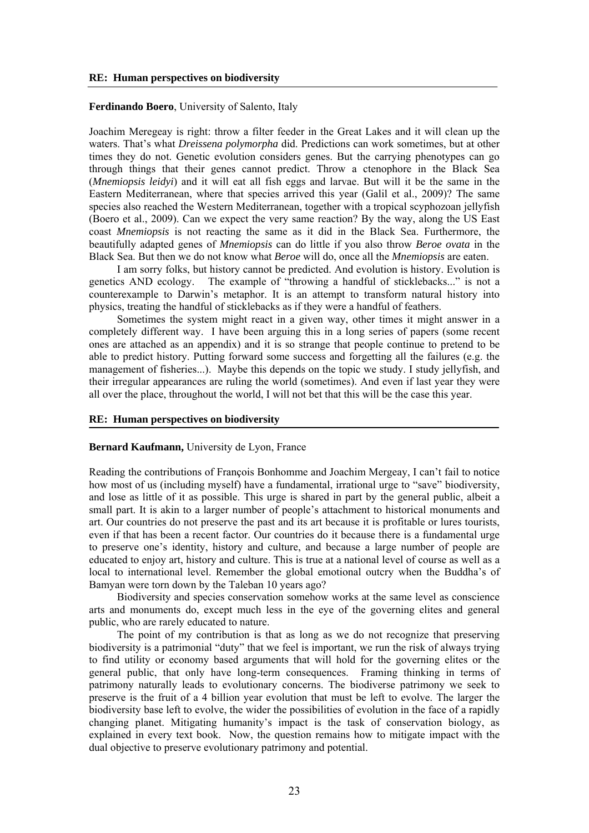### **Ferdinando Boero**, University of Salento, Italy

Joachim Meregeay is right: throw a filter feeder in the Great Lakes and it will clean up the waters. That's what *Dreissena polymorpha* did. Predictions can work sometimes, but at other times they do not. Genetic evolution considers genes. But the carrying phenotypes can go through things that their genes cannot predict. Throw a ctenophore in the Black Sea (*Mnemiopsis leidyi*) and it will eat all fish eggs and larvae. But will it be the same in the Eastern Mediterranean, where that species arrived this year (Galil et al., 2009)? The same species also reached the Western Mediterranean, together with a tropical scyphozoan jellyfish (Boero et al., 2009). Can we expect the very same reaction? By the way, along the US East coast *Mnemiopsis* is not reacting the same as it did in the Black Sea. Furthermore, the beautifully adapted genes of *Mnemiopsis* can do little if you also throw *Beroe ovata* in the Black Sea. But then we do not know what *Beroe* will do, once all the *Mnemiopsis* are eaten.

I am sorry folks, but history cannot be predicted. And evolution is history. Evolution is genetics AND ecology. The example of "throwing a handful of sticklebacks..." is not a counterexample to Darwin's metaphor. It is an attempt to transform natural history into physics, treating the handful of sticklebacks as if they were a handful of feathers.

Sometimes the system might react in a given way, other times it might answer in a completely different way. I have been arguing this in a long series of papers (some recent ones are attached as an appendix) and it is so strange that people continue to pretend to be able to predict history. Putting forward some success and forgetting all the failures (e.g. the management of fisheries...). Maybe this depends on the topic we study. I study jellyfish, and their irregular appearances are ruling the world (sometimes). And even if last year they were all over the place, throughout the world, I will not bet that this will be the case this year.

### **RE: Human perspectives on biodiversity**

#### **Bernard Kaufmann,** University de Lyon, France

Reading the contributions of François Bonhomme and Joachim Mergeay, I can't fail to notice how most of us (including myself) have a fundamental, irrational urge to "save" biodiversity, and lose as little of it as possible. This urge is shared in part by the general public, albeit a small part. It is akin to a larger number of people's attachment to historical monuments and art. Our countries do not preserve the past and its art because it is profitable or lures tourists, even if that has been a recent factor. Our countries do it because there is a fundamental urge to preserve one's identity, history and culture, and because a large number of people are educated to enjoy art, history and culture. This is true at a national level of course as well as a local to international level. Remember the global emotional outcry when the Buddha's of Bamyan were torn down by the Taleban 10 years ago?

Biodiversity and species conservation somehow works at the same level as conscience arts and monuments do, except much less in the eye of the governing elites and general public, who are rarely educated to nature.

The point of my contribution is that as long as we do not recognize that preserving biodiversity is a patrimonial "duty" that we feel is important, we run the risk of always trying to find utility or economy based arguments that will hold for the governing elites or the general public, that only have long-term consequences. Framing thinking in terms of patrimony naturally leads to evolutionary concerns. The biodiverse patrimony we seek to preserve is the fruit of a 4 billion year evolution that must be left to evolve. The larger the biodiversity base left to evolve, the wider the possibilities of evolution in the face of a rapidly changing planet. Mitigating humanity's impact is the task of conservation biology, as explained in every text book. Now, the question remains how to mitigate impact with the dual objective to preserve evolutionary patrimony and potential.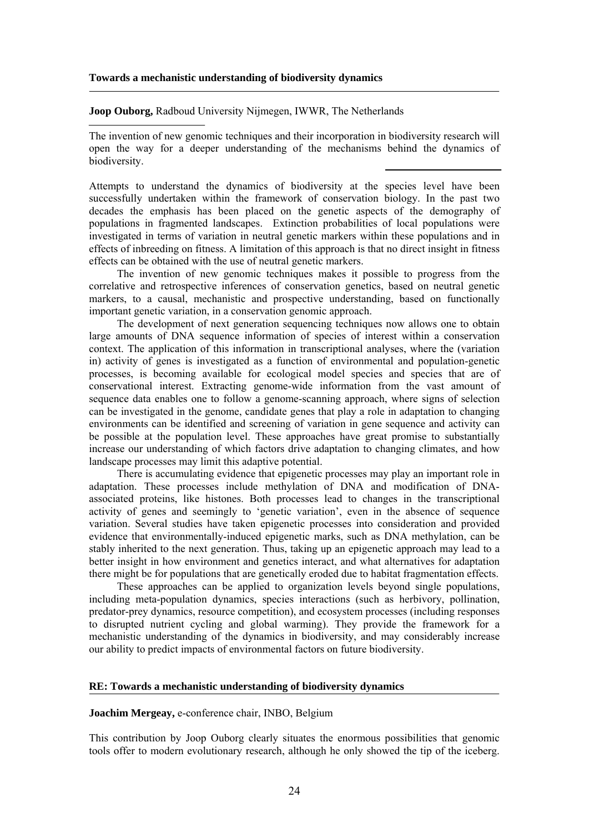#### **Towards a mechanistic understanding of biodiversity dynamics**

**Joop Ouborg,** Radboud University Nijmegen, IWWR, The Netherlands

The invention of new genomic techniques and their incorporation in biodiversity research will open the way for a deeper understanding of the mechanisms behind the dynamics of biodiversity.

Attempts to understand the dynamics of biodiversity at the species level have been successfully undertaken within the framework of conservation biology. In the past two decades the emphasis has been placed on the genetic aspects of the demography of populations in fragmented landscapes. Extinction probabilities of local populations were investigated in terms of variation in neutral genetic markers within these populations and in effects of inbreeding on fitness. A limitation of this approach is that no direct insight in fitness effects can be obtained with the use of neutral genetic markers.

The invention of new genomic techniques makes it possible to progress from the correlative and retrospective inferences of conservation genetics, based on neutral genetic markers, to a causal, mechanistic and prospective understanding, based on functionally important genetic variation, in a conservation genomic approach.

The development of next generation sequencing techniques now allows one to obtain large amounts of DNA sequence information of species of interest within a conservation context. The application of this information in transcriptional analyses, where the (variation in) activity of genes is investigated as a function of environmental and population-genetic processes, is becoming available for ecological model species and species that are of conservational interest. Extracting genome-wide information from the vast amount of sequence data enables one to follow a genome-scanning approach, where signs of selection can be investigated in the genome, candidate genes that play a role in adaptation to changing environments can be identified and screening of variation in gene sequence and activity can be possible at the population level. These approaches have great promise to substantially increase our understanding of which factors drive adaptation to changing climates, and how landscape processes may limit this adaptive potential.

There is accumulating evidence that epigenetic processes may play an important role in adaptation. These processes include methylation of DNA and modification of DNAassociated proteins, like histones. Both processes lead to changes in the transcriptional activity of genes and seemingly to 'genetic variation', even in the absence of sequence variation. Several studies have taken epigenetic processes into consideration and provided evidence that environmentally-induced epigenetic marks, such as DNA methylation, can be stably inherited to the next generation. Thus, taking up an epigenetic approach may lead to a better insight in how environment and genetics interact, and what alternatives for adaptation there might be for populations that are genetically eroded due to habitat fragmentation effects.

These approaches can be applied to organization levels beyond single populations, including meta-population dynamics, species interactions (such as herbivory, pollination, predator-prey dynamics, resource competition), and ecosystem processes (including responses to disrupted nutrient cycling and global warming). They provide the framework for a mechanistic understanding of the dynamics in biodiversity, and may considerably increase our ability to predict impacts of environmental factors on future biodiversity.

## **RE: Towards a mechanistic understanding of biodiversity dynamics**

**Joachim Mergeay,** e-conference chair, INBO, Belgium

This contribution by Joop Ouborg clearly situates the enormous possibilities that genomic tools offer to modern evolutionary research, although he only showed the tip of the iceberg.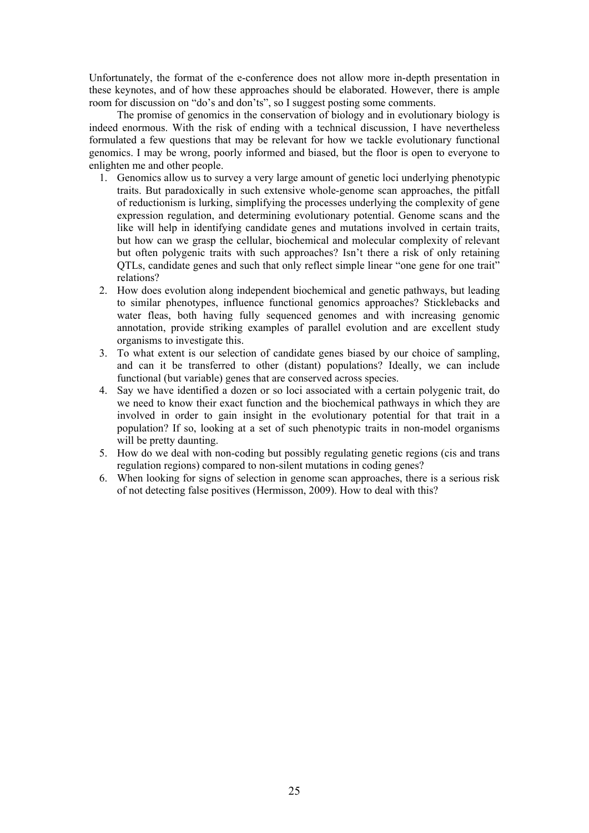Unfortunately, the format of the e-conference does not allow more in-depth presentation in these keynotes, and of how these approaches should be elaborated. However, there is ample room for discussion on "do's and don'ts", so I suggest posting some comments.

The promise of genomics in the conservation of biology and in evolutionary biology is indeed enormous. With the risk of ending with a technical discussion, I have nevertheless formulated a few questions that may be relevant for how we tackle evolutionary functional genomics. I may be wrong, poorly informed and biased, but the floor is open to everyone to enlighten me and other people.

- 1. Genomics allow us to survey a very large amount of genetic loci underlying phenotypic traits. But paradoxically in such extensive whole-genome scan approaches, the pitfall of reductionism is lurking, simplifying the processes underlying the complexity of gene expression regulation, and determining evolutionary potential. Genome scans and the like will help in identifying candidate genes and mutations involved in certain traits, but how can we grasp the cellular, biochemical and molecular complexity of relevant but often polygenic traits with such approaches? Isn't there a risk of only retaining QTLs, candidate genes and such that only reflect simple linear "one gene for one trait" relations?
- 2. How does evolution along independent biochemical and genetic pathways, but leading to similar phenotypes, influence functional genomics approaches? Sticklebacks and water fleas, both having fully sequenced genomes and with increasing genomic annotation, provide striking examples of parallel evolution and are excellent study organisms to investigate this.
- 3. To what extent is our selection of candidate genes biased by our choice of sampling, and can it be transferred to other (distant) populations? Ideally, we can include functional (but variable) genes that are conserved across species.
- 4. Say we have identified a dozen or so loci associated with a certain polygenic trait, do we need to know their exact function and the biochemical pathways in which they are involved in order to gain insight in the evolutionary potential for that trait in a population? If so, looking at a set of such phenotypic traits in non-model organisms will be pretty daunting.
- 5. How do we deal with non-coding but possibly regulating genetic regions (cis and trans regulation regions) compared to non-silent mutations in coding genes?
- 6. When looking for signs of selection in genome scan approaches, there is a serious risk of not detecting false positives (Hermisson, 2009). How to deal with this?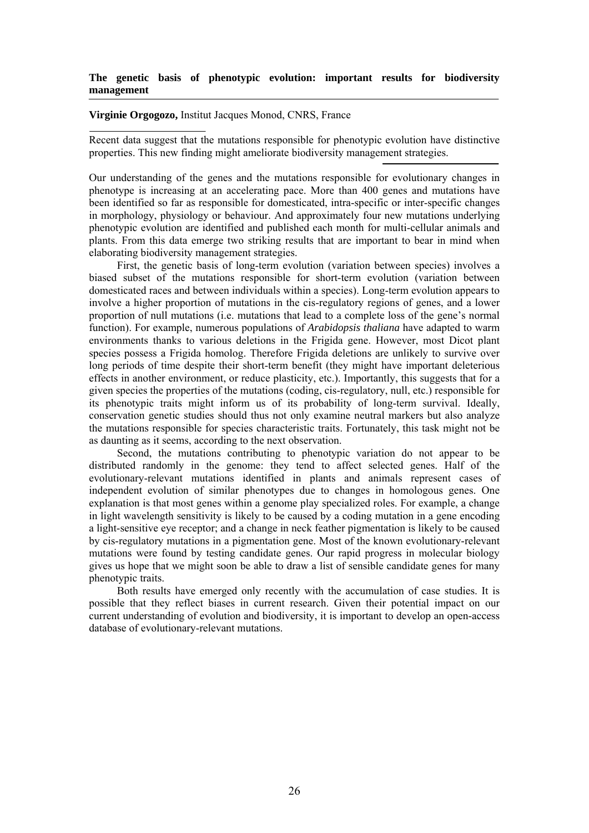## **The genetic basis of phenotypic evolution: important results for biodiversity management**

## **Virginie Orgogozo,** Institut Jacques Monod, CNRS, France

Recent data suggest that the mutations responsible for phenotypic evolution have distinctive properties. This new finding might ameliorate biodiversity management strategies.

Our understanding of the genes and the mutations responsible for evolutionary changes in phenotype is increasing at an accelerating pace. More than 400 genes and mutations have been identified so far as responsible for domesticated, intra-specific or inter-specific changes in morphology, physiology or behaviour. And approximately four new mutations underlying phenotypic evolution are identified and published each month for multi-cellular animals and plants. From this data emerge two striking results that are important to bear in mind when elaborating biodiversity management strategies.

First, the genetic basis of long-term evolution (variation between species) involves a biased subset of the mutations responsible for short-term evolution (variation between domesticated races and between individuals within a species). Long-term evolution appears to involve a higher proportion of mutations in the cis-regulatory regions of genes, and a lower proportion of null mutations (i.e. mutations that lead to a complete loss of the gene's normal function). For example, numerous populations of *Arabidopsis thaliana* have adapted to warm environments thanks to various deletions in the Frigida gene. However, most Dicot plant species possess a Frigida homolog. Therefore Frigida deletions are unlikely to survive over long periods of time despite their short-term benefit (they might have important deleterious effects in another environment, or reduce plasticity, etc.). Importantly, this suggests that for a given species the properties of the mutations (coding, cis-regulatory, null, etc.) responsible for its phenotypic traits might inform us of its probability of long-term survival. Ideally, conservation genetic studies should thus not only examine neutral markers but also analyze the mutations responsible for species characteristic traits. Fortunately, this task might not be as daunting as it seems, according to the next observation.

Second, the mutations contributing to phenotypic variation do not appear to be distributed randomly in the genome: they tend to affect selected genes. Half of the evolutionary-relevant mutations identified in plants and animals represent cases of independent evolution of similar phenotypes due to changes in homologous genes. One explanation is that most genes within a genome play specialized roles. For example, a change in light wavelength sensitivity is likely to be caused by a coding mutation in a gene encoding a light-sensitive eye receptor; and a change in neck feather pigmentation is likely to be caused by cis-regulatory mutations in a pigmentation gene. Most of the known evolutionary-relevant mutations were found by testing candidate genes. Our rapid progress in molecular biology gives us hope that we might soon be able to draw a list of sensible candidate genes for many phenotypic traits.

Both results have emerged only recently with the accumulation of case studies. It is possible that they reflect biases in current research. Given their potential impact on our current understanding of evolution and biodiversity, it is important to develop an open-access database of evolutionary-relevant mutations.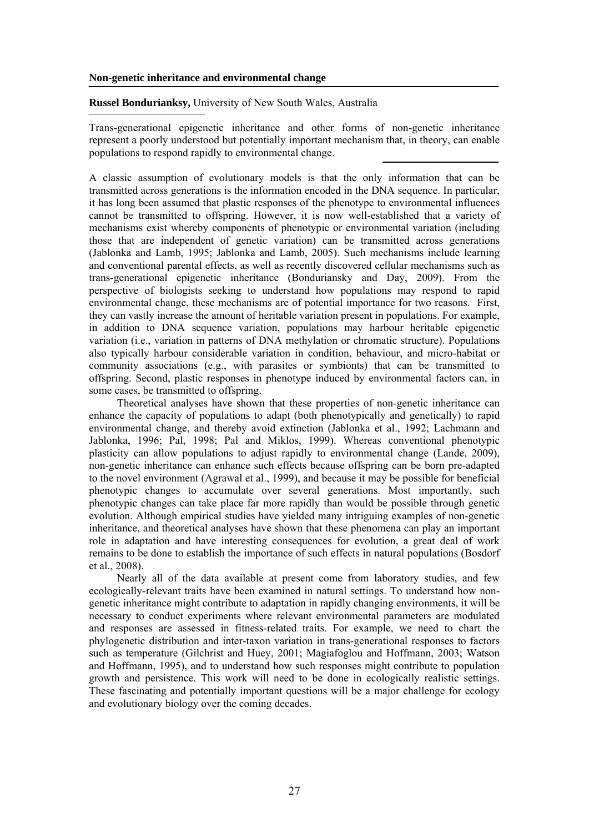### **Non-genetic inheritance and environmental change**

## **Russel Bondurianksy,** University of New South Wales, Australia

Trans-generational epigenetic inheritance and other forms of non-genetic inheritance represent a poorly understood but potentially important mechanism that, in theory, can enable populations to respond rapidly to environmental change.

A classic assumption of evolutionary models is that the only information that can be transmitted across generations is the information encoded in the DNA sequence. In particular, it has long been assumed that plastic responses of the phenotype to environmental influences cannot be transmitted to offspring. However, it is now well-established that a variety of mechanisms exist whereby components of phenotypic or environmental variation (including those that are independent of genetic variation) can be transmitted across generations (Jablonka and Lamb, 1995; Jablonka and Lamb, 2005). Such mechanisms include learning and conventional parental effects, as well as recently discovered cellular mechanisms such as trans-generational epigenetic inheritance (Bonduriansky and Day, 2009). From the perspective of biologists seeking to understand how populations may respond to rapid environmental change, these mechanisms are of potential importance for two reasons. First, they can vastly increase the amount of heritable variation present in populations. For example, in addition to DNA sequence variation, populations may harbour heritable epigenetic variation (i.e., variation in patterns of DNA methylation or chromatic structure). Populations also typically harbour considerable variation in condition, behaviour, and micro-habitat or community associations (e.g., with parasites or symbionts) that can be transmitted to offspring. Second, plastic responses in phenotype induced by environmental factors can, in some cases, be transmitted to offspring.

Theoretical analyses have shown that these properties of non-genetic inheritance can enhance the capacity of populations to adapt (both phenotypically and genetically) to rapid environmental change, and thereby avoid extinction (Jablonka et al., 1992; Lachmann and Jablonka, 1996; Pal, 1998; Pal and Miklos, 1999). Whereas conventional phenotypic plasticity can allow populations to adjust rapidly to environmental change (Lande, 2009), non-genetic inheritance can enhance such effects because offspring can be born pre-adapted to the novel environment (Agrawal et al., 1999), and because it may be possible for beneficial phenotypic changes to accumulate over several generations. Most importantly, such phenotypic changes can take place far more rapidly than would be possible through genetic evolution. Although empirical studies have yielded many intriguing examples of non-genetic inheritance, and theoretical analyses have shown that these phenomena can play an important role in adaptation and have interesting consequences for evolution, a great deal of work remains to be done to establish the importance of such effects in natural populations (Bosdorf et al., 2008).

Nearly all of the data available at present come from laboratory studies, and few ecologically-relevant traits have been examined in natural settings. To understand how nongenetic inheritance might contribute to adaptation in rapidly changing environments, it will be necessary to conduct experiments where relevant environmental parameters are modulated and responses are assessed in fitness-related traits. For example, we need to chart the phylogenetic distribution and inter-taxon variation in trans-generational responses to factors such as temperature (Gilchrist and Huey, 2001; Magiafoglou and Hoffmann, 2003; Watson and Hoffmann, 1995), and to understand how such responses might contribute to population growth and persistence. This work will need to be done in ecologically realistic settings. These fascinating and potentially important questions will be a major challenge for ecology and evolutionary biology over the coming decades.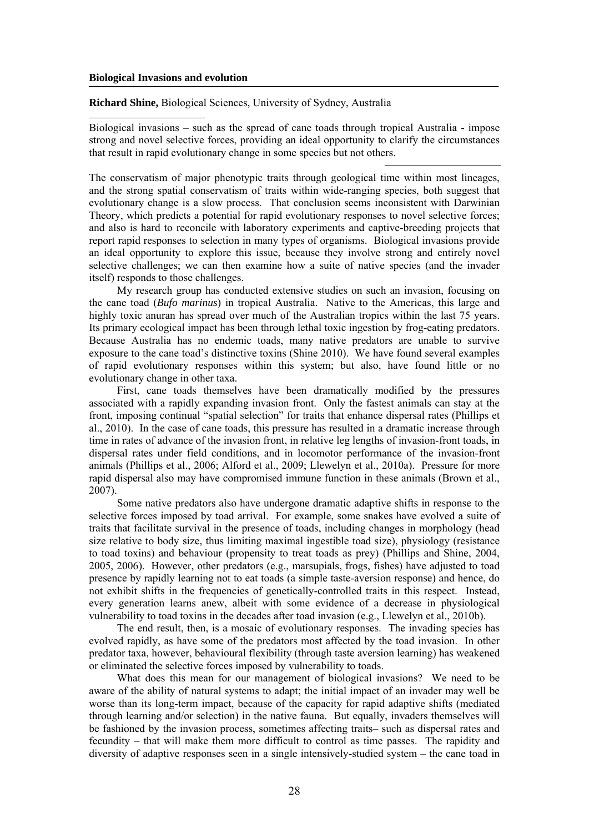#### **Biological Invasions and evolution**

**Richard Shine,** Biological Sciences, University of Sydney, Australia

Biological invasions – such as the spread of cane toads through tropical Australia - impose strong and novel selective forces, providing an ideal opportunity to clarify the circumstances that result in rapid evolutionary change in some species but not others.

The conservatism of major phenotypic traits through geological time within most lineages, and the strong spatial conservatism of traits within wide-ranging species, both suggest that evolutionary change is a slow process. That conclusion seems inconsistent with Darwinian Theory, which predicts a potential for rapid evolutionary responses to novel selective forces; and also is hard to reconcile with laboratory experiments and captive-breeding projects that report rapid responses to selection in many types of organisms. Biological invasions provide an ideal opportunity to explore this issue, because they involve strong and entirely novel selective challenges; we can then examine how a suite of native species (and the invader itself) responds to those challenges.

My research group has conducted extensive studies on such an invasion, focusing on the cane toad (*Bufo marinus*) in tropical Australia. Native to the Americas, this large and highly toxic anuran has spread over much of the Australian tropics within the last 75 years. Its primary ecological impact has been through lethal toxic ingestion by frog-eating predators. Because Australia has no endemic toads, many native predators are unable to survive exposure to the cane toad's distinctive toxins (Shine 2010). We have found several examples of rapid evolutionary responses within this system; but also, have found little or no evolutionary change in other taxa.

First, cane toads themselves have been dramatically modified by the pressures associated with a rapidly expanding invasion front. Only the fastest animals can stay at the front, imposing continual "spatial selection" for traits that enhance dispersal rates (Phillips et al., 2010). In the case of cane toads, this pressure has resulted in a dramatic increase through time in rates of advance of the invasion front, in relative leg lengths of invasion-front toads, in dispersal rates under field conditions, and in locomotor performance of the invasion-front animals (Phillips et al., 2006; Alford et al., 2009; Llewelyn et al., 2010a). Pressure for more rapid dispersal also may have compromised immune function in these animals (Brown et al., 2007).

Some native predators also have undergone dramatic adaptive shifts in response to the selective forces imposed by toad arrival. For example, some snakes have evolved a suite of traits that facilitate survival in the presence of toads, including changes in morphology (head size relative to body size, thus limiting maximal ingestible toad size), physiology (resistance to toad toxins) and behaviour (propensity to treat toads as prey) (Phillips and Shine, 2004, 2005, 2006). However, other predators (e.g., marsupials, frogs, fishes) have adjusted to toad presence by rapidly learning not to eat toads (a simple taste-aversion response) and hence, do not exhibit shifts in the frequencies of genetically-controlled traits in this respect. Instead, every generation learns anew, albeit with some evidence of a decrease in physiological vulnerability to toad toxins in the decades after toad invasion (e.g., Llewelyn et al., 2010b).

The end result, then, is a mosaic of evolutionary responses. The invading species has evolved rapidly, as have some of the predators most affected by the toad invasion. In other predator taxa, however, behavioural flexibility (through taste aversion learning) has weakened or eliminated the selective forces imposed by vulnerability to toads.

What does this mean for our management of biological invasions? We need to be aware of the ability of natural systems to adapt; the initial impact of an invader may well be worse than its long-term impact, because of the capacity for rapid adaptive shifts (mediated through learning and/or selection) in the native fauna. But equally, invaders themselves will be fashioned by the invasion process, sometimes affecting traits– such as dispersal rates and fecundity – that will make them more difficult to control as time passes. The rapidity and diversity of adaptive responses seen in a single intensively-studied system – the cane toad in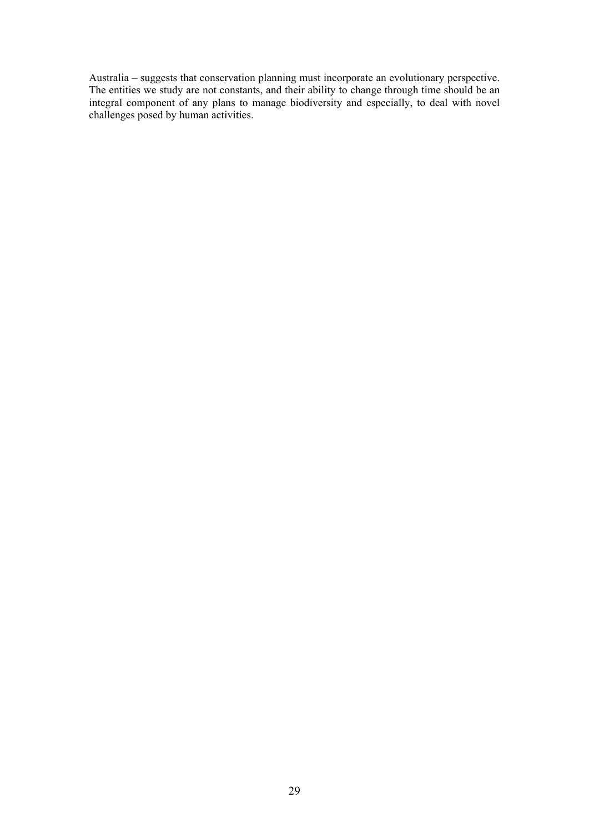Australia – suggests that conservation planning must incorporate an evolutionary perspective. The entities we study are not constants, and their ability to change through time should be an integral component of any plans to manage biodiversity and especially, to deal with novel challenges posed by human activities.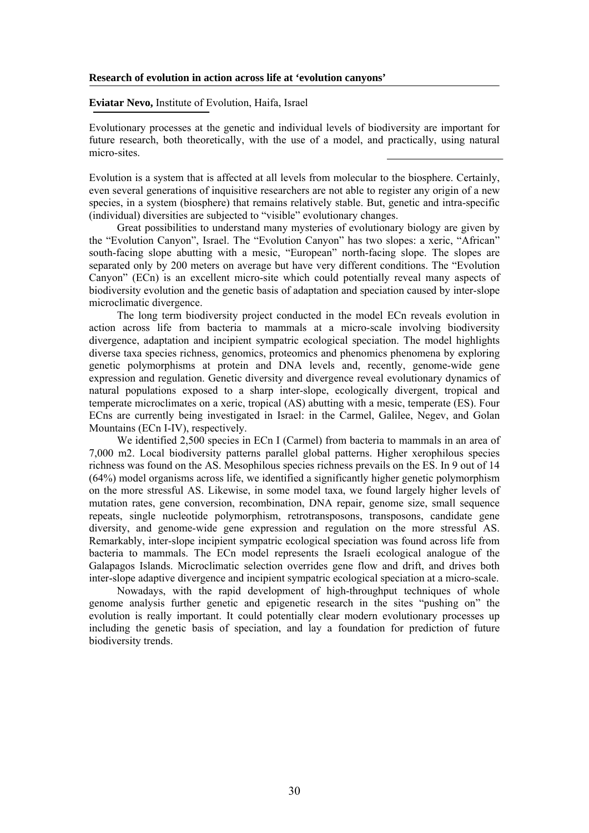#### **Research of evolution in action across life at 'evolution canyons'**

**Eviatar Nevo,** Institute of Evolution, Haifa, Israel

Evolutionary processes at the genetic and individual levels of biodiversity are important for future research, both theoretically, with the use of a model, and practically, using natural micro-sites.

Evolution is a system that is affected at all levels from molecular to the biosphere. Certainly, even several generations of inquisitive researchers are not able to register any origin of a new species, in a system (biosphere) that remains relatively stable. But, genetic and intra-specific (individual) diversities are subjected to "visible" evolutionary changes.

Great possibilities to understand many mysteries of evolutionary biology are given by the "Evolution Canyon", Israel. The "Evolution Canyon" has two slopes: a xeric, "African" south-facing slope abutting with a mesic, "European" north-facing slope. The slopes are separated only by 200 meters on average but have very different conditions. The "Evolution Canyon" (ECn) is an excellent micro-site which could potentially reveal many aspects of biodiversity evolution and the genetic basis of adaptation and speciation caused by inter-slope microclimatic divergence.

The long term biodiversity project conducted in the model ECn reveals evolution in action across life from bacteria to mammals at a micro-scale involving biodiversity divergence, adaptation and incipient sympatric ecological speciation. The model highlights diverse taxa species richness, genomics, proteomics and phenomics phenomena by exploring genetic polymorphisms at protein and DNA levels and, recently, genome-wide gene expression and regulation. Genetic diversity and divergence reveal evolutionary dynamics of natural populations exposed to a sharp inter-slope, ecologically divergent, tropical and temperate microclimates on a xeric, tropical (AS) abutting with a mesic, temperate (ES). Four ECns are currently being investigated in Israel: in the Carmel, Galilee, Negev, and Golan Mountains (ECn I-IV), respectively.

We identified 2,500 species in ECn I (Carmel) from bacteria to mammals in an area of 7,000 m2. Local biodiversity patterns parallel global patterns. Higher xerophilous species richness was found on the AS. Mesophilous species richness prevails on the ES. In 9 out of 14 (64%) model organisms across life, we identified a significantly higher genetic polymorphism on the more stressful AS. Likewise, in some model taxa, we found largely higher levels of mutation rates, gene conversion, recombination, DNA repair, genome size, small sequence repeats, single nucleotide polymorphism, retrotransposons, transposons, candidate gene diversity, and genome-wide gene expression and regulation on the more stressful AS. Remarkably, inter-slope incipient sympatric ecological speciation was found across life from bacteria to mammals. The ECn model represents the Israeli ecological analogue of the Galapagos Islands. Microclimatic selection overrides gene flow and drift, and drives both inter-slope adaptive divergence and incipient sympatric ecological speciation at a micro-scale.

Nowadays, with the rapid development of high-throughput techniques of whole genome analysis further genetic and epigenetic research in the sites "pushing on" the evolution is really important. It could potentially clear modern evolutionary processes up including the genetic basis of speciation, and lay a foundation for prediction of future biodiversity trends.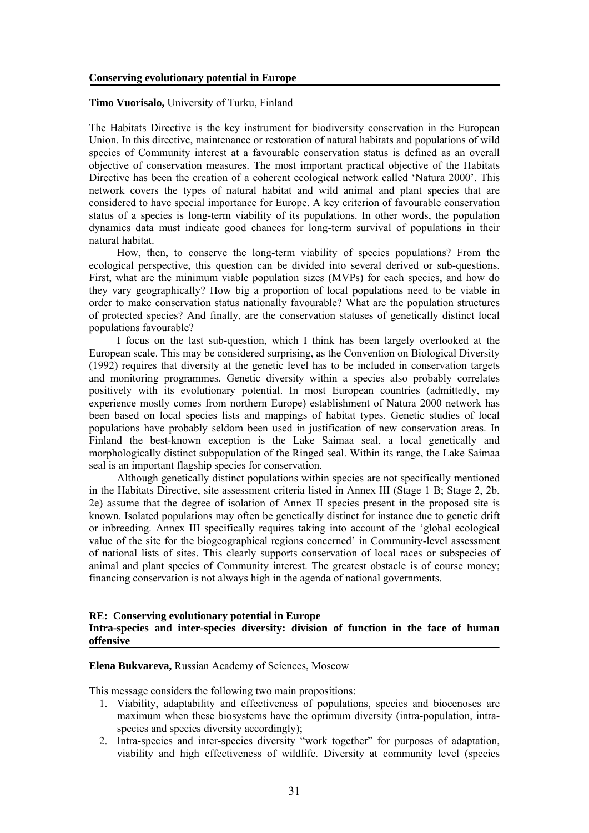**Timo Vuorisalo,** University of Turku, Finland

The Habitats Directive is the key instrument for biodiversity conservation in the European Union. In this directive, maintenance or restoration of natural habitats and populations of wild species of Community interest at a favourable conservation status is defined as an overall objective of conservation measures. The most important practical objective of the Habitats Directive has been the creation of a coherent ecological network called 'Natura 2000'. This network covers the types of natural habitat and wild animal and plant species that are considered to have special importance for Europe. A key criterion of favourable conservation status of a species is long-term viability of its populations. In other words, the population dynamics data must indicate good chances for long-term survival of populations in their natural habitat.

How, then, to conserve the long-term viability of species populations? From the ecological perspective, this question can be divided into several derived or sub-questions. First, what are the minimum viable population sizes (MVPs) for each species, and how do they vary geographically? How big a proportion of local populations need to be viable in order to make conservation status nationally favourable? What are the population structures of protected species? And finally, are the conservation statuses of genetically distinct local populations favourable?

I focus on the last sub-question, which I think has been largely overlooked at the European scale. This may be considered surprising, as the Convention on Biological Diversity (1992) requires that diversity at the genetic level has to be included in conservation targets and monitoring programmes. Genetic diversity within a species also probably correlates positively with its evolutionary potential. In most European countries (admittedly, my experience mostly comes from northern Europe) establishment of Natura 2000 network has been based on local species lists and mappings of habitat types. Genetic studies of local populations have probably seldom been used in justification of new conservation areas. In Finland the best-known exception is the Lake Saimaa seal, a local genetically and morphologically distinct subpopulation of the Ringed seal. Within its range, the Lake Saimaa seal is an important flagship species for conservation.

Although genetically distinct populations within species are not specifically mentioned in the Habitats Directive, site assessment criteria listed in Annex III (Stage 1 B; Stage 2, 2b, 2e) assume that the degree of isolation of Annex II species present in the proposed site is known. Isolated populations may often be genetically distinct for instance due to genetic drift or inbreeding. Annex III specifically requires taking into account of the 'global ecological value of the site for the biogeographical regions concerned' in Community-level assessment of national lists of sites. This clearly supports conservation of local races or subspecies of animal and plant species of Community interest. The greatest obstacle is of course money; financing conservation is not always high in the agenda of national governments.

### **RE: Conserving evolutionary potential in Europe Intra-species and inter-species diversity: division of function in the face of human offensive**

**Elena Bukvareva,** Russian Academy of Sciences, Moscow

This message considers the following two main propositions:

- 1. Viability, adaptability and effectiveness of populations, species and biocenoses are maximum when these biosystems have the optimum diversity (intra-population, intraspecies and species diversity accordingly);
- 2. Intra-species and inter-species diversity "work together" for purposes of adaptation, viability and high effectiveness of wildlife. Diversity at community level (species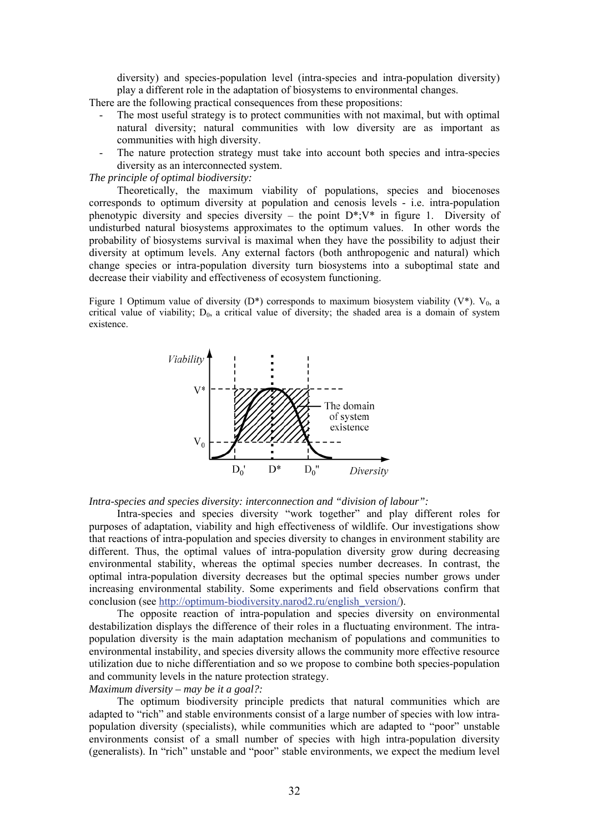diversity) and species-population level (intra-species and intra-population diversity) play a different role in the adaptation of biosystems to environmental changes.

There are the following practical consequences from these propositions:

- The most useful strategy is to protect communities with not maximal, but with optimal natural diversity; natural communities with low diversity are as important as communities with high diversity.
- The nature protection strategy must take into account both species and intra-species diversity as an interconnected system.

## *The principle of optimal biodiversity:*

Theoretically, the maximum viability of populations, species and biocenoses corresponds to optimum diversity at population and cenosis levels - i.e. intra-population phenotypic diversity and species diversity – the point  $D^*$ ; V\* in figure 1. Diversity of undisturbed natural biosystems approximates to the optimum values. In other words the probability of biosystems survival is maximal when they have the possibility to adjust their diversity at optimum levels. Any external factors (both anthropogenic and natural) which change species or intra-population diversity turn biosystems into a suboptimal state and decrease their viability and effectiveness of ecosystem functioning.

Figure 1 Optimum value of diversity (D<sup>\*</sup>) corresponds to maximum biosystem viability (V<sup>\*</sup>). V<sub>0</sub>, a critical value of viability;  $D_0$ , a critical value of diversity; the shaded area is a domain of system existence.



*Intra-species and species diversity: interconnection and "division of labour":* 

Intra-species and species diversity "work together" and play different roles for purposes of adaptation, viability and high effectiveness of wildlife. Our investigations show that reactions of intra-population and species diversity to changes in environment stability are different. Thus, the optimal values of intra-population diversity grow during decreasing environmental stability, whereas the optimal species number decreases. In contrast, the optimal intra-population diversity decreases but the optimal species number grows under increasing environmental stability. Some experiments and field observations confirm that conclusion (see http://optimum-biodiversity.narod2.ru/english\_version/).

The opposite reaction of intra-population and species diversity on environmental destabilization displays the difference of their roles in a fluctuating environment. The intrapopulation diversity is the main adaptation mechanism of populations and communities to environmental instability, and species diversity allows the community more effective resource utilization due to niche differentiation and so we propose to combine both species-population and community levels in the nature protection strategy.

## *Maximum diversity – may be it a goal?:*

The optimum biodiversity principle predicts that natural communities which are adapted to "rich" and stable environments consist of a large number of species with low intrapopulation diversity (specialists), while communities which are adapted to "poor" unstable environments consist of a small number of species with high intra-population diversity (generalists). In "rich" unstable and "poor" stable environments, we expect the medium level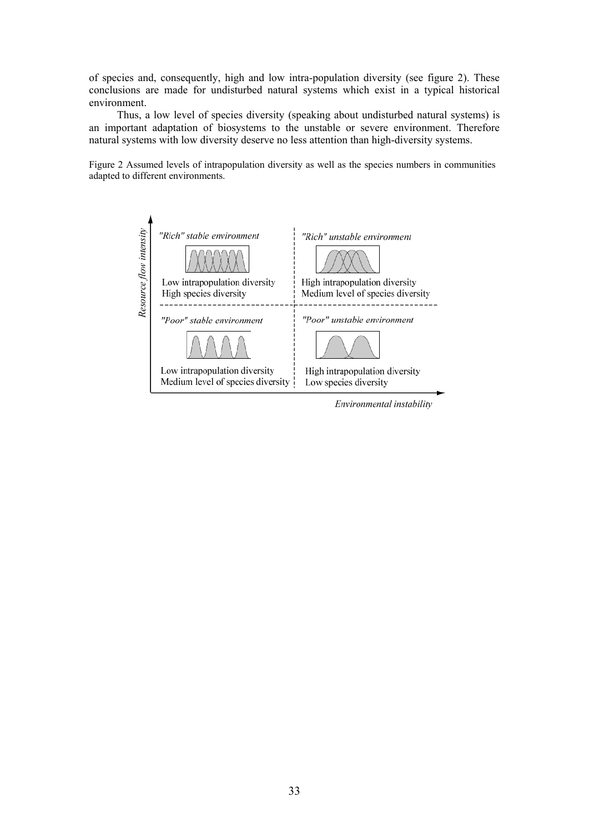of species and, consequently, high and low intra-population diversity (see figure 2). These conclusions are made for undisturbed natural systems which exist in a typical historical environment.

Thus, a low level of species diversity (speaking about undisturbed natural systems) is an important adaptation of biosystems to the unstable or severe environment. Therefore natural systems with low diversity deserve no less attention than high-diversity systems.

Figure 2 Assumed levels of intrapopulation diversity as well as the species numbers in communities adapted to different environments.



Environmental instability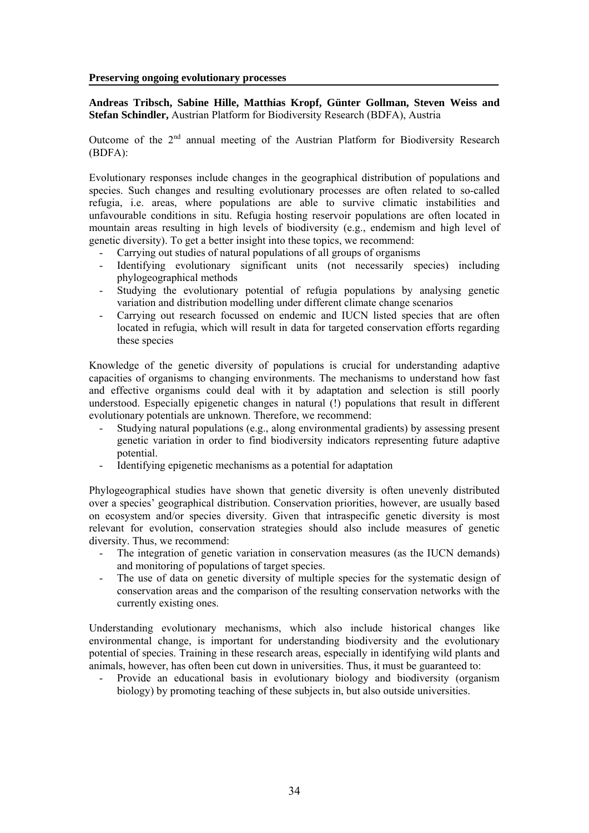**Preserving ongoing evolutionary processes** 

**Andreas Tribsch, Sabine Hille, Matthias Kropf, Günter Gollman, Steven Weiss and Stefan Schindler,** Austrian Platform for Biodiversity Research (BDFA), Austria

Outcome of the  $2<sup>nd</sup>$  annual meeting of the Austrian Platform for Biodiversity Research (BDFA):

Evolutionary responses include changes in the geographical distribution of populations and species. Such changes and resulting evolutionary processes are often related to so-called refugia, i.e. areas, where populations are able to survive climatic instabilities and unfavourable conditions in situ. Refugia hosting reservoir populations are often located in mountain areas resulting in high levels of biodiversity (e.g., endemism and high level of genetic diversity). To get a better insight into these topics, we recommend:

- Carrying out studies of natural populations of all groups of organisms
- Identifying evolutionary significant units (not necessarily species) including phylogeographical methods
- Studying the evolutionary potential of refugia populations by analysing genetic variation and distribution modelling under different climate change scenarios
- Carrying out research focussed on endemic and IUCN listed species that are often located in refugia, which will result in data for targeted conservation efforts regarding these species

Knowledge of the genetic diversity of populations is crucial for understanding adaptive capacities of organisms to changing environments. The mechanisms to understand how fast and effective organisms could deal with it by adaptation and selection is still poorly understood. Especially epigenetic changes in natural (!) populations that result in different evolutionary potentials are unknown. Therefore, we recommend:

- Studying natural populations (e.g., along environmental gradients) by assessing present genetic variation in order to find biodiversity indicators representing future adaptive potential.
- Identifying epigenetic mechanisms as a potential for adaptation

Phylogeographical studies have shown that genetic diversity is often unevenly distributed over a species' geographical distribution. Conservation priorities, however, are usually based on ecosystem and/or species diversity. Given that intraspecific genetic diversity is most relevant for evolution, conservation strategies should also include measures of genetic diversity. Thus, we recommend:

- The integration of genetic variation in conservation measures (as the IUCN demands) and monitoring of populations of target species.
- The use of data on genetic diversity of multiple species for the systematic design of conservation areas and the comparison of the resulting conservation networks with the currently existing ones.

Understanding evolutionary mechanisms, which also include historical changes like environmental change, is important for understanding biodiversity and the evolutionary potential of species. Training in these research areas, especially in identifying wild plants and animals, however, has often been cut down in universities. Thus, it must be guaranteed to:

- Provide an educational basis in evolutionary biology and biodiversity (organism biology) by promoting teaching of these subjects in, but also outside universities.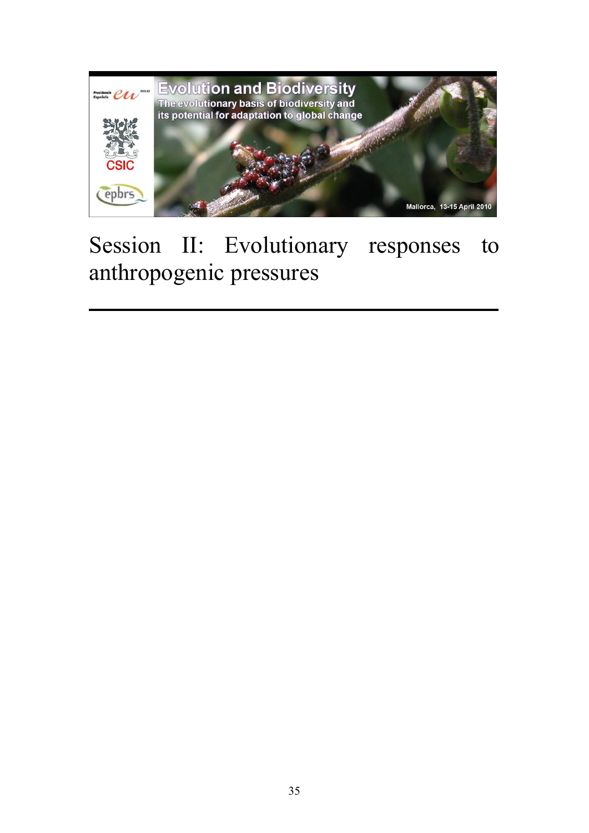

# Session II: Evolutionary responses to anthropogenic pressures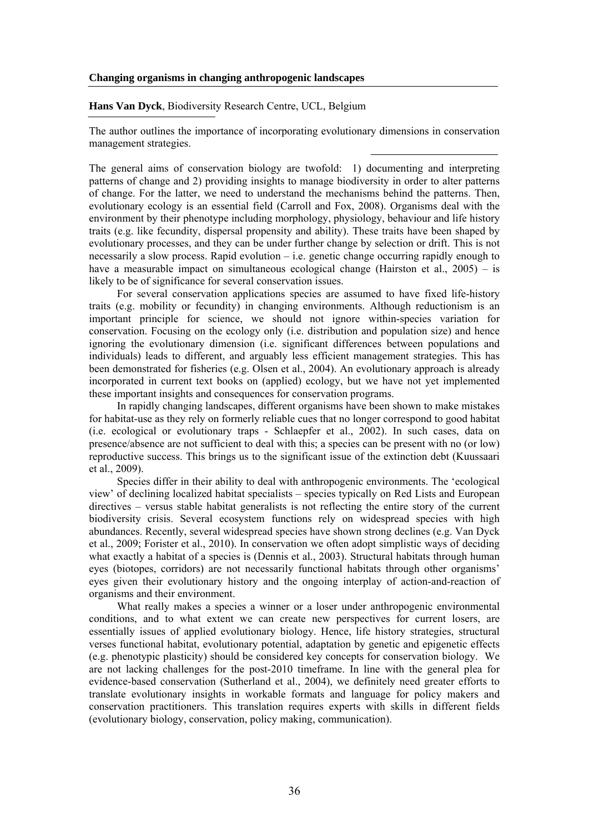#### **Changing organisms in changing anthropogenic landscapes**

## **Hans Van Dyck**, Biodiversity Research Centre, UCL, Belgium

The author outlines the importance of incorporating evolutionary dimensions in conservation management strategies.

The general aims of conservation biology are twofold: 1) documenting and interpreting patterns of change and 2) providing insights to manage biodiversity in order to alter patterns of change. For the latter, we need to understand the mechanisms behind the patterns. Then, evolutionary ecology is an essential field (Carroll and Fox, 2008). Organisms deal with the environment by their phenotype including morphology, physiology, behaviour and life history traits (e.g. like fecundity, dispersal propensity and ability). These traits have been shaped by evolutionary processes, and they can be under further change by selection or drift. This is not necessarily a slow process. Rapid evolution – i.e. genetic change occurring rapidly enough to have a measurable impact on simultaneous ecological change (Hairston et al., 2005) – is likely to be of significance for several conservation issues.

For several conservation applications species are assumed to have fixed life-history traits (e.g. mobility or fecundity) in changing environments. Although reductionism is an important principle for science, we should not ignore within-species variation for conservation. Focusing on the ecology only (i.e. distribution and population size) and hence ignoring the evolutionary dimension (i.e. significant differences between populations and individuals) leads to different, and arguably less efficient management strategies. This has been demonstrated for fisheries (e.g. Olsen et al., 2004). An evolutionary approach is already incorporated in current text books on (applied) ecology, but we have not yet implemented these important insights and consequences for conservation programs.

In rapidly changing landscapes, different organisms have been shown to make mistakes for habitat-use as they rely on formerly reliable cues that no longer correspond to good habitat (i.e. ecological or evolutionary traps - Schlaepfer et al., 2002). In such cases, data on presence/absence are not sufficient to deal with this; a species can be present with no (or low) reproductive success. This brings us to the significant issue of the extinction debt (Kuussaari et al., 2009).

Species differ in their ability to deal with anthropogenic environments. The 'ecological view' of declining localized habitat specialists – species typically on Red Lists and European directives – versus stable habitat generalists is not reflecting the entire story of the current biodiversity crisis. Several ecosystem functions rely on widespread species with high abundances. Recently, several widespread species have shown strong declines (e.g. Van Dyck et al., 2009; Forister et al., 2010). In conservation we often adopt simplistic ways of deciding what exactly a habitat of a species is (Dennis et al., 2003). Structural habitats through human eyes (biotopes, corridors) are not necessarily functional habitats through other organisms' eyes given their evolutionary history and the ongoing interplay of action-and-reaction of organisms and their environment.

What really makes a species a winner or a loser under anthropogenic environmental conditions, and to what extent we can create new perspectives for current losers, are essentially issues of applied evolutionary biology. Hence, life history strategies, structural verses functional habitat, evolutionary potential, adaptation by genetic and epigenetic effects (e.g. phenotypic plasticity) should be considered key concepts for conservation biology. We are not lacking challenges for the post-2010 timeframe. In line with the general plea for evidence-based conservation (Sutherland et al., 2004), we definitely need greater efforts to translate evolutionary insights in workable formats and language for policy makers and conservation practitioners. This translation requires experts with skills in different fields (evolutionary biology, conservation, policy making, communication).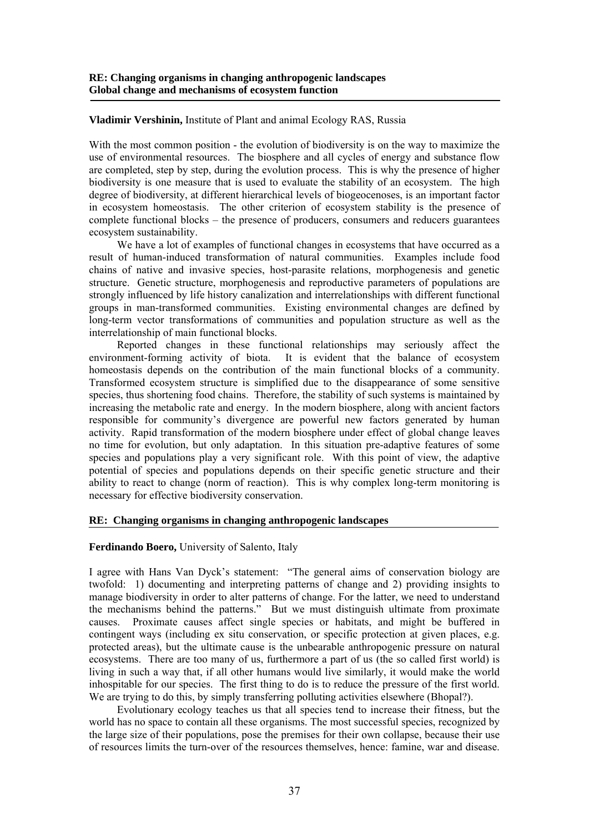# **Vladimir Vershinin,** Institute of Plant and animal Ecology RAS, Russia

With the most common position - the evolution of biodiversity is on the way to maximize the use of environmental resources. The biosphere and all cycles of energy and substance flow are completed, step by step, during the evolution process. This is why the presence of higher biodiversity is one measure that is used to evaluate the stability of an ecosystem. The high degree of biodiversity, at different hierarchical levels of biogeocenoses, is an important factor in ecosystem homeostasis. The other criterion of ecosystem stability is the presence of complete functional blocks – the presence of producers, consumers and reducers guarantees ecosystem sustainability.

We have a lot of examples of functional changes in ecosystems that have occurred as a result of human-induced transformation of natural communities. Examples include food chains of native and invasive species, host-parasite relations, morphogenesis and genetic structure. Genetic structure, morphogenesis and reproductive parameters of populations are strongly influenced by life history canalization and interrelationships with different functional groups in man-transformed communities. Existing environmental changes are defined by long-term vector transformations of communities and population structure as well as the interrelationship of main functional blocks.

Reported changes in these functional relationships may seriously affect the environment-forming activity of biota. It is evident that the balance of ecosystem homeostasis depends on the contribution of the main functional blocks of a community. Transformed ecosystem structure is simplified due to the disappearance of some sensitive species, thus shortening food chains. Therefore, the stability of such systems is maintained by increasing the metabolic rate and energy. In the modern biosphere, along with ancient factors responsible for community's divergence are powerful new factors generated by human activity. Rapid transformation of the modern biosphere under effect of global change leaves no time for evolution, but only adaptation. In this situation pre-adaptive features of some species and populations play a very significant role. With this point of view, the adaptive potential of species and populations depends on their specific genetic structure and their ability to react to change (norm of reaction). This is why complex long-term monitoring is necessary for effective biodiversity conservation.

### **RE: Changing organisms in changing anthropogenic landscapes**

#### **Ferdinando Boero,** University of Salento, Italy

I agree with Hans Van Dyck's statement: "The general aims of conservation biology are twofold: 1) documenting and interpreting patterns of change and 2) providing insights to manage biodiversity in order to alter patterns of change. For the latter, we need to understand the mechanisms behind the patterns." But we must distinguish ultimate from proximate causes. Proximate causes affect single species or habitats, and might be buffered in contingent ways (including ex situ conservation, or specific protection at given places, e.g. protected areas), but the ultimate cause is the unbearable anthropogenic pressure on natural ecosystems. There are too many of us, furthermore a part of us (the so called first world) is living in such a way that, if all other humans would live similarly, it would make the world inhospitable for our species. The first thing to do is to reduce the pressure of the first world. We are trying to do this, by simply transferring polluting activities elsewhere (Bhopal?).

Evolutionary ecology teaches us that all species tend to increase their fitness, but the world has no space to contain all these organisms. The most successful species, recognized by the large size of their populations, pose the premises for their own collapse, because their use of resources limits the turn-over of the resources themselves, hence: famine, war and disease.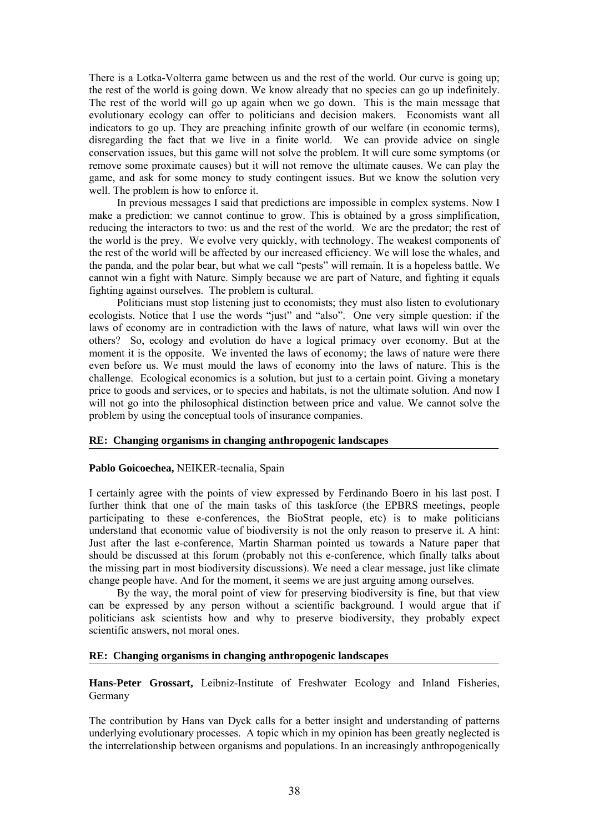There is a Lotka-Volterra game between us and the rest of the world. Our curve is going up; the rest of the world is going down. We know already that no species can go up indefinitely. The rest of the world will go up again when we go down. This is the main message that evolutionary ecology can offer to politicians and decision makers. Economists want all indicators to go up. They are preaching infinite growth of our welfare (in economic terms), disregarding the fact that we live in a finite world. We can provide advice on single conservation issues, but this game will not solve the problem. It will cure some symptoms (or remove some proximate causes) but it will not remove the ultimate causes. We can play the game, and ask for some money to study contingent issues. But we know the solution very well. The problem is how to enforce it.

In previous messages I said that predictions are impossible in complex systems. Now I make a prediction: we cannot continue to grow. This is obtained by a gross simplification, reducing the interactors to two: us and the rest of the world. We are the predator; the rest of the world is the prey. We evolve very quickly, with technology. The weakest components of the rest of the world will be affected by our increased efficiency. We will lose the whales, and the panda, and the polar bear, but what we call "pests" will remain. It is a hopeless battle. We cannot win a fight with Nature. Simply because we are part of Nature, and fighting it equals fighting against ourselves. The problem is cultural.

Politicians must stop listening just to economists; they must also listen to evolutionary ecologists. Notice that I use the words "just" and "also". One very simple question: if the laws of economy are in contradiction with the laws of nature, what laws will win over the others? So, ecology and evolution do have a logical primacy over economy. But at the moment it is the opposite. We invented the laws of economy; the laws of nature were there even before us. We must mould the laws of economy into the laws of nature. This is the challenge. Ecological economics is a solution, but just to a certain point. Giving a monetary price to goods and services, or to species and habitats, is not the ultimate solution. And now I will not go into the philosophical distinction between price and value. We cannot solve the problem by using the conceptual tools of insurance companies.

## **RE: Changing organisms in changing anthropogenic landscapes**

#### **Pablo Goicoechea,** NEIKER-tecnalia, Spain

I certainly agree with the points of view expressed by Ferdinando Boero in his last post. I further think that one of the main tasks of this taskforce (the EPBRS meetings, people participating to these e-conferences, the BioStrat people, etc) is to make politicians understand that economic value of biodiversity is not the only reason to preserve it. A hint: Just after the last e-conference, Martin Sharman pointed us towards a Nature paper that should be discussed at this forum (probably not this e-conference, which finally talks about the missing part in most biodiversity discussions). We need a clear message, just like climate change people have. And for the moment, it seems we are just arguing among ourselves.

By the way, the moral point of view for preserving biodiversity is fine, but that view can be expressed by any person without a scientific background. I would argue that if politicians ask scientists how and why to preserve biodiversity, they probably expect scientific answers, not moral ones.

# **RE: Changing organisms in changing anthropogenic landscapes**

**Hans-Peter Grossart,** Leibniz-Institute of Freshwater Ecology and Inland Fisheries, Germany

The contribution by Hans van Dyck calls for a better insight and understanding of patterns underlying evolutionary processes. A topic which in my opinion has been greatly neglected is the interrelationship between organisms and populations. In an increasingly anthropogenically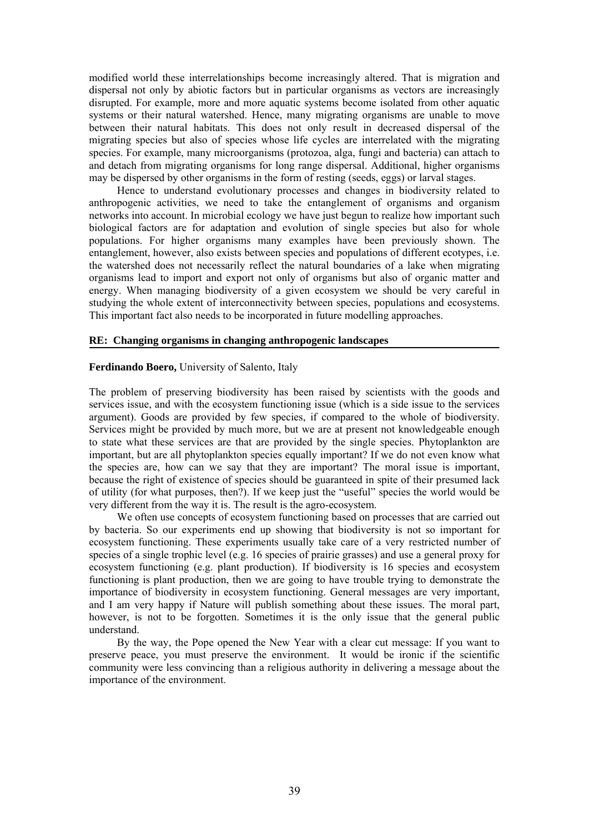modified world these interrelationships become increasingly altered. That is migration and dispersal not only by abiotic factors but in particular organisms as vectors are increasingly disrupted. For example, more and more aquatic systems become isolated from other aquatic systems or their natural watershed. Hence, many migrating organisms are unable to move between their natural habitats. This does not only result in decreased dispersal of the migrating species but also of species whose life cycles are interrelated with the migrating species. For example, many microorganisms (protozoa, alga, fungi and bacteria) can attach to and detach from migrating organisms for long range dispersal. Additional, higher organisms may be dispersed by other organisms in the form of resting (seeds, eggs) or larval stages.

Hence to understand evolutionary processes and changes in biodiversity related to anthropogenic activities, we need to take the entanglement of organisms and organism networks into account. In microbial ecology we have just begun to realize how important such biological factors are for adaptation and evolution of single species but also for whole populations. For higher organisms many examples have been previously shown. The entanglement, however, also exists between species and populations of different ecotypes, i.e. the watershed does not necessarily reflect the natural boundaries of a lake when migrating organisms lead to import and export not only of organisms but also of organic matter and energy. When managing biodiversity of a given ecosystem we should be very careful in studying the whole extent of interconnectivity between species, populations and ecosystems. This important fact also needs to be incorporated in future modelling approaches.

#### **RE: Changing organisms in changing anthropogenic landscapes**

## **Ferdinando Boero,** University of Salento, Italy

The problem of preserving biodiversity has been raised by scientists with the goods and services issue, and with the ecosystem functioning issue (which is a side issue to the services argument). Goods are provided by few species, if compared to the whole of biodiversity. Services might be provided by much more, but we are at present not knowledgeable enough to state what these services are that are provided by the single species. Phytoplankton are important, but are all phytoplankton species equally important? If we do not even know what the species are, how can we say that they are important? The moral issue is important, because the right of existence of species should be guaranteed in spite of their presumed lack of utility (for what purposes, then?). If we keep just the "useful" species the world would be very different from the way it is. The result is the agro-ecosystem.

We often use concepts of ecosystem functioning based on processes that are carried out by bacteria. So our experiments end up showing that biodiversity is not so important for ecosystem functioning. These experiments usually take care of a very restricted number of species of a single trophic level (e.g. 16 species of prairie grasses) and use a general proxy for ecosystem functioning (e.g. plant production). If biodiversity is 16 species and ecosystem functioning is plant production, then we are going to have trouble trying to demonstrate the importance of biodiversity in ecosystem functioning. General messages are very important, and I am very happy if Nature will publish something about these issues. The moral part, however, is not to be forgotten. Sometimes it is the only issue that the general public understand.

By the way, the Pope opened the New Year with a clear cut message: If you want to preserve peace, you must preserve the environment. It would be ironic if the scientific community were less convincing than a religious authority in delivering a message about the importance of the environment.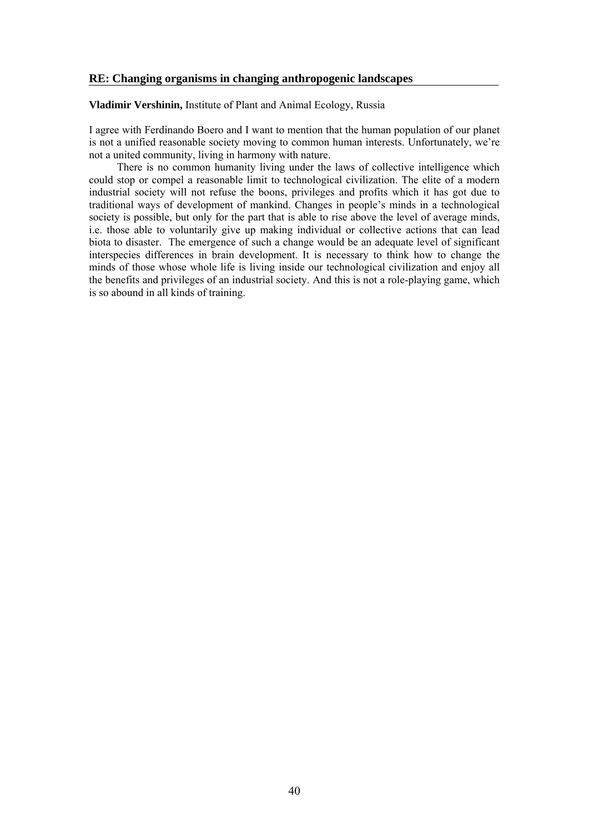# **RE: Changing organisms in changing anthropogenic landscapes**

**Vladimir Vershinin,** Institute of Plant and Animal Ecology, Russia

I agree with Ferdinando Boero and I want to mention that the human population of our planet is not a unified reasonable society moving to common human interests. Unfortunately, we're not a united community, living in harmony with nature.

There is no common humanity living under the laws of collective intelligence which could stop or compel a reasonable limit to technological civilization. The elite of a modern industrial society will not refuse the boons, privileges and profits which it has got due to traditional ways of development of mankind. Changes in people's minds in a technological society is possible, but only for the part that is able to rise above the level of average minds, i.e. those able to voluntarily give up making individual or collective actions that can lead biota to disaster. The emergence of such a change would be an adequate level of significant interspecies differences in brain development. It is necessary to think how to change the minds of those whose whole life is living inside our technological civilization and enjoy all the benefits and privileges of an industrial society. And this is not a role-playing game, which is so abound in all kinds of training.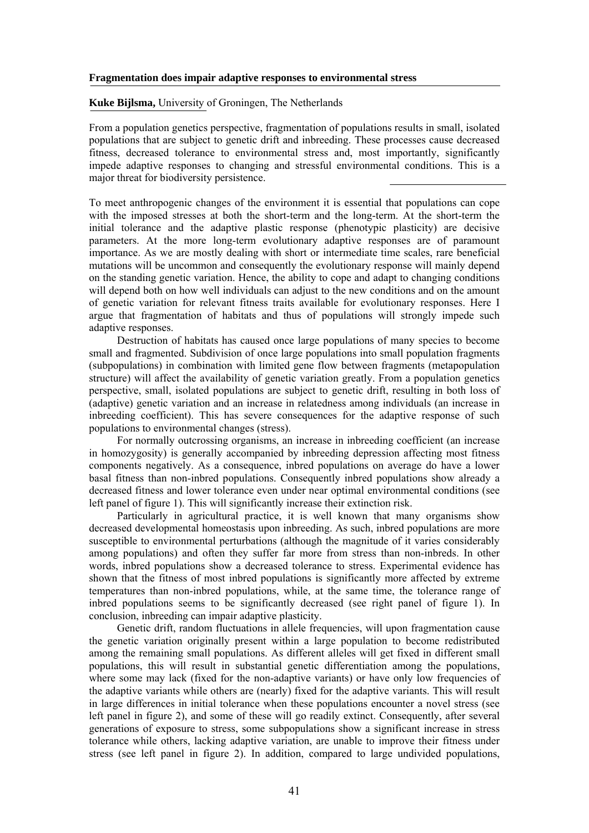#### **Fragmentation does impair adaptive responses to environmental stress**

**Kuke Bijlsma,** University of Groningen, The Netherlands

From a population genetics perspective, fragmentation of populations results in small, isolated populations that are subject to genetic drift and inbreeding. These processes cause decreased fitness, decreased tolerance to environmental stress and, most importantly, significantly impede adaptive responses to changing and stressful environmental conditions. This is a major threat for biodiversity persistence.

To meet anthropogenic changes of the environment it is essential that populations can cope with the imposed stresses at both the short-term and the long-term. At the short-term the initial tolerance and the adaptive plastic response (phenotypic plasticity) are decisive parameters. At the more long-term evolutionary adaptive responses are of paramount importance. As we are mostly dealing with short or intermediate time scales, rare beneficial mutations will be uncommon and consequently the evolutionary response will mainly depend on the standing genetic variation. Hence, the ability to cope and adapt to changing conditions will depend both on how well individuals can adjust to the new conditions and on the amount of genetic variation for relevant fitness traits available for evolutionary responses. Here I argue that fragmentation of habitats and thus of populations will strongly impede such adaptive responses.

Destruction of habitats has caused once large populations of many species to become small and fragmented. Subdivision of once large populations into small population fragments (subpopulations) in combination with limited gene flow between fragments (metapopulation structure) will affect the availability of genetic variation greatly. From a population genetics perspective, small, isolated populations are subject to genetic drift, resulting in both loss of (adaptive) genetic variation and an increase in relatedness among individuals (an increase in inbreeding coefficient). This has severe consequences for the adaptive response of such populations to environmental changes (stress).

For normally outcrossing organisms, an increase in inbreeding coefficient (an increase in homozygosity) is generally accompanied by inbreeding depression affecting most fitness components negatively. As a consequence, inbred populations on average do have a lower basal fitness than non-inbred populations. Consequently inbred populations show already a decreased fitness and lower tolerance even under near optimal environmental conditions (see left panel of figure 1). This will significantly increase their extinction risk.

Particularly in agricultural practice, it is well known that many organisms show decreased developmental homeostasis upon inbreeding. As such, inbred populations are more susceptible to environmental perturbations (although the magnitude of it varies considerably among populations) and often they suffer far more from stress than non-inbreds. In other words, inbred populations show a decreased tolerance to stress. Experimental evidence has shown that the fitness of most inbred populations is significantly more affected by extreme temperatures than non-inbred populations, while, at the same time, the tolerance range of inbred populations seems to be significantly decreased (see right panel of figure 1). In conclusion, inbreeding can impair adaptive plasticity.

Genetic drift, random fluctuations in allele frequencies, will upon fragmentation cause the genetic variation originally present within a large population to become redistributed among the remaining small populations. As different alleles will get fixed in different small populations, this will result in substantial genetic differentiation among the populations, where some may lack (fixed for the non-adaptive variants) or have only low frequencies of the adaptive variants while others are (nearly) fixed for the adaptive variants. This will result in large differences in initial tolerance when these populations encounter a novel stress (see left panel in figure 2), and some of these will go readily extinct. Consequently, after several generations of exposure to stress, some subpopulations show a significant increase in stress tolerance while others, lacking adaptive variation, are unable to improve their fitness under stress (see left panel in figure 2). In addition, compared to large undivided populations,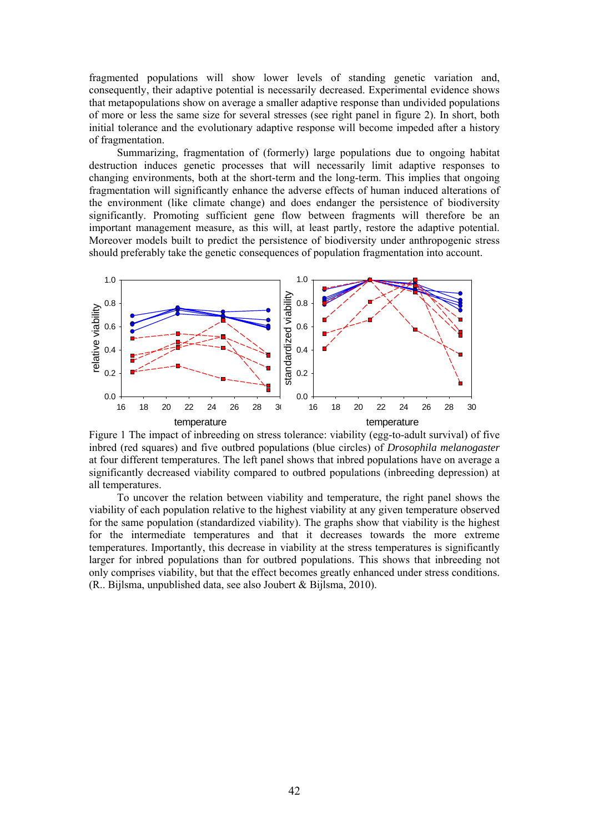fragmented populations will show lower levels of standing genetic variation and, consequently, their adaptive potential is necessarily decreased. Experimental evidence shows that metapopulations show on average a smaller adaptive response than undivided populations of more or less the same size for several stresses (see right panel in figure 2). In short, both initial tolerance and the evolutionary adaptive response will become impeded after a history of fragmentation.

Summarizing, fragmentation of (formerly) large populations due to ongoing habitat destruction induces genetic processes that will necessarily limit adaptive responses to changing environments, both at the short-term and the long-term. This implies that ongoing fragmentation will significantly enhance the adverse effects of human induced alterations of the environment (like climate change) and does endanger the persistence of biodiversity significantly. Promoting sufficient gene flow between fragments will therefore be an important management measure, as this will, at least partly, restore the adaptive potential. Moreover models built to predict the persistence of biodiversity under anthropogenic stress should preferably take the genetic consequences of population fragmentation into account.



Figure 1 The impact of inbreeding on stress tolerance: viability (egg-to-adult survival) of five inbred (red squares) and five outbred populations (blue circles) of *Drosophila melanogaster* at four different temperatures. The left panel shows that inbred populations have on average a significantly decreased viability compared to outbred populations (inbreeding depression) at all temperatures.

To uncover the relation between viability and temperature, the right panel shows the viability of each population relative to the highest viability at any given temperature observed for the same population (standardized viability). The graphs show that viability is the highest for the intermediate temperatures and that it decreases towards the more extreme temperatures. Importantly, this decrease in viability at the stress temperatures is significantly larger for inbred populations than for outbred populations. This shows that inbreeding not only comprises viability, but that the effect becomes greatly enhanced under stress conditions. (R.. Bijlsma, unpublished data, see also Joubert & Bijlsma, 2010).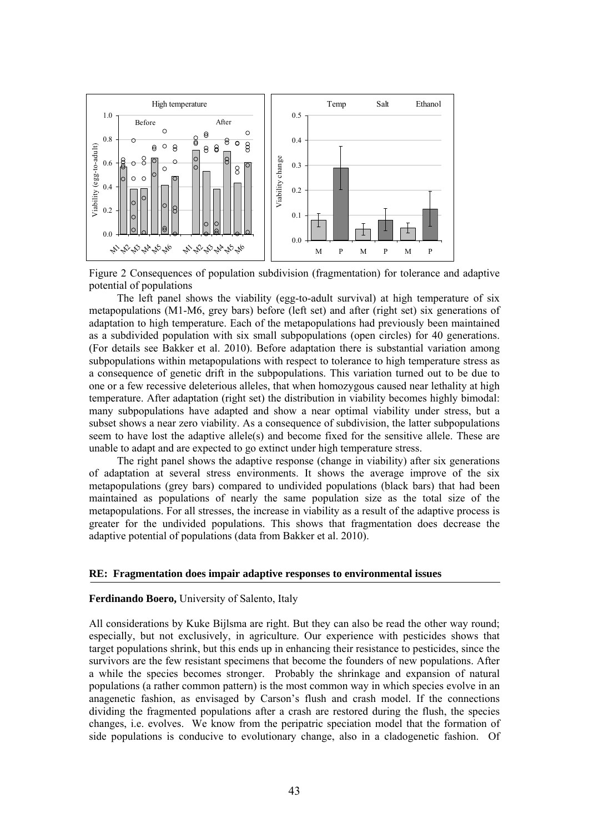

Figure 2 Consequences of population subdivision (fragmentation) for tolerance and adaptive potential of populations

The left panel shows the viability (egg-to-adult survival) at high temperature of six metapopulations (M1-M6, grey bars) before (left set) and after (right set) six generations of adaptation to high temperature. Each of the metapopulations had previously been maintained as a subdivided population with six small subpopulations (open circles) for 40 generations. (For details see Bakker et al. 2010). Before adaptation there is substantial variation among subpopulations within metapopulations with respect to tolerance to high temperature stress as a consequence of genetic drift in the subpopulations. This variation turned out to be due to one or a few recessive deleterious alleles, that when homozygous caused near lethality at high temperature. After adaptation (right set) the distribution in viability becomes highly bimodal: many subpopulations have adapted and show a near optimal viability under stress, but a subset shows a near zero viability. As a consequence of subdivision, the latter subpopulations seem to have lost the adaptive allele(s) and become fixed for the sensitive allele. These are unable to adapt and are expected to go extinct under high temperature stress.

The right panel shows the adaptive response (change in viability) after six generations of adaptation at several stress environments. It shows the average improve of the six metapopulations (grey bars) compared to undivided populations (black bars) that had been maintained as populations of nearly the same population size as the total size of the metapopulations. For all stresses, the increase in viability as a result of the adaptive process is greater for the undivided populations. This shows that fragmentation does decrease the adaptive potential of populations (data from Bakker et al. 2010).

#### **RE: Fragmentation does impair adaptive responses to environmental issues**

#### **Ferdinando Boero,** University of Salento, Italy

All considerations by Kuke Bijlsma are right. But they can also be read the other way round; especially, but not exclusively, in agriculture. Our experience with pesticides shows that target populations shrink, but this ends up in enhancing their resistance to pesticides, since the survivors are the few resistant specimens that become the founders of new populations. After a while the species becomes stronger. Probably the shrinkage and expansion of natural populations (a rather common pattern) is the most common way in which species evolve in an anagenetic fashion, as envisaged by Carson's flush and crash model. If the connections dividing the fragmented populations after a crash are restored during the flush, the species changes, i.e. evolves. We know from the peripatric speciation model that the formation of side populations is conducive to evolutionary change, also in a cladogenetic fashion. Of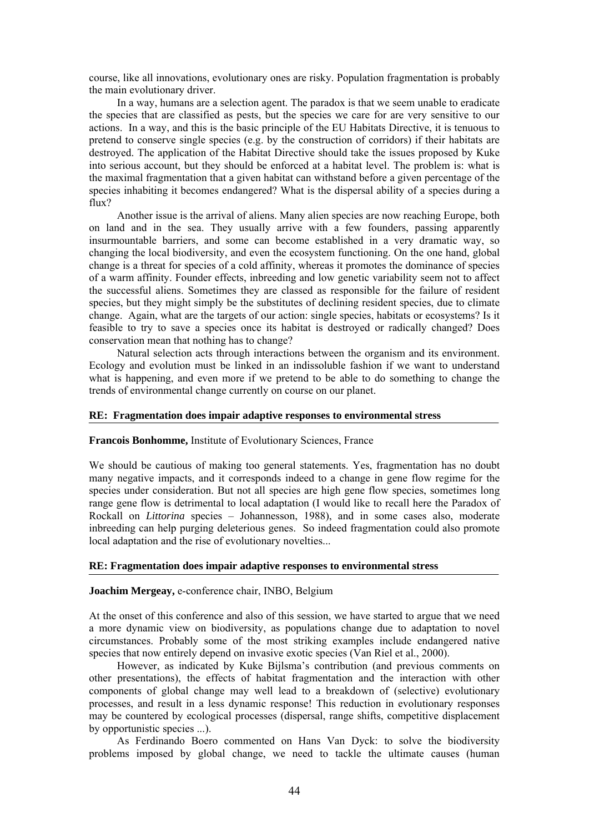course, like all innovations, evolutionary ones are risky. Population fragmentation is probably the main evolutionary driver.

In a way, humans are a selection agent. The paradox is that we seem unable to eradicate the species that are classified as pests, but the species we care for are very sensitive to our actions. In a way, and this is the basic principle of the EU Habitats Directive, it is tenuous to pretend to conserve single species (e.g. by the construction of corridors) if their habitats are destroyed. The application of the Habitat Directive should take the issues proposed by Kuke into serious account, but they should be enforced at a habitat level. The problem is: what is the maximal fragmentation that a given habitat can withstand before a given percentage of the species inhabiting it becomes endangered? What is the dispersal ability of a species during a flux?

Another issue is the arrival of aliens. Many alien species are now reaching Europe, both on land and in the sea. They usually arrive with a few founders, passing apparently insurmountable barriers, and some can become established in a very dramatic way, so changing the local biodiversity, and even the ecosystem functioning. On the one hand, global change is a threat for species of a cold affinity, whereas it promotes the dominance of species of a warm affinity. Founder effects, inbreeding and low genetic variability seem not to affect the successful aliens. Sometimes they are classed as responsible for the failure of resident species, but they might simply be the substitutes of declining resident species, due to climate change. Again, what are the targets of our action: single species, habitats or ecosystems? Is it feasible to try to save a species once its habitat is destroyed or radically changed? Does conservation mean that nothing has to change?

Natural selection acts through interactions between the organism and its environment. Ecology and evolution must be linked in an indissoluble fashion if we want to understand what is happening, and even more if we pretend to be able to do something to change the trends of environmental change currently on course on our planet.

# **RE: Fragmentation does impair adaptive responses to environmental stress**

#### **Francois Bonhomme,** Institute of Evolutionary Sciences, France

We should be cautious of making too general statements. Yes, fragmentation has no doubt many negative impacts, and it corresponds indeed to a change in gene flow regime for the species under consideration. But not all species are high gene flow species, sometimes long range gene flow is detrimental to local adaptation (I would like to recall here the Paradox of Rockall on *Littorina* species – Johannesson, 1988), and in some cases also, moderate inbreeding can help purging deleterious genes. So indeed fragmentation could also promote local adaptation and the rise of evolutionary novelties...

# **RE: Fragmentation does impair adaptive responses to environmental stress**

# **Joachim Mergeay,** e-conference chair, INBO, Belgium

At the onset of this conference and also of this session, we have started to argue that we need a more dynamic view on biodiversity, as populations change due to adaptation to novel circumstances. Probably some of the most striking examples include endangered native species that now entirely depend on invasive exotic species (Van Riel et al., 2000).

However, as indicated by Kuke Bijlsma's contribution (and previous comments on other presentations), the effects of habitat fragmentation and the interaction with other components of global change may well lead to a breakdown of (selective) evolutionary processes, and result in a less dynamic response! This reduction in evolutionary responses may be countered by ecological processes (dispersal, range shifts, competitive displacement by opportunistic species ...).

As Ferdinando Boero commented on Hans Van Dyck: to solve the biodiversity problems imposed by global change, we need to tackle the ultimate causes (human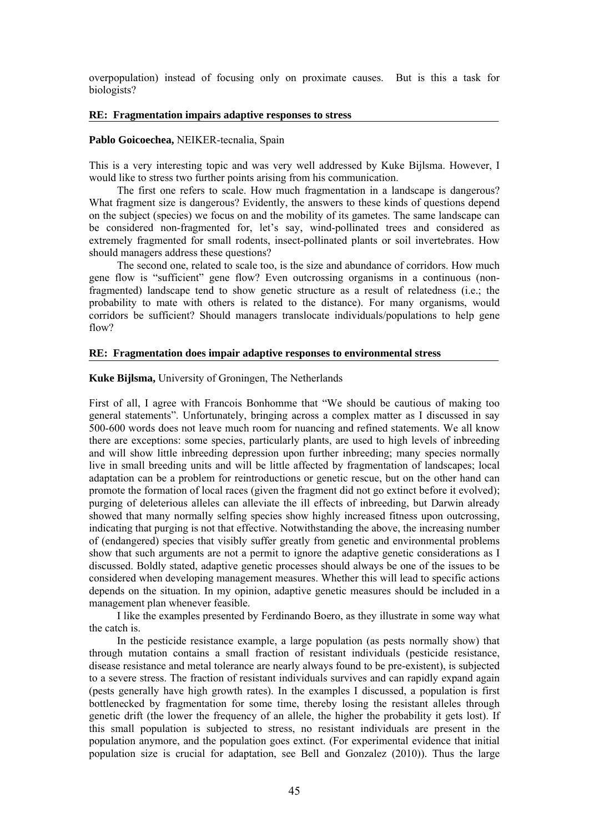overpopulation) instead of focusing only on proximate causes. But is this a task for biologists?

#### **RE: Fragmentation impairs adaptive responses to stress**

## **Pablo Goicoechea,** NEIKER-tecnalia, Spain

This is a very interesting topic and was very well addressed by Kuke Bijlsma. However, I would like to stress two further points arising from his communication.

The first one refers to scale. How much fragmentation in a landscape is dangerous? What fragment size is dangerous? Evidently, the answers to these kinds of questions depend on the subject (species) we focus on and the mobility of its gametes. The same landscape can be considered non-fragmented for, let's say, wind-pollinated trees and considered as extremely fragmented for small rodents, insect-pollinated plants or soil invertebrates. How should managers address these questions?

The second one, related to scale too, is the size and abundance of corridors. How much gene flow is "sufficient" gene flow? Even outcrossing organisms in a continuous (nonfragmented) landscape tend to show genetic structure as a result of relatedness (i.e.; the probability to mate with others is related to the distance). For many organisms, would corridors be sufficient? Should managers translocate individuals/populations to help gene flow?

## **RE: Fragmentation does impair adaptive responses to environmental stress**

#### **Kuke Bijlsma,** University of Groningen, The Netherlands

First of all, I agree with Francois Bonhomme that "We should be cautious of making too general statements". Unfortunately, bringing across a complex matter as I discussed in say 500-600 words does not leave much room for nuancing and refined statements. We all know there are exceptions: some species, particularly plants, are used to high levels of inbreeding and will show little inbreeding depression upon further inbreeding; many species normally live in small breeding units and will be little affected by fragmentation of landscapes; local adaptation can be a problem for reintroductions or genetic rescue, but on the other hand can promote the formation of local races (given the fragment did not go extinct before it evolved); purging of deleterious alleles can alleviate the ill effects of inbreeding, but Darwin already showed that many normally selfing species show highly increased fitness upon outcrossing, indicating that purging is not that effective. Notwithstanding the above, the increasing number of (endangered) species that visibly suffer greatly from genetic and environmental problems show that such arguments are not a permit to ignore the adaptive genetic considerations as I discussed. Boldly stated, adaptive genetic processes should always be one of the issues to be considered when developing management measures. Whether this will lead to specific actions depends on the situation. In my opinion, adaptive genetic measures should be included in a management plan whenever feasible.

I like the examples presented by Ferdinando Boero, as they illustrate in some way what the catch is.

In the pesticide resistance example, a large population (as pests normally show) that through mutation contains a small fraction of resistant individuals (pesticide resistance, disease resistance and metal tolerance are nearly always found to be pre-existent), is subjected to a severe stress. The fraction of resistant individuals survives and can rapidly expand again (pests generally have high growth rates). In the examples I discussed, a population is first bottlenecked by fragmentation for some time, thereby losing the resistant alleles through genetic drift (the lower the frequency of an allele, the higher the probability it gets lost). If this small population is subjected to stress, no resistant individuals are present in the population anymore, and the population goes extinct. (For experimental evidence that initial population size is crucial for adaptation, see Bell and Gonzalez (2010)). Thus the large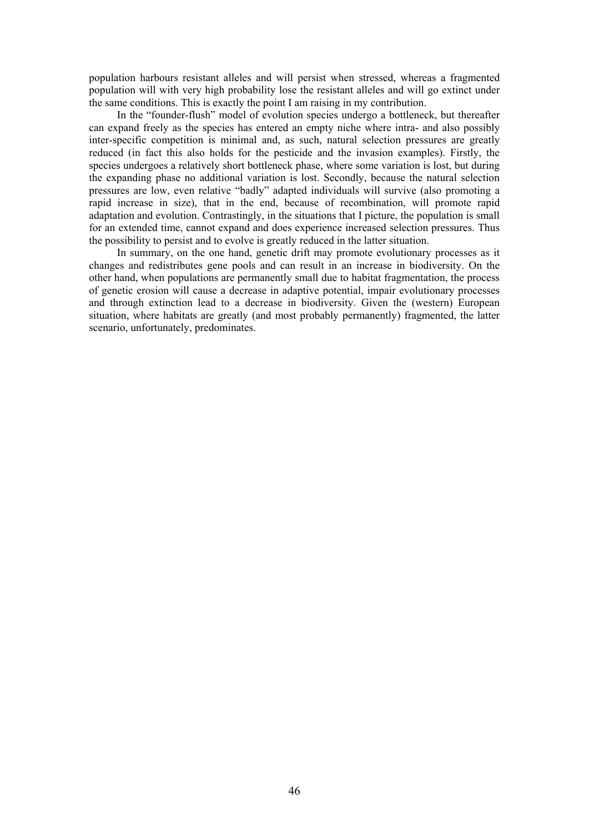population harbours resistant alleles and will persist when stressed, whereas a fragmented population will with very high probability lose the resistant alleles and will go extinct under the same conditions. This is exactly the point I am raising in my contribution.

In the "founder-flush" model of evolution species undergo a bottleneck, but thereafter can expand freely as the species has entered an empty niche where intra- and also possibly inter-specific competition is minimal and, as such, natural selection pressures are greatly reduced (in fact this also holds for the pesticide and the invasion examples). Firstly, the species undergoes a relatively short bottleneck phase, where some variation is lost, but during the expanding phase no additional variation is lost. Secondly, because the natural selection pressures are low, even relative "badly" adapted individuals will survive (also promoting a rapid increase in size), that in the end, because of recombination, will promote rapid adaptation and evolution. Contrastingly, in the situations that I picture, the population is small for an extended time, cannot expand and does experience increased selection pressures. Thus the possibility to persist and to evolve is greatly reduced in the latter situation.

In summary, on the one hand, genetic drift may promote evolutionary processes as it changes and redistributes gene pools and can result in an increase in biodiversity. On the other hand, when populations are permanently small due to habitat fragmentation, the process of genetic erosion will cause a decrease in adaptive potential, impair evolutionary processes and through extinction lead to a decrease in biodiversity. Given the (western) European situation, where habitats are greatly (and most probably permanently) fragmented, the latter scenario, unfortunately, predominates.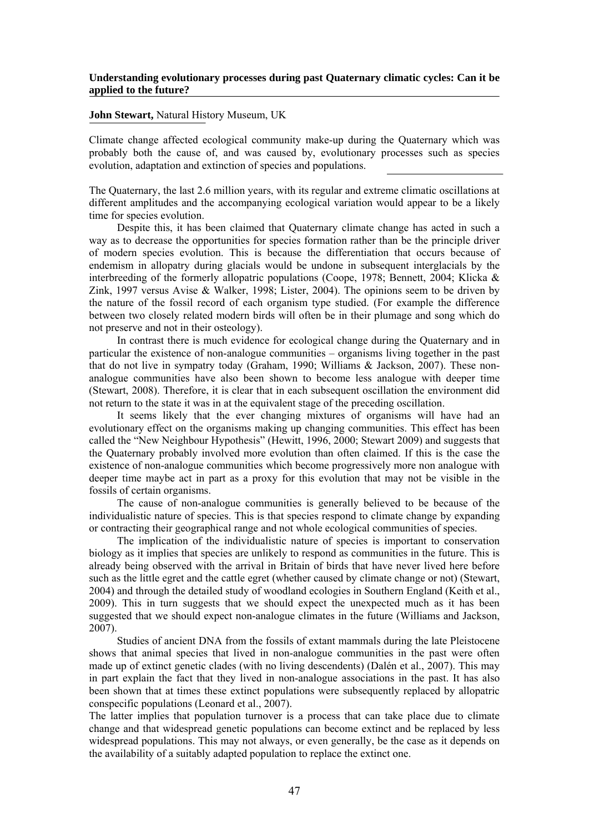# **Understanding evolutionary processes during past Quaternary climatic cycles: Can it be applied to the future?**

## **John Stewart,** Natural History Museum, UK

Climate change affected ecological community make-up during the Quaternary which was probably both the cause of, and was caused by, evolutionary processes such as species evolution, adaptation and extinction of species and populations.

The Quaternary, the last 2.6 million years, with its regular and extreme climatic oscillations at different amplitudes and the accompanying ecological variation would appear to be a likely time for species evolution.

Despite this, it has been claimed that Quaternary climate change has acted in such a way as to decrease the opportunities for species formation rather than be the principle driver of modern species evolution. This is because the differentiation that occurs because of endemism in allopatry during glacials would be undone in subsequent interglacials by the interbreeding of the formerly allopatric populations (Coope, 1978; Bennett, 2004; Klicka & Zink, 1997 versus Avise & Walker, 1998; Lister, 2004). The opinions seem to be driven by the nature of the fossil record of each organism type studied. (For example the difference between two closely related modern birds will often be in their plumage and song which do not preserve and not in their osteology).

In contrast there is much evidence for ecological change during the Quaternary and in particular the existence of non-analogue communities – organisms living together in the past that do not live in sympatry today (Graham, 1990; Williams & Jackson, 2007). These nonanalogue communities have also been shown to become less analogue with deeper time (Stewart, 2008). Therefore, it is clear that in each subsequent oscillation the environment did not return to the state it was in at the equivalent stage of the preceding oscillation.

It seems likely that the ever changing mixtures of organisms will have had an evolutionary effect on the organisms making up changing communities. This effect has been called the "New Neighbour Hypothesis" (Hewitt, 1996, 2000; Stewart 2009) and suggests that the Quaternary probably involved more evolution than often claimed. If this is the case the existence of non-analogue communities which become progressively more non analogue with deeper time maybe act in part as a proxy for this evolution that may not be visible in the fossils of certain organisms.

The cause of non-analogue communities is generally believed to be because of the individualistic nature of species. This is that species respond to climate change by expanding or contracting their geographical range and not whole ecological communities of species.

The implication of the individualistic nature of species is important to conservation biology as it implies that species are unlikely to respond as communities in the future. This is already being observed with the arrival in Britain of birds that have never lived here before such as the little egret and the cattle egret (whether caused by climate change or not) (Stewart, 2004) and through the detailed study of woodland ecologies in Southern England (Keith et al., 2009). This in turn suggests that we should expect the unexpected much as it has been suggested that we should expect non-analogue climates in the future (Williams and Jackson, 2007).

Studies of ancient DNA from the fossils of extant mammals during the late Pleistocene shows that animal species that lived in non-analogue communities in the past were often made up of extinct genetic clades (with no living descendents) (Dalén et al., 2007). This may in part explain the fact that they lived in non-analogue associations in the past. It has also been shown that at times these extinct populations were subsequently replaced by allopatric conspecific populations (Leonard et al., 2007).

The latter implies that population turnover is a process that can take place due to climate change and that widespread genetic populations can become extinct and be replaced by less widespread populations. This may not always, or even generally, be the case as it depends on the availability of a suitably adapted population to replace the extinct one.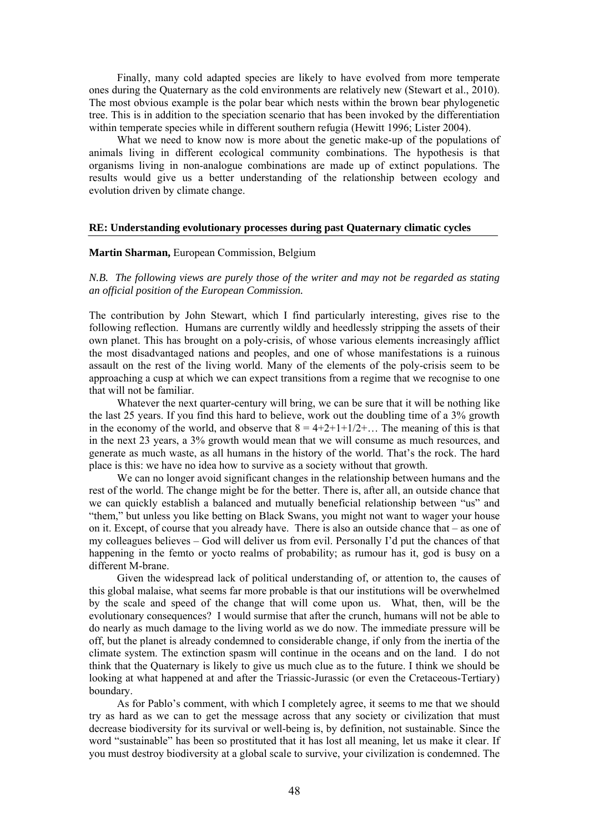Finally, many cold adapted species are likely to have evolved from more temperate ones during the Quaternary as the cold environments are relatively new (Stewart et al., 2010). The most obvious example is the polar bear which nests within the brown bear phylogenetic tree. This is in addition to the speciation scenario that has been invoked by the differentiation within temperate species while in different southern refugia (Hewitt 1996; Lister 2004).

What we need to know now is more about the genetic make-up of the populations of animals living in different ecological community combinations. The hypothesis is that organisms living in non-analogue combinations are made up of extinct populations. The results would give us a better understanding of the relationship between ecology and evolution driven by climate change.

#### **RE: Understanding evolutionary processes during past Quaternary climatic cycles**

#### **Martin Sharman,** European Commission, Belgium

*N.B. The following views are purely those of the writer and may not be regarded as stating an official position of the European Commission.* 

The contribution by John Stewart, which I find particularly interesting, gives rise to the following reflection. Humans are currently wildly and heedlessly stripping the assets of their own planet. This has brought on a poly-crisis, of whose various elements increasingly afflict the most disadvantaged nations and peoples, and one of whose manifestations is a ruinous assault on the rest of the living world. Many of the elements of the poly-crisis seem to be approaching a cusp at which we can expect transitions from a regime that we recognise to one that will not be familiar.

Whatever the next quarter-century will bring, we can be sure that it will be nothing like the last 25 years. If you find this hard to believe, work out the doubling time of a 3% growth in the economy of the world, and observe that  $8 = 4+2+1+1/2+...$  The meaning of this is that in the next 23 years, a 3% growth would mean that we will consume as much resources, and generate as much waste, as all humans in the history of the world. That's the rock. The hard place is this: we have no idea how to survive as a society without that growth.

We can no longer avoid significant changes in the relationship between humans and the rest of the world. The change might be for the better. There is, after all, an outside chance that we can quickly establish a balanced and mutually beneficial relationship between "us" and "them," but unless you like betting on Black Swans, you might not want to wager your house on it. Except, of course that you already have. There is also an outside chance that – as one of my colleagues believes – God will deliver us from evil. Personally I'd put the chances of that happening in the femto or yocto realms of probability; as rumour has it, god is busy on a different M-brane.

Given the widespread lack of political understanding of, or attention to, the causes of this global malaise, what seems far more probable is that our institutions will be overwhelmed by the scale and speed of the change that will come upon us. What, then, will be the evolutionary consequences? I would surmise that after the crunch, humans will not be able to do nearly as much damage to the living world as we do now. The immediate pressure will be off, but the planet is already condemned to considerable change, if only from the inertia of the climate system. The extinction spasm will continue in the oceans and on the land. I do not think that the Quaternary is likely to give us much clue as to the future. I think we should be looking at what happened at and after the Triassic-Jurassic (or even the Cretaceous-Tertiary) boundary.

As for Pablo's comment, with which I completely agree, it seems to me that we should try as hard as we can to get the message across that any society or civilization that must decrease biodiversity for its survival or well-being is, by definition, not sustainable. Since the word "sustainable" has been so prostituted that it has lost all meaning, let us make it clear. If you must destroy biodiversity at a global scale to survive, your civilization is condemned. The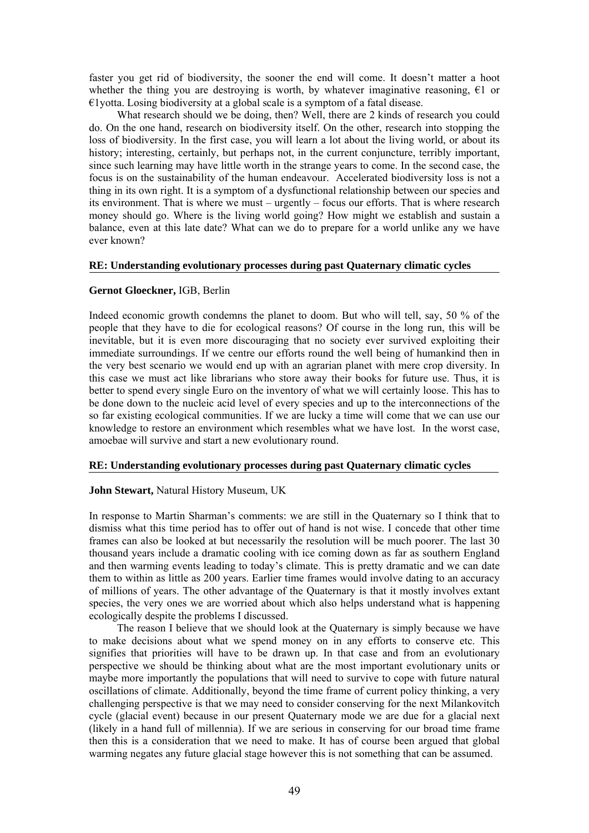faster you get rid of biodiversity, the sooner the end will come. It doesn't matter a hoot whether the thing you are destroying is worth, by whatever imaginative reasoning,  $\epsilon$ 1 or €1yotta. Losing biodiversity at a global scale is a symptom of a fatal disease.

What research should we be doing, then? Well, there are 2 kinds of research you could do. On the one hand, research on biodiversity itself. On the other, research into stopping the loss of biodiversity. In the first case, you will learn a lot about the living world, or about its history; interesting, certainly, but perhaps not, in the current conjuncture, terribly important, since such learning may have little worth in the strange years to come. In the second case, the focus is on the sustainability of the human endeavour. Accelerated biodiversity loss is not a thing in its own right. It is a symptom of a dysfunctional relationship between our species and its environment. That is where we must – urgently – focus our efforts. That is where research money should go. Where is the living world going? How might we establish and sustain a balance, even at this late date? What can we do to prepare for a world unlike any we have ever known?

## **RE: Understanding evolutionary processes during past Quaternary climatic cycles**

## **Gernot Gloeckner,** IGB, Berlin

Indeed economic growth condemns the planet to doom. But who will tell, say, 50 % of the people that they have to die for ecological reasons? Of course in the long run, this will be inevitable, but it is even more discouraging that no society ever survived exploiting their immediate surroundings. If we centre our efforts round the well being of humankind then in the very best scenario we would end up with an agrarian planet with mere crop diversity. In this case we must act like librarians who store away their books for future use. Thus, it is better to spend every single Euro on the inventory of what we will certainly loose. This has to be done down to the nucleic acid level of every species and up to the interconnections of the so far existing ecological communities. If we are lucky a time will come that we can use our knowledge to restore an environment which resembles what we have lost. In the worst case, amoebae will survive and start a new evolutionary round.

# **RE: Understanding evolutionary processes during past Quaternary climatic cycles**

# **John Stewart,** Natural History Museum, UK

In response to Martin Sharman's comments: we are still in the Quaternary so I think that to dismiss what this time period has to offer out of hand is not wise. I concede that other time frames can also be looked at but necessarily the resolution will be much poorer. The last 30 thousand years include a dramatic cooling with ice coming down as far as southern England and then warming events leading to today's climate. This is pretty dramatic and we can date them to within as little as 200 years. Earlier time frames would involve dating to an accuracy of millions of years. The other advantage of the Quaternary is that it mostly involves extant species, the very ones we are worried about which also helps understand what is happening ecologically despite the problems I discussed.

The reason I believe that we should look at the Quaternary is simply because we have to make decisions about what we spend money on in any efforts to conserve etc. This signifies that priorities will have to be drawn up. In that case and from an evolutionary perspective we should be thinking about what are the most important evolutionary units or maybe more importantly the populations that will need to survive to cope with future natural oscillations of climate. Additionally, beyond the time frame of current policy thinking, a very challenging perspective is that we may need to consider conserving for the next Milankovitch cycle (glacial event) because in our present Quaternary mode we are due for a glacial next (likely in a hand full of millennia). If we are serious in conserving for our broad time frame then this is a consideration that we need to make. It has of course been argued that global warming negates any future glacial stage however this is not something that can be assumed.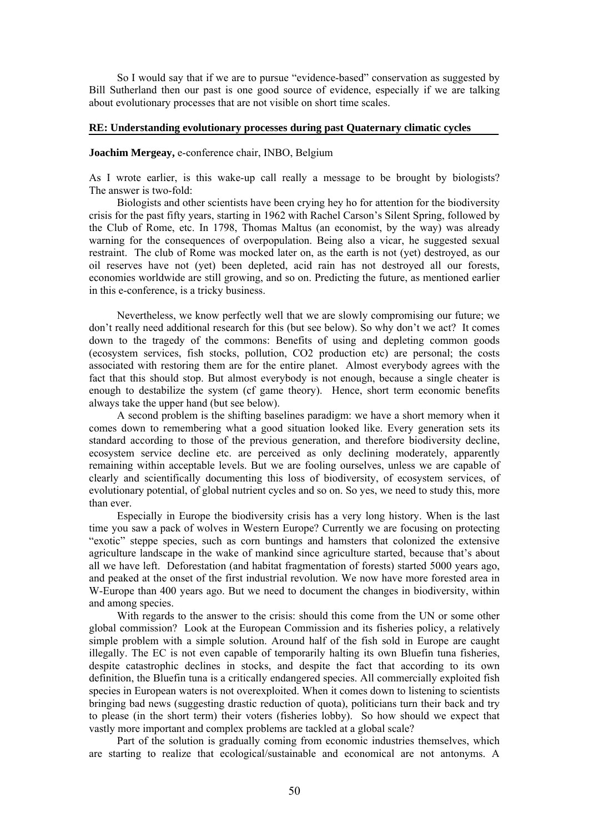So I would say that if we are to pursue "evidence-based" conservation as suggested by Bill Sutherland then our past is one good source of evidence, especially if we are talking about evolutionary processes that are not visible on short time scales.

## **RE: Understanding evolutionary processes during past Quaternary climatic cycles**

#### **Joachim Mergeay,** e-conference chair, INBO, Belgium

As I wrote earlier, is this wake-up call really a message to be brought by biologists? The answer is two-fold:

Biologists and other scientists have been crying hey ho for attention for the biodiversity crisis for the past fifty years, starting in 1962 with Rachel Carson's Silent Spring, followed by the Club of Rome, etc. In 1798, Thomas Maltus (an economist, by the way) was already warning for the consequences of overpopulation. Being also a vicar, he suggested sexual restraint. The club of Rome was mocked later on, as the earth is not (yet) destroyed, as our oil reserves have not (yet) been depleted, acid rain has not destroyed all our forests, economies worldwide are still growing, and so on. Predicting the future, as mentioned earlier in this e-conference, is a tricky business.

Nevertheless, we know perfectly well that we are slowly compromising our future; we don't really need additional research for this (but see below). So why don't we act? It comes down to the tragedy of the commons: Benefits of using and depleting common goods (ecosystem services, fish stocks, pollution, CO2 production etc) are personal; the costs associated with restoring them are for the entire planet. Almost everybody agrees with the fact that this should stop. But almost everybody is not enough, because a single cheater is enough to destabilize the system (cf game theory). Hence, short term economic benefits always take the upper hand (but see below).

A second problem is the shifting baselines paradigm: we have a short memory when it comes down to remembering what a good situation looked like. Every generation sets its standard according to those of the previous generation, and therefore biodiversity decline, ecosystem service decline etc. are perceived as only declining moderately, apparently remaining within acceptable levels. But we are fooling ourselves, unless we are capable of clearly and scientifically documenting this loss of biodiversity, of ecosystem services, of evolutionary potential, of global nutrient cycles and so on. So yes, we need to study this, more than ever.

Especially in Europe the biodiversity crisis has a very long history. When is the last time you saw a pack of wolves in Western Europe? Currently we are focusing on protecting "exotic" steppe species, such as corn buntings and hamsters that colonized the extensive agriculture landscape in the wake of mankind since agriculture started, because that's about all we have left. Deforestation (and habitat fragmentation of forests) started 5000 years ago, and peaked at the onset of the first industrial revolution. We now have more forested area in W-Europe than 400 years ago. But we need to document the changes in biodiversity, within and among species.

With regards to the answer to the crisis: should this come from the UN or some other global commission? Look at the European Commission and its fisheries policy, a relatively simple problem with a simple solution. Around half of the fish sold in Europe are caught illegally. The EC is not even capable of temporarily halting its own Bluefin tuna fisheries, despite catastrophic declines in stocks, and despite the fact that according to its own definition, the Bluefin tuna is a critically endangered species. All commercially exploited fish species in European waters is not overexploited. When it comes down to listening to scientists bringing bad news (suggesting drastic reduction of quota), politicians turn their back and try to please (in the short term) their voters (fisheries lobby). So how should we expect that vastly more important and complex problems are tackled at a global scale?

Part of the solution is gradually coming from economic industries themselves, which are starting to realize that ecological/sustainable and economical are not antonyms. A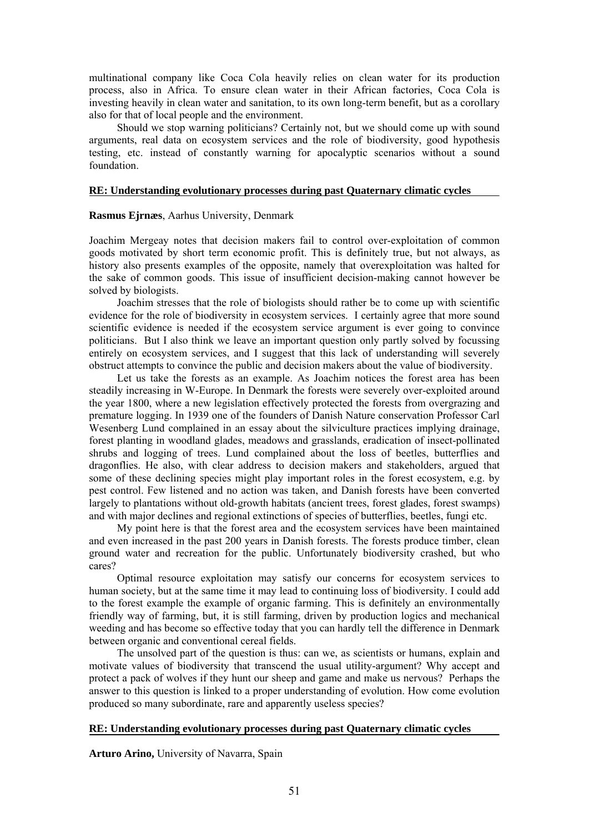multinational company like Coca Cola heavily relies on clean water for its production process, also in Africa. To ensure clean water in their African factories, Coca Cola is investing heavily in clean water and sanitation, to its own long-term benefit, but as a corollary also for that of local people and the environment.

Should we stop warning politicians? Certainly not, but we should come up with sound arguments, real data on ecosystem services and the role of biodiversity, good hypothesis testing, etc. instead of constantly warning for apocalyptic scenarios without a sound foundation.

# **RE: Understanding evolutionary processes during past Quaternary climatic cycles**

# **Rasmus Ejrnæs**, Aarhus University, Denmark

Joachim Mergeay notes that decision makers fail to control over-exploitation of common goods motivated by short term economic profit. This is definitely true, but not always, as history also presents examples of the opposite, namely that overexploitation was halted for the sake of common goods. This issue of insufficient decision-making cannot however be solved by biologists.

Joachim stresses that the role of biologists should rather be to come up with scientific evidence for the role of biodiversity in ecosystem services. I certainly agree that more sound scientific evidence is needed if the ecosystem service argument is ever going to convince politicians. But I also think we leave an important question only partly solved by focussing entirely on ecosystem services, and I suggest that this lack of understanding will severely obstruct attempts to convince the public and decision makers about the value of biodiversity.

Let us take the forests as an example. As Joachim notices the forest area has been steadily increasing in W-Europe. In Denmark the forests were severely over-exploited around the year 1800, where a new legislation effectively protected the forests from overgrazing and premature logging. In 1939 one of the founders of Danish Nature conservation Professor Carl Wesenberg Lund complained in an essay about the silviculture practices implying drainage, forest planting in woodland glades, meadows and grasslands, eradication of insect-pollinated shrubs and logging of trees. Lund complained about the loss of beetles, butterflies and dragonflies. He also, with clear address to decision makers and stakeholders, argued that some of these declining species might play important roles in the forest ecosystem, e.g. by pest control. Few listened and no action was taken, and Danish forests have been converted largely to plantations without old-growth habitats (ancient trees, forest glades, forest swamps) and with major declines and regional extinctions of species of butterflies, beetles, fungi etc.

My point here is that the forest area and the ecosystem services have been maintained and even increased in the past 200 years in Danish forests. The forests produce timber, clean ground water and recreation for the public. Unfortunately biodiversity crashed, but who cares?

Optimal resource exploitation may satisfy our concerns for ecosystem services to human society, but at the same time it may lead to continuing loss of biodiversity. I could add to the forest example the example of organic farming. This is definitely an environmentally friendly way of farming, but, it is still farming, driven by production logics and mechanical weeding and has become so effective today that you can hardly tell the difference in Denmark between organic and conventional cereal fields.

The unsolved part of the question is thus: can we, as scientists or humans, explain and motivate values of biodiversity that transcend the usual utility-argument? Why accept and protect a pack of wolves if they hunt our sheep and game and make us nervous? Perhaps the answer to this question is linked to a proper understanding of evolution. How come evolution produced so many subordinate, rare and apparently useless species?

## **RE: Understanding evolutionary processes during past Quaternary climatic cycles**

**Arturo Arino,** University of Navarra, Spain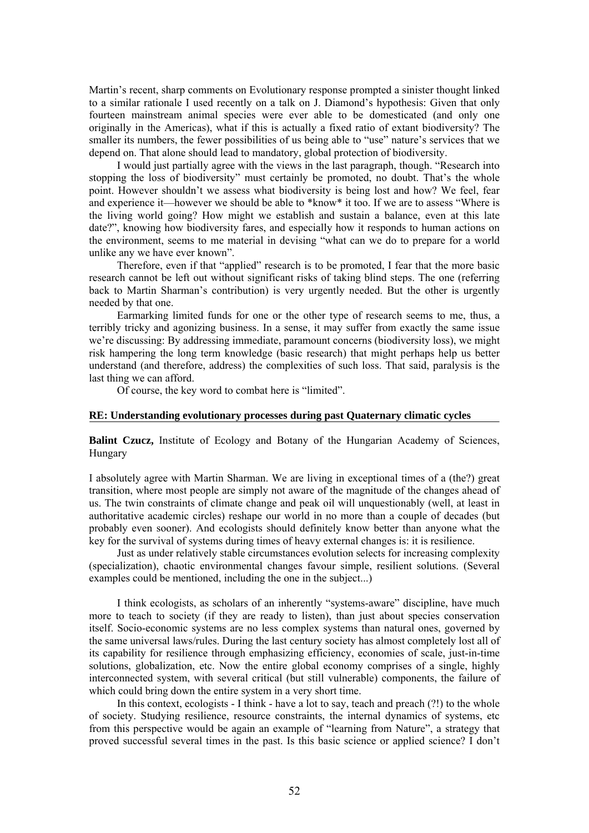Martin's recent, sharp comments on Evolutionary response prompted a sinister thought linked to a similar rationale I used recently on a talk on J. Diamond's hypothesis: Given that only fourteen mainstream animal species were ever able to be domesticated (and only one originally in the Americas), what if this is actually a fixed ratio of extant biodiversity? The smaller its numbers, the fewer possibilities of us being able to "use" nature's services that we depend on. That alone should lead to mandatory, global protection of biodiversity.

I would just partially agree with the views in the last paragraph, though. "Research into stopping the loss of biodiversity" must certainly be promoted, no doubt. That's the whole point. However shouldn't we assess what biodiversity is being lost and how? We feel, fear and experience it—however we should be able to \*know\* it too. If we are to assess "Where is the living world going? How might we establish and sustain a balance, even at this late date?", knowing how biodiversity fares, and especially how it responds to human actions on the environment, seems to me material in devising "what can we do to prepare for a world unlike any we have ever known".

Therefore, even if that "applied" research is to be promoted, I fear that the more basic research cannot be left out without significant risks of taking blind steps. The one (referring back to Martin Sharman's contribution) is very urgently needed. But the other is urgently needed by that one.

Earmarking limited funds for one or the other type of research seems to me, thus, a terribly tricky and agonizing business. In a sense, it may suffer from exactly the same issue we're discussing: By addressing immediate, paramount concerns (biodiversity loss), we might risk hampering the long term knowledge (basic research) that might perhaps help us better understand (and therefore, address) the complexities of such loss. That said, paralysis is the last thing we can afford.

Of course, the key word to combat here is "limited".

#### **RE: Understanding evolutionary processes during past Quaternary climatic cycles**

**Balint Czucz,** Institute of Ecology and Botany of the Hungarian Academy of Sciences, Hungary

I absolutely agree with Martin Sharman. We are living in exceptional times of a (the?) great transition, where most people are simply not aware of the magnitude of the changes ahead of us. The twin constraints of climate change and peak oil will unquestionably (well, at least in authoritative academic circles) reshape our world in no more than a couple of decades (but probably even sooner). And ecologists should definitely know better than anyone what the key for the survival of systems during times of heavy external changes is: it is resilience.

Just as under relatively stable circumstances evolution selects for increasing complexity (specialization), chaotic environmental changes favour simple, resilient solutions. (Several examples could be mentioned, including the one in the subject...)

I think ecologists, as scholars of an inherently "systems-aware" discipline, have much more to teach to society (if they are ready to listen), than just about species conservation itself. Socio-economic systems are no less complex systems than natural ones, governed by the same universal laws/rules. During the last century society has almost completely lost all of its capability for resilience through emphasizing efficiency, economies of scale, just-in-time solutions, globalization, etc. Now the entire global economy comprises of a single, highly interconnected system, with several critical (but still vulnerable) components, the failure of which could bring down the entire system in a very short time.

In this context, ecologists - I think - have a lot to say, teach and preach (?!) to the whole of society. Studying resilience, resource constraints, the internal dynamics of systems, etc from this perspective would be again an example of "learning from Nature", a strategy that proved successful several times in the past. Is this basic science or applied science? I don't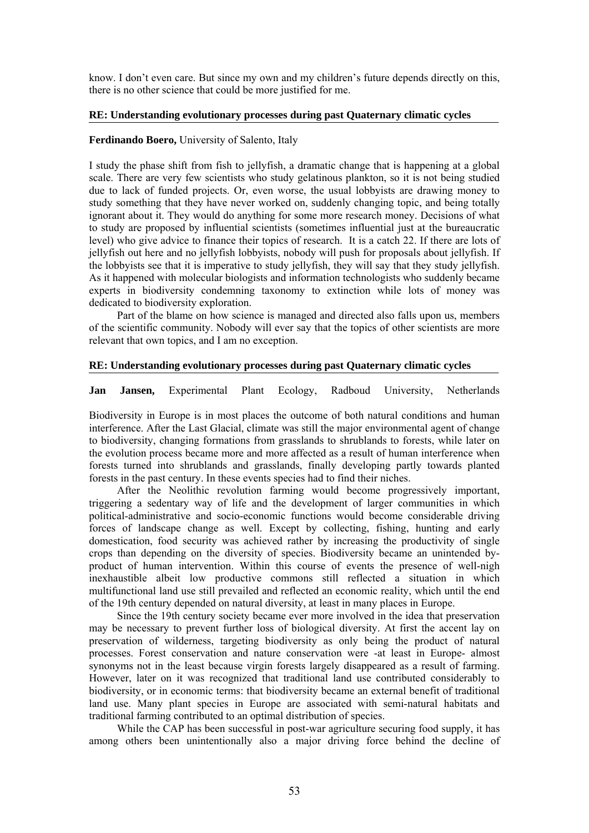know. I don't even care. But since my own and my children's future depends directly on this, there is no other science that could be more justified for me.

## **RE: Understanding evolutionary processes during past Quaternary climatic cycles**

# **Ferdinando Boero,** University of Salento, Italy

I study the phase shift from fish to jellyfish, a dramatic change that is happening at a global scale. There are very few scientists who study gelatinous plankton, so it is not being studied due to lack of funded projects. Or, even worse, the usual lobbyists are drawing money to study something that they have never worked on, suddenly changing topic, and being totally ignorant about it. They would do anything for some more research money. Decisions of what to study are proposed by influential scientists (sometimes influential just at the bureaucratic level) who give advice to finance their topics of research. It is a catch 22. If there are lots of jellyfish out here and no jellyfish lobbyists, nobody will push for proposals about jellyfish. If the lobbyists see that it is imperative to study jellyfish, they will say that they study jellyfish. As it happened with molecular biologists and information technologists who suddenly became experts in biodiversity condemning taxonomy to extinction while lots of money was dedicated to biodiversity exploration.

Part of the blame on how science is managed and directed also falls upon us, members of the scientific community. Nobody will ever say that the topics of other scientists are more relevant that own topics, and I am no exception.

## **RE: Understanding evolutionary processes during past Quaternary climatic cycles**

**Jan Jansen,** Experimental Plant Ecology, Radboud University, Netherlands

Biodiversity in Europe is in most places the outcome of both natural conditions and human interference. After the Last Glacial, climate was still the major environmental agent of change to biodiversity, changing formations from grasslands to shrublands to forests, while later on the evolution process became more and more affected as a result of human interference when forests turned into shrublands and grasslands, finally developing partly towards planted forests in the past century. In these events species had to find their niches.

After the Neolithic revolution farming would become progressively important, triggering a sedentary way of life and the development of larger communities in which political-administrative and socio-economic functions would become considerable driving forces of landscape change as well. Except by collecting, fishing, hunting and early domestication, food security was achieved rather by increasing the productivity of single crops than depending on the diversity of species. Biodiversity became an unintended byproduct of human intervention. Within this course of events the presence of well-nigh inexhaustible albeit low productive commons still reflected a situation in which multifunctional land use still prevailed and reflected an economic reality, which until the end of the 19th century depended on natural diversity, at least in many places in Europe.

Since the 19th century society became ever more involved in the idea that preservation may be necessary to prevent further loss of biological diversity. At first the accent lay on preservation of wilderness, targeting biodiversity as only being the product of natural processes. Forest conservation and nature conservation were -at least in Europe- almost synonyms not in the least because virgin forests largely disappeared as a result of farming. However, later on it was recognized that traditional land use contributed considerably to biodiversity, or in economic terms: that biodiversity became an external benefit of traditional land use. Many plant species in Europe are associated with semi-natural habitats and traditional farming contributed to an optimal distribution of species.

While the CAP has been successful in post-war agriculture securing food supply, it has among others been unintentionally also a major driving force behind the decline of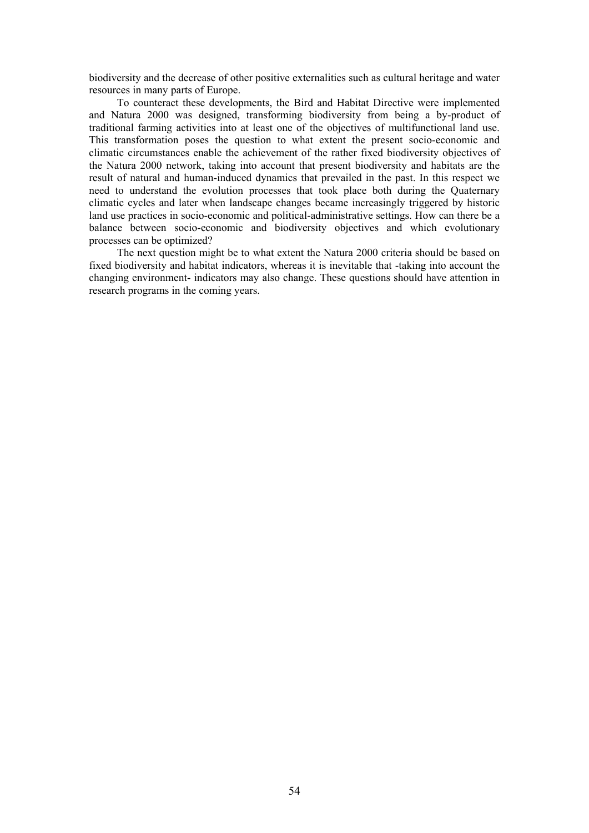biodiversity and the decrease of other positive externalities such as cultural heritage and water resources in many parts of Europe.

To counteract these developments, the Bird and Habitat Directive were implemented and Natura 2000 was designed, transforming biodiversity from being a by-product of traditional farming activities into at least one of the objectives of multifunctional land use. This transformation poses the question to what extent the present socio-economic and climatic circumstances enable the achievement of the rather fixed biodiversity objectives of the Natura 2000 network, taking into account that present biodiversity and habitats are the result of natural and human-induced dynamics that prevailed in the past. In this respect we need to understand the evolution processes that took place both during the Quaternary climatic cycles and later when landscape changes became increasingly triggered by historic land use practices in socio-economic and political-administrative settings. How can there be a balance between socio-economic and biodiversity objectives and which evolutionary processes can be optimized?

The next question might be to what extent the Natura 2000 criteria should be based on fixed biodiversity and habitat indicators, whereas it is inevitable that -taking into account the changing environment- indicators may also change. These questions should have attention in research programs in the coming years.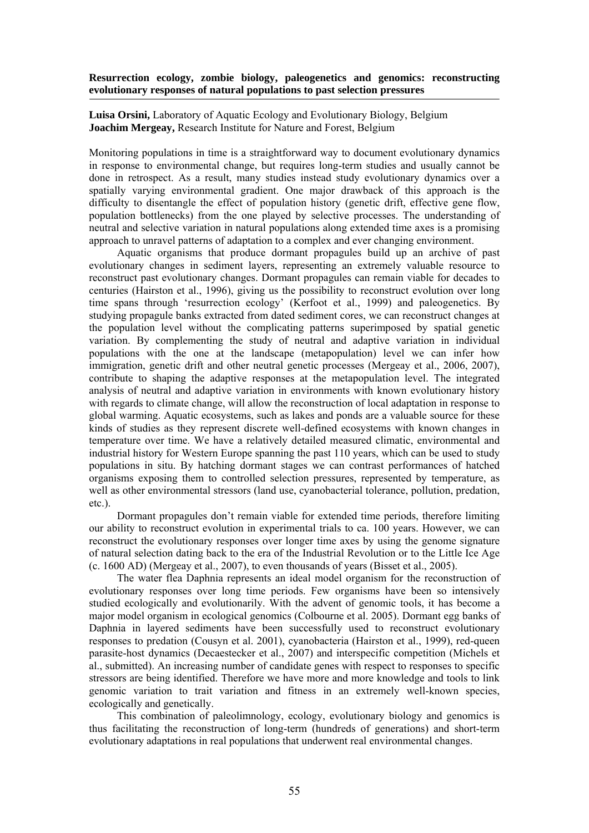# **Resurrection ecology, zombie biology, paleogenetics and genomics: reconstructing evolutionary responses of natural populations to past selection pressures**

**Luisa Orsini,** Laboratory of Aquatic Ecology and Evolutionary Biology, Belgium **Joachim Mergeay,** Research Institute for Nature and Forest, Belgium

Monitoring populations in time is a straightforward way to document evolutionary dynamics in response to environmental change, but requires long-term studies and usually cannot be done in retrospect. As a result, many studies instead study evolutionary dynamics over a spatially varying environmental gradient. One major drawback of this approach is the difficulty to disentangle the effect of population history (genetic drift, effective gene flow, population bottlenecks) from the one played by selective processes. The understanding of neutral and selective variation in natural populations along extended time axes is a promising approach to unravel patterns of adaptation to a complex and ever changing environment.

Aquatic organisms that produce dormant propagules build up an archive of past evolutionary changes in sediment layers, representing an extremely valuable resource to reconstruct past evolutionary changes. Dormant propagules can remain viable for decades to centuries (Hairston et al., 1996), giving us the possibility to reconstruct evolution over long time spans through 'resurrection ecology' (Kerfoot et al., 1999) and paleogenetics. By studying propagule banks extracted from dated sediment cores, we can reconstruct changes at the population level without the complicating patterns superimposed by spatial genetic variation. By complementing the study of neutral and adaptive variation in individual populations with the one at the landscape (metapopulation) level we can infer how immigration, genetic drift and other neutral genetic processes (Mergeay et al., 2006, 2007), contribute to shaping the adaptive responses at the metapopulation level. The integrated analysis of neutral and adaptive variation in environments with known evolutionary history with regards to climate change, will allow the reconstruction of local adaptation in response to global warming. Aquatic ecosystems, such as lakes and ponds are a valuable source for these kinds of studies as they represent discrete well-defined ecosystems with known changes in temperature over time. We have a relatively detailed measured climatic, environmental and industrial history for Western Europe spanning the past 110 years, which can be used to study populations in situ. By hatching dormant stages we can contrast performances of hatched organisms exposing them to controlled selection pressures, represented by temperature, as well as other environmental stressors (land use, cyanobacterial tolerance, pollution, predation, etc.).

Dormant propagules don't remain viable for extended time periods, therefore limiting our ability to reconstruct evolution in experimental trials to ca. 100 years. However, we can reconstruct the evolutionary responses over longer time axes by using the genome signature of natural selection dating back to the era of the Industrial Revolution or to the Little Ice Age (c. 1600 AD) (Mergeay et al., 2007), to even thousands of years (Bisset et al., 2005).

The water flea Daphnia represents an ideal model organism for the reconstruction of evolutionary responses over long time periods. Few organisms have been so intensively studied ecologically and evolutionarily. With the advent of genomic tools, it has become a major model organism in ecological genomics (Colbourne et al. 2005). Dormant egg banks of Daphnia in layered sediments have been successfully used to reconstruct evolutionary responses to predation (Cousyn et al. 2001), cyanobacteria (Hairston et al., 1999), red-queen parasite-host dynamics (Decaestecker et al., 2007) and interspecific competition (Michels et al., submitted). An increasing number of candidate genes with respect to responses to specific stressors are being identified. Therefore we have more and more knowledge and tools to link genomic variation to trait variation and fitness in an extremely well-known species, ecologically and genetically.

This combination of paleolimnology, ecology, evolutionary biology and genomics is thus facilitating the reconstruction of long-term (hundreds of generations) and short-term evolutionary adaptations in real populations that underwent real environmental changes.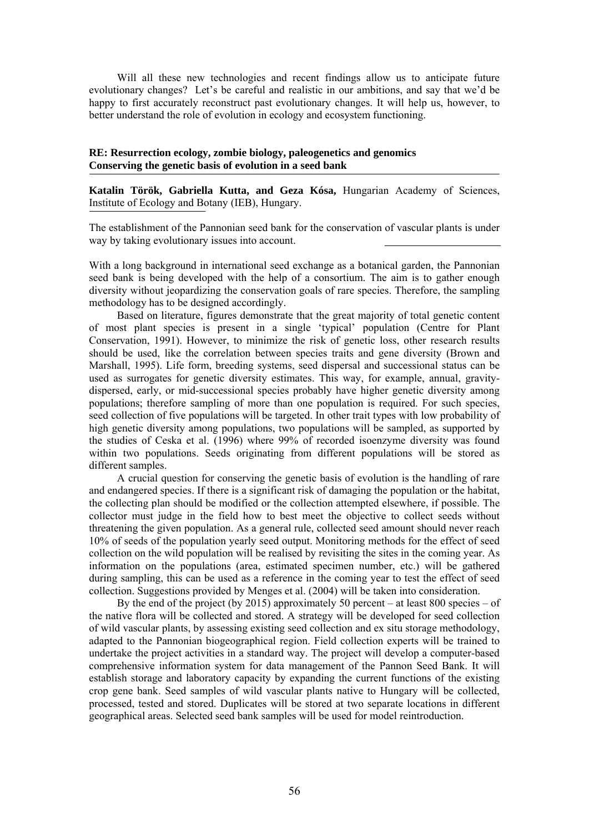Will all these new technologies and recent findings allow us to anticipate future evolutionary changes? Let's be careful and realistic in our ambitions, and say that we'd be happy to first accurately reconstruct past evolutionary changes. It will help us, however, to better understand the role of evolution in ecology and ecosystem functioning.

# **RE: Resurrection ecology, zombie biology, paleogenetics and genomics Conserving the genetic basis of evolution in a seed bank**

**Katalin Török, Gabriella Kutta, and Geza Kósa,** Hungarian Academy of Sciences, Institute of Ecology and Botany (IEB), Hungary.

The establishment of the Pannonian seed bank for the conservation of vascular plants is under way by taking evolutionary issues into account.

With a long background in international seed exchange as a botanical garden, the Pannonian seed bank is being developed with the help of a consortium. The aim is to gather enough diversity without jeopardizing the conservation goals of rare species. Therefore, the sampling methodology has to be designed accordingly.

Based on literature, figures demonstrate that the great majority of total genetic content of most plant species is present in a single 'typical' population (Centre for Plant Conservation, 1991). However, to minimize the risk of genetic loss, other research results should be used, like the correlation between species traits and gene diversity (Brown and Marshall, 1995). Life form, breeding systems, seed dispersal and successional status can be used as surrogates for genetic diversity estimates. This way, for example, annual, gravitydispersed, early, or mid-successional species probably have higher genetic diversity among populations; therefore sampling of more than one population is required. For such species, seed collection of five populations will be targeted. In other trait types with low probability of high genetic diversity among populations, two populations will be sampled, as supported by the studies of Ceska et al. (1996) where 99% of recorded isoenzyme diversity was found within two populations. Seeds originating from different populations will be stored as different samples.

A crucial question for conserving the genetic basis of evolution is the handling of rare and endangered species. If there is a significant risk of damaging the population or the habitat, the collecting plan should be modified or the collection attempted elsewhere, if possible. The collector must judge in the field how to best meet the objective to collect seeds without threatening the given population. As a general rule, collected seed amount should never reach 10% of seeds of the population yearly seed output. Monitoring methods for the effect of seed collection on the wild population will be realised by revisiting the sites in the coming year. As information on the populations (area, estimated specimen number, etc.) will be gathered during sampling, this can be used as a reference in the coming year to test the effect of seed collection. Suggestions provided by Menges et al. (2004) will be taken into consideration.

By the end of the project (by 2015) approximately 50 percent – at least 800 species – of the native flora will be collected and stored. A strategy will be developed for seed collection of wild vascular plants, by assessing existing seed collection and ex situ storage methodology, adapted to the Pannonian biogeographical region. Field collection experts will be trained to undertake the project activities in a standard way. The project will develop a computer-based comprehensive information system for data management of the Pannon Seed Bank. It will establish storage and laboratory capacity by expanding the current functions of the existing crop gene bank. Seed samples of wild vascular plants native to Hungary will be collected, processed, tested and stored. Duplicates will be stored at two separate locations in different geographical areas. Selected seed bank samples will be used for model reintroduction.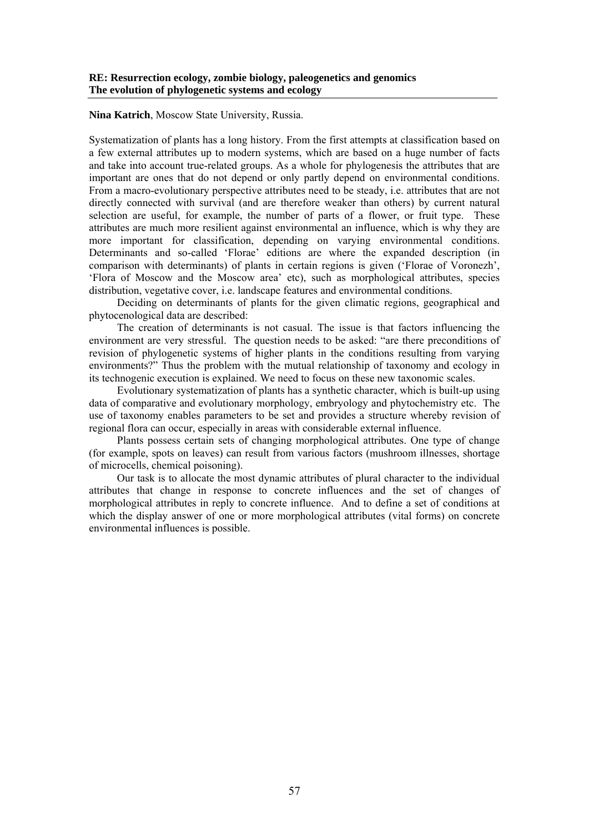**Nina Katrich**, Moscow State University, Russia.

Systematization of plants has a long history. From the first attempts at classification based on a few external attributes up to modern systems, which are based on a huge number of facts and take into account true-related groups. As a whole for phylogenesis the attributes that are important are ones that do not depend or only partly depend on environmental conditions. From a macro-evolutionary perspective attributes need to be steady, i.e. attributes that are not directly connected with survival (and are therefore weaker than others) by current natural selection are useful, for example, the number of parts of a flower, or fruit type. These attributes are much more resilient against environmental an influence, which is why they are more important for classification, depending on varying environmental conditions. Determinants and so-called 'Florae' editions are where the expanded description (in comparison with determinants) of plants in certain regions is given ('Florae of Voronezh', 'Flora of Moscow and the Moscow area' etc), such as morphological attributes, species distribution, vegetative cover, i.e. landscape features and environmental conditions.

Deciding on determinants of plants for the given climatic regions, geographical and phytocenological data are described:

The creation of determinants is not casual. The issue is that factors influencing the environment are very stressful. The question needs to be asked: "are there preconditions of revision of phylogenetic systems of higher plants in the conditions resulting from varying environments?" Thus the problem with the mutual relationship of taxonomy and ecology in its technogenic execution is explained. We need to focus on these new taxonomic scales.

Evolutionary systematization of plants has a synthetic character, which is built-up using data of comparative and evolutionary morphology, embryology and phytochemistry etc. The use of taxonomy enables parameters to be set and provides a structure whereby revision of regional flora can occur, especially in areas with considerable external influence.

Plants possess certain sets of changing morphological attributes. One type of change (for example, spots on leaves) can result from various factors (mushroom illnesses, shortage of microcells, chemical poisoning).

Our task is to allocate the most dynamic attributes of plural character to the individual attributes that change in response to concrete influences and the set of changes of morphological attributes in reply to concrete influence. And to define a set of conditions at which the display answer of one or more morphological attributes (vital forms) on concrete environmental influences is possible.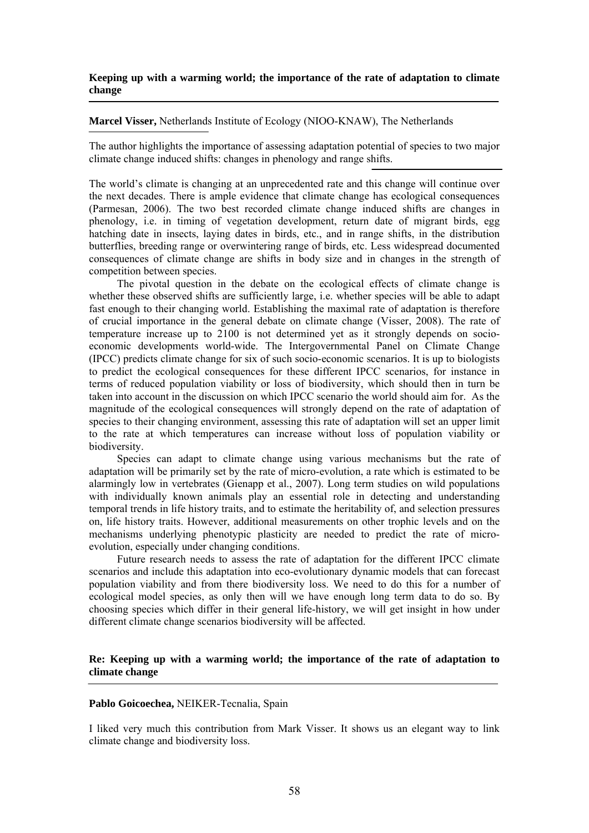## **Keeping up with a warming world; the importance of the rate of adaptation to climate change**

#### **Marcel Visser,** Netherlands Institute of Ecology (NIOO-KNAW), The Netherlands

The author highlights the importance of assessing adaptation potential of species to two major climate change induced shifts: changes in phenology and range shifts.

The world's climate is changing at an unprecedented rate and this change will continue over the next decades. There is ample evidence that climate change has ecological consequences (Parmesan, 2006). The two best recorded climate change induced shifts are changes in phenology, i.e. in timing of vegetation development, return date of migrant birds, egg hatching date in insects, laying dates in birds, etc., and in range shifts, in the distribution butterflies, breeding range or overwintering range of birds, etc. Less widespread documented consequences of climate change are shifts in body size and in changes in the strength of competition between species.

The pivotal question in the debate on the ecological effects of climate change is whether these observed shifts are sufficiently large, i.e. whether species will be able to adapt fast enough to their changing world. Establishing the maximal rate of adaptation is therefore of crucial importance in the general debate on climate change (Visser, 2008). The rate of temperature increase up to 2100 is not determined yet as it strongly depends on socioeconomic developments world-wide. The Intergovernmental Panel on Climate Change (IPCC) predicts climate change for six of such socio-economic scenarios. It is up to biologists to predict the ecological consequences for these different IPCC scenarios, for instance in terms of reduced population viability or loss of biodiversity, which should then in turn be taken into account in the discussion on which IPCC scenario the world should aim for. As the magnitude of the ecological consequences will strongly depend on the rate of adaptation of species to their changing environment, assessing this rate of adaptation will set an upper limit to the rate at which temperatures can increase without loss of population viability or biodiversity.

Species can adapt to climate change using various mechanisms but the rate of adaptation will be primarily set by the rate of micro-evolution, a rate which is estimated to be alarmingly low in vertebrates (Gienapp et al., 2007). Long term studies on wild populations with individually known animals play an essential role in detecting and understanding temporal trends in life history traits, and to estimate the heritability of, and selection pressures on, life history traits. However, additional measurements on other trophic levels and on the mechanisms underlying phenotypic plasticity are needed to predict the rate of microevolution, especially under changing conditions.

Future research needs to assess the rate of adaptation for the different IPCC climate scenarios and include this adaptation into eco-evolutionary dynamic models that can forecast population viability and from there biodiversity loss. We need to do this for a number of ecological model species, as only then will we have enough long term data to do so. By choosing species which differ in their general life-history, we will get insight in how under different climate change scenarios biodiversity will be affected.

# **Re: Keeping up with a warming world; the importance of the rate of adaptation to climate change**

#### **Pablo Goicoechea,** NEIKER-Tecnalia, Spain

I liked very much this contribution from Mark Visser. It shows us an elegant way to link climate change and biodiversity loss.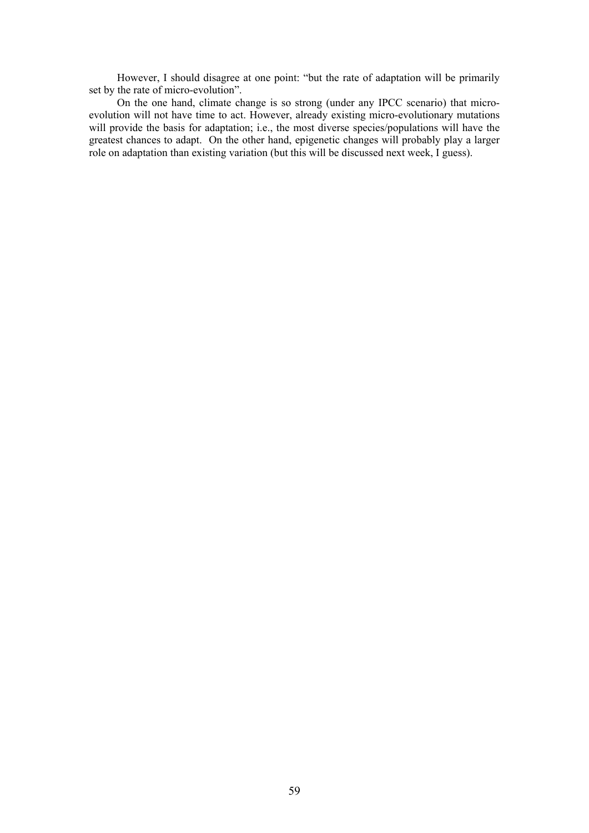However, I should disagree at one point: "but the rate of adaptation will be primarily set by the rate of micro-evolution".

On the one hand, climate change is so strong (under any IPCC scenario) that microevolution will not have time to act. However, already existing micro-evolutionary mutations will provide the basis for adaptation; i.e., the most diverse species/populations will have the greatest chances to adapt. On the other hand, epigenetic changes will probably play a larger role on adaptation than existing variation (but this will be discussed next week, I guess).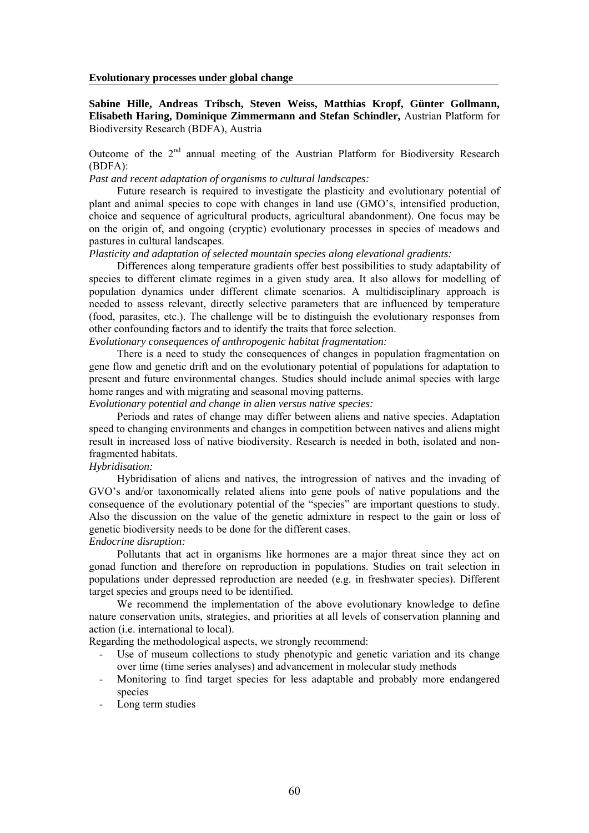**Evolutionary processes under global change** 

**Sabine Hille, Andreas Tribsch, Steven Weiss, Matthias Kropf, Günter Gollmann, Elisabeth Haring, Dominique Zimmermann and Stefan Schindler,** Austrian Platform for Biodiversity Research (BDFA), Austria

Outcome of the  $2<sup>nd</sup>$  annual meeting of the Austrian Platform for Biodiversity Research (BDFA):

*Past and recent adaptation of organisms to cultural landscapes:* 

Future research is required to investigate the plasticity and evolutionary potential of plant and animal species to cope with changes in land use (GMO's, intensified production, choice and sequence of agricultural products, agricultural abandonment). One focus may be on the origin of, and ongoing (cryptic) evolutionary processes in species of meadows and pastures in cultural landscapes.

*Plasticity and adaptation of selected mountain species along elevational gradients:* 

Differences along temperature gradients offer best possibilities to study adaptability of species to different climate regimes in a given study area. It also allows for modelling of population dynamics under different climate scenarios. A multidisciplinary approach is needed to assess relevant, directly selective parameters that are influenced by temperature (food, parasites, etc.). The challenge will be to distinguish the evolutionary responses from other confounding factors and to identify the traits that force selection.

*Evolutionary consequences of anthropogenic habitat fragmentation:* 

There is a need to study the consequences of changes in population fragmentation on gene flow and genetic drift and on the evolutionary potential of populations for adaptation to present and future environmental changes. Studies should include animal species with large home ranges and with migrating and seasonal moving patterns.

*Evolutionary potential and change in alien versus native species:* 

Periods and rates of change may differ between aliens and native species. Adaptation speed to changing environments and changes in competition between natives and aliens might result in increased loss of native biodiversity. Research is needed in both, isolated and nonfragmented habitats.

## *Hybridisation:*

Hybridisation of aliens and natives, the introgression of natives and the invading of GVO's and/or taxonomically related aliens into gene pools of native populations and the consequence of the evolutionary potential of the "species" are important questions to study. Also the discussion on the value of the genetic admixture in respect to the gain or loss of genetic biodiversity needs to be done for the different cases.

#### *Endocrine disruption:*

Pollutants that act in organisms like hormones are a major threat since they act on gonad function and therefore on reproduction in populations. Studies on trait selection in populations under depressed reproduction are needed (e.g. in freshwater species). Different target species and groups need to be identified.

We recommend the implementation of the above evolutionary knowledge to define nature conservation units, strategies, and priorities at all levels of conservation planning and action (i.e. international to local).

Regarding the methodological aspects, we strongly recommend:

- Use of museum collections to study phenotypic and genetic variation and its change over time (time series analyses) and advancement in molecular study methods
- Monitoring to find target species for less adaptable and probably more endangered species
- Long term studies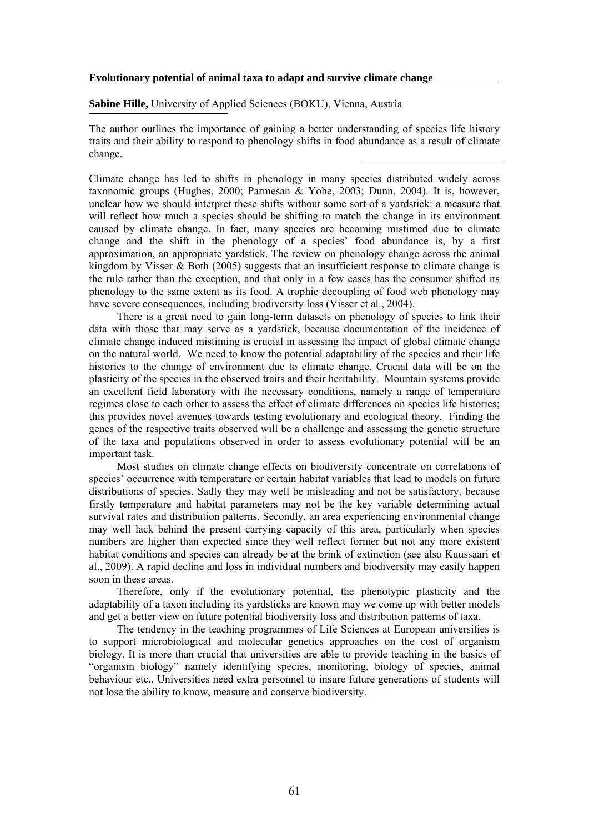#### **Evolutionary potential of animal taxa to adapt and survive climate change**

**Sabine Hille,** University of Applied Sciences (BOKU), Vienna, Austria

The author outlines the importance of gaining a better understanding of species life history traits and their ability to respond to phenology shifts in food abundance as a result of climate change.

Climate change has led to shifts in phenology in many species distributed widely across taxonomic groups (Hughes, 2000; Parmesan & Yohe, 2003; Dunn, 2004). It is, however, unclear how we should interpret these shifts without some sort of a yardstick: a measure that will reflect how much a species should be shifting to match the change in its environment caused by climate change. In fact, many species are becoming mistimed due to climate change and the shift in the phenology of a species' food abundance is, by a first approximation, an appropriate yardstick. The review on phenology change across the animal kingdom by Visser  $\&$  Both (2005) suggests that an insufficient response to climate change is the rule rather than the exception, and that only in a few cases has the consumer shifted its phenology to the same extent as its food. A trophic decoupling of food web phenology may have severe consequences, including biodiversity loss (Visser et al., 2004).

There is a great need to gain long-term datasets on phenology of species to link their data with those that may serve as a yardstick, because documentation of the incidence of climate change induced mistiming is crucial in assessing the impact of global climate change on the natural world. We need to know the potential adaptability of the species and their life histories to the change of environment due to climate change. Crucial data will be on the plasticity of the species in the observed traits and their heritability. Mountain systems provide an excellent field laboratory with the necessary conditions, namely a range of temperature regimes close to each other to assess the effect of climate differences on species life histories; this provides novel avenues towards testing evolutionary and ecological theory. Finding the genes of the respective traits observed will be a challenge and assessing the genetic structure of the taxa and populations observed in order to assess evolutionary potential will be an important task.

Most studies on climate change effects on biodiversity concentrate on correlations of species' occurrence with temperature or certain habitat variables that lead to models on future distributions of species. Sadly they may well be misleading and not be satisfactory, because firstly temperature and habitat parameters may not be the key variable determining actual survival rates and distribution patterns. Secondly, an area experiencing environmental change may well lack behind the present carrying capacity of this area, particularly when species numbers are higher than expected since they well reflect former but not any more existent habitat conditions and species can already be at the brink of extinction (see also Kuussaari et al., 2009). A rapid decline and loss in individual numbers and biodiversity may easily happen soon in these areas.

Therefore, only if the evolutionary potential, the phenotypic plasticity and the adaptability of a taxon including its yardsticks are known may we come up with better models and get a better view on future potential biodiversity loss and distribution patterns of taxa.

The tendency in the teaching programmes of Life Sciences at European universities is to support microbiological and molecular genetics approaches on the cost of organism biology. It is more than crucial that universities are able to provide teaching in the basics of "organism biology" namely identifying species, monitoring, biology of species, animal behaviour etc.. Universities need extra personnel to insure future generations of students will not lose the ability to know, measure and conserve biodiversity.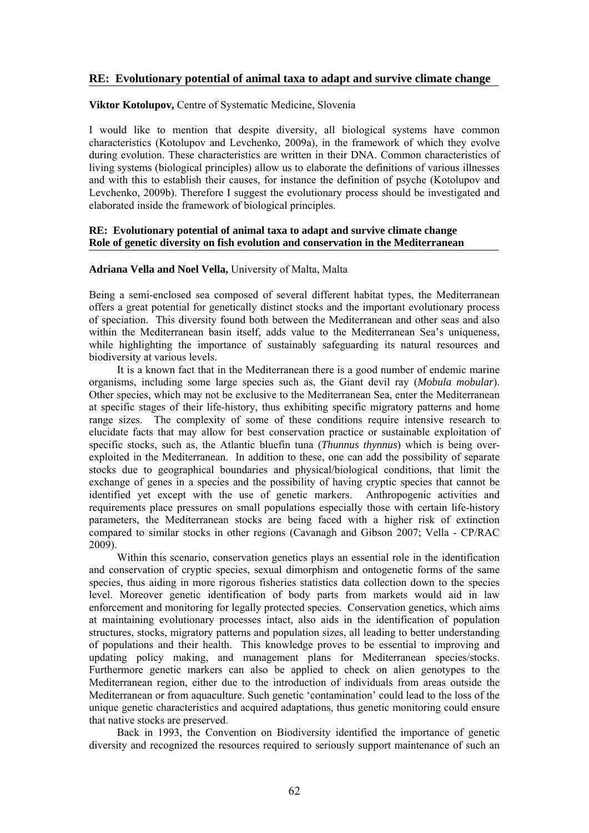# **RE: Evolutionary potential of animal taxa to adapt and survive climate change**

# **Viktor Kotolupov,** Centre of Systematic Medicine, Slovenia

I would like to mention that despite diversity, all biological systems have common characteristics (Kotolupov and Levchenko, 2009a), in the framework of which they evolve during evolution. These characteristics are written in their DNA. Common characteristics of living systems (biological principles) allow us to elaborate the definitions of various illnesses and with this to establish their causes, for instance the definition of psyche (Kotolupov and Levchenko, 2009b). Therefore I suggest the evolutionary process should be investigated and elaborated inside the framework of biological principles.

## **RE: Evolutionary potential of animal taxa to adapt and survive climate change Role of genetic diversity on fish evolution and conservation in the Mediterranean**

## **Adriana Vella and Noel Vella,** University of Malta, Malta

Being a semi-enclosed sea composed of several different habitat types, the Mediterranean offers a great potential for genetically distinct stocks and the important evolutionary process of speciation. This diversity found both between the Mediterranean and other seas and also within the Mediterranean basin itself, adds value to the Mediterranean Sea's uniqueness, while highlighting the importance of sustainably safeguarding its natural resources and biodiversity at various levels.

It is a known fact that in the Mediterranean there is a good number of endemic marine organisms, including some large species such as, the Giant devil ray (*Mobula mobular*). Other species, which may not be exclusive to the Mediterranean Sea, enter the Mediterranean at specific stages of their life-history, thus exhibiting specific migratory patterns and home range sizes. The complexity of some of these conditions require intensive research to elucidate facts that may allow for best conservation practice or sustainable exploitation of specific stocks, such as, the Atlantic bluefin tuna (*Thunnus thynnus*) which is being overexploited in the Mediterranean. In addition to these, one can add the possibility of separate stocks due to geographical boundaries and physical/biological conditions, that limit the exchange of genes in a species and the possibility of having cryptic species that cannot be identified yet except with the use of genetic markers. Anthropogenic activities and requirements place pressures on small populations especially those with certain life-history parameters, the Mediterranean stocks are being faced with a higher risk of extinction compared to similar stocks in other regions (Cavanagh and Gibson 2007; Vella - CP/RAC 2009).

Within this scenario, conservation genetics plays an essential role in the identification and conservation of cryptic species, sexual dimorphism and ontogenetic forms of the same species, thus aiding in more rigorous fisheries statistics data collection down to the species level. Moreover genetic identification of body parts from markets would aid in law enforcement and monitoring for legally protected species. Conservation genetics, which aims at maintaining evolutionary processes intact, also aids in the identification of population structures, stocks, migratory patterns and population sizes, all leading to better understanding of populations and their health. This knowledge proves to be essential to improving and updating policy making, and management plans for Mediterranean species/stocks. Furthermore genetic markers can also be applied to check on alien genotypes to the Mediterranean region, either due to the introduction of individuals from areas outside the Mediterranean or from aquaculture. Such genetic 'contamination' could lead to the loss of the unique genetic characteristics and acquired adaptations, thus genetic monitoring could ensure that native stocks are preserved.

Back in 1993, the Convention on Biodiversity identified the importance of genetic diversity and recognized the resources required to seriously support maintenance of such an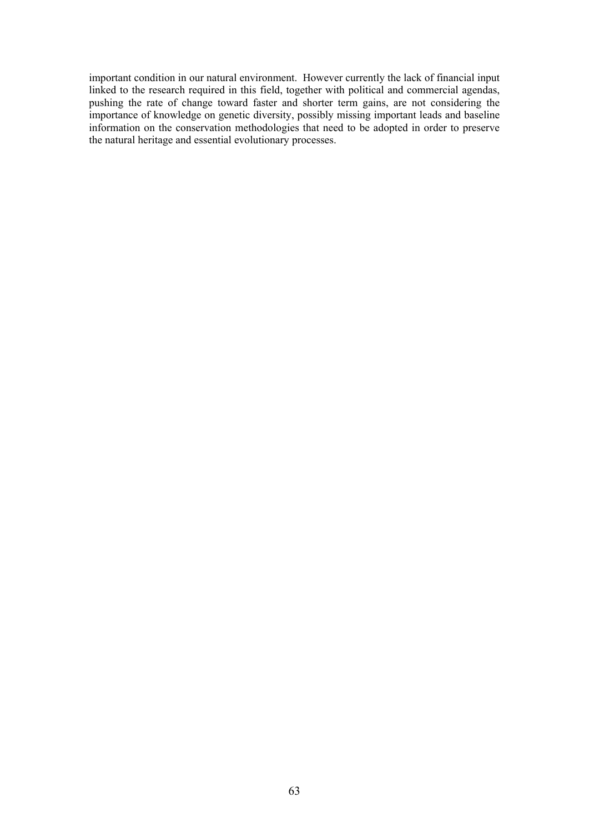important condition in our natural environment. However currently the lack of financial input linked to the research required in this field, together with political and commercial agendas, pushing the rate of change toward faster and shorter term gains, are not considering the importance of knowledge on genetic diversity, possibly missing important leads and baseline information on the conservation methodologies that need to be adopted in order to preserve the natural heritage and essential evolutionary processes.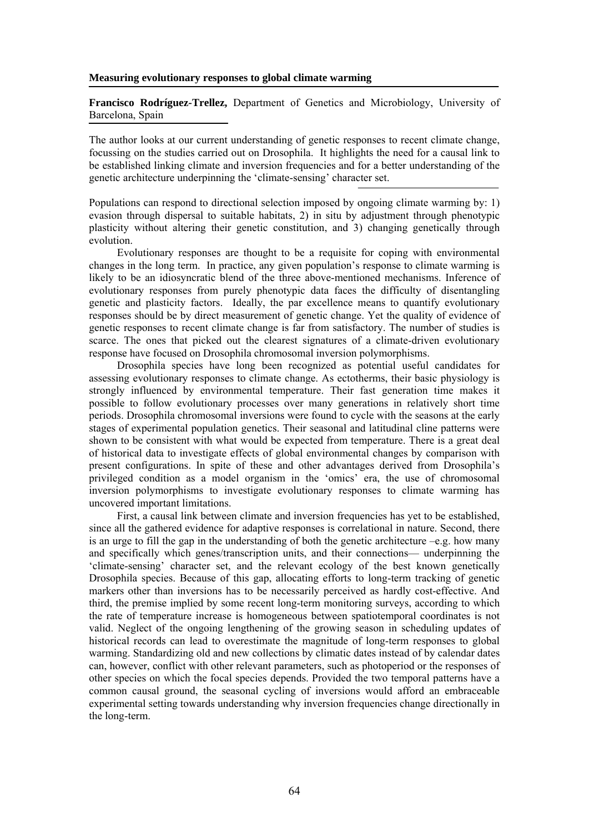#### **Measuring evolutionary responses to global climate warming**

**Francisco Rodríguez-Trellez,** Department of Genetics and Microbiology, University of Barcelona, Spain

The author looks at our current understanding of genetic responses to recent climate change, focussing on the studies carried out on Drosophila. It highlights the need for a causal link to be established linking climate and inversion frequencies and for a better understanding of the genetic architecture underpinning the 'climate-sensing' character set.

Populations can respond to directional selection imposed by ongoing climate warming by: 1) evasion through dispersal to suitable habitats, 2) in situ by adjustment through phenotypic plasticity without altering their genetic constitution, and 3) changing genetically through evolution.

Evolutionary responses are thought to be a requisite for coping with environmental changes in the long term. In practice, any given population's response to climate warming is likely to be an idiosyncratic blend of the three above-mentioned mechanisms. Inference of evolutionary responses from purely phenotypic data faces the difficulty of disentangling genetic and plasticity factors. Ideally, the par excellence means to quantify evolutionary responses should be by direct measurement of genetic change. Yet the quality of evidence of genetic responses to recent climate change is far from satisfactory. The number of studies is scarce. The ones that picked out the clearest signatures of a climate-driven evolutionary response have focused on Drosophila chromosomal inversion polymorphisms.

Drosophila species have long been recognized as potential useful candidates for assessing evolutionary responses to climate change. As ectotherms, their basic physiology is strongly influenced by environmental temperature. Their fast generation time makes it possible to follow evolutionary processes over many generations in relatively short time periods. Drosophila chromosomal inversions were found to cycle with the seasons at the early stages of experimental population genetics. Their seasonal and latitudinal cline patterns were shown to be consistent with what would be expected from temperature. There is a great deal of historical data to investigate effects of global environmental changes by comparison with present configurations. In spite of these and other advantages derived from Drosophila's privileged condition as a model organism in the 'omics' era, the use of chromosomal inversion polymorphisms to investigate evolutionary responses to climate warming has uncovered important limitations.

First, a causal link between climate and inversion frequencies has yet to be established, since all the gathered evidence for adaptive responses is correlational in nature. Second, there is an urge to fill the gap in the understanding of both the genetic architecture  $-e.g.$  how many and specifically which genes/transcription units, and their connections— underpinning the 'climate-sensing' character set, and the relevant ecology of the best known genetically Drosophila species. Because of this gap, allocating efforts to long-term tracking of genetic markers other than inversions has to be necessarily perceived as hardly cost-effective. And third, the premise implied by some recent long-term monitoring surveys, according to which the rate of temperature increase is homogeneous between spatiotemporal coordinates is not valid. Neglect of the ongoing lengthening of the growing season in scheduling updates of historical records can lead to overestimate the magnitude of long-term responses to global warming. Standardizing old and new collections by climatic dates instead of by calendar dates can, however, conflict with other relevant parameters, such as photoperiod or the responses of other species on which the focal species depends. Provided the two temporal patterns have a common causal ground, the seasonal cycling of inversions would afford an embraceable experimental setting towards understanding why inversion frequencies change directionally in the long-term.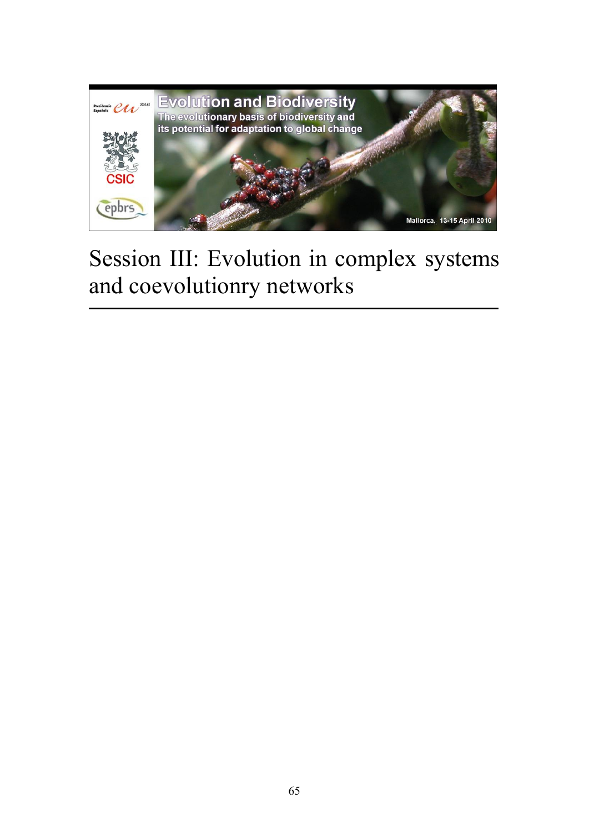

# Session III: Evolution in complex systems and coevolutionry networks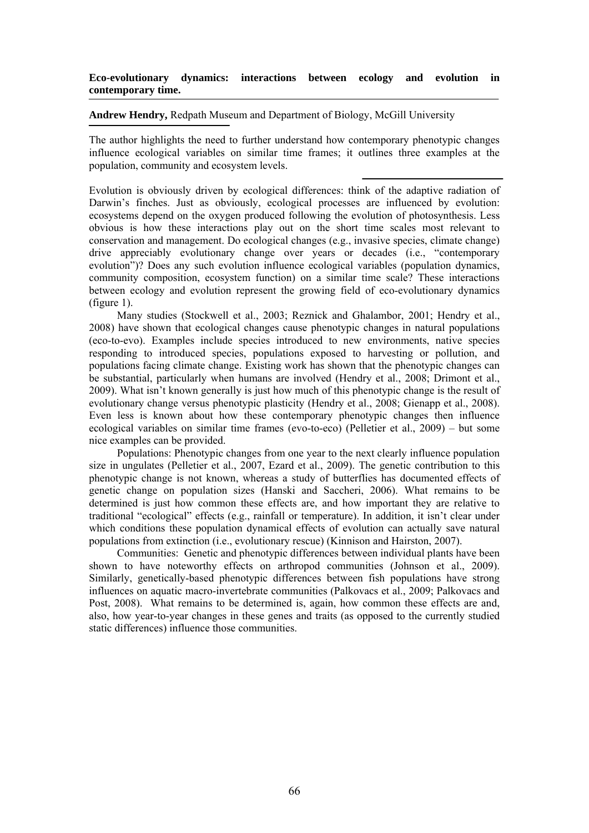# **Eco-evolutionary dynamics: interactions between ecology and evolution in contemporary time.**

## **Andrew Hendry,** Redpath Museum and Department of Biology, McGill University

The author highlights the need to further understand how contemporary phenotypic changes influence ecological variables on similar time frames; it outlines three examples at the population, community and ecosystem levels.

Evolution is obviously driven by ecological differences: think of the adaptive radiation of Darwin's finches. Just as obviously, ecological processes are influenced by evolution: ecosystems depend on the oxygen produced following the evolution of photosynthesis. Less obvious is how these interactions play out on the short time scales most relevant to conservation and management. Do ecological changes (e.g., invasive species, climate change) drive appreciably evolutionary change over years or decades (i.e., "contemporary evolution")? Does any such evolution influence ecological variables (population dynamics, community composition, ecosystem function) on a similar time scale? These interactions between ecology and evolution represent the growing field of eco-evolutionary dynamics (figure 1).

Many studies (Stockwell et al., 2003; Reznick and Ghalambor, 2001; Hendry et al., 2008) have shown that ecological changes cause phenotypic changes in natural populations (eco-to-evo). Examples include species introduced to new environments, native species responding to introduced species, populations exposed to harvesting or pollution, and populations facing climate change. Existing work has shown that the phenotypic changes can be substantial, particularly when humans are involved (Hendry et al., 2008; Drimont et al., 2009). What isn't known generally is just how much of this phenotypic change is the result of evolutionary change versus phenotypic plasticity (Hendry et al., 2008; Gienapp et al., 2008). Even less is known about how these contemporary phenotypic changes then influence ecological variables on similar time frames (evo-to-eco) (Pelletier et al., 2009) – but some nice examples can be provided.

Populations: Phenotypic changes from one year to the next clearly influence population size in ungulates (Pelletier et al., 2007, Ezard et al., 2009). The genetic contribution to this phenotypic change is not known, whereas a study of butterflies has documented effects of genetic change on population sizes (Hanski and Saccheri, 2006). What remains to be determined is just how common these effects are, and how important they are relative to traditional "ecological" effects (e.g., rainfall or temperature). In addition, it isn't clear under which conditions these population dynamical effects of evolution can actually save natural populations from extinction (i.e., evolutionary rescue) (Kinnison and Hairston, 2007).

Communities: Genetic and phenotypic differences between individual plants have been shown to have noteworthy effects on arthropod communities (Johnson et al., 2009). Similarly, genetically-based phenotypic differences between fish populations have strong influences on aquatic macro-invertebrate communities (Palkovacs et al., 2009; Palkovacs and Post, 2008). What remains to be determined is, again, how common these effects are and, also, how year-to-year changes in these genes and traits (as opposed to the currently studied static differences) influence those communities.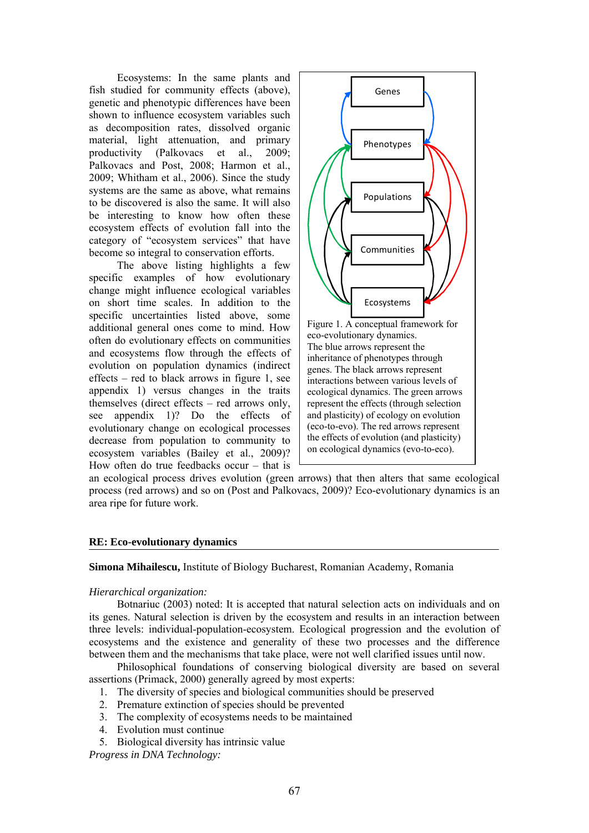Ecosystems: In the same plants and fish studied for community effects (above), genetic and phenotypic differences have been shown to influence ecosystem variables such as decomposition rates, dissolved organic material, light attenuation, and primary productivity (Palkovacs et al., 2009; Palkovacs and Post, 2008; Harmon et al., 2009; Whitham et al., 2006). Since the study systems are the same as above, what remains to be discovered is also the same. It will also be interesting to know how often these ecosystem effects of evolution fall into the category of "ecosystem services" that have become so integral to conservation efforts.

The above listing highlights a few specific examples of how evolutionary change might influence ecological variables on short time scales. In addition to the specific uncertainties listed above, some additional general ones come to mind. How often do evolutionary effects on communities and ecosystems flow through the effects of evolution on population dynamics (indirect effects – red to black arrows in figure 1, see appendix 1) versus changes in the traits themselves (direct effects – red arrows only, see appendix 1)? Do the effects of evolutionary change on ecological processes decrease from population to community to ecosystem variables (Bailey et al., 2009)? How often do true feedbacks occur – that is



an ecological process drives evolution (green arrows) that then alters that same ecological process (red arrows) and so on (Post and Palkovacs, 2009)? Eco-evolutionary dynamics is an area ripe for future work.

# **RE: Eco-evolutionary dynamics**

#### **Simona Mihailescu,** Institute of Biology Bucharest, Romanian Academy, Romania

## *Hierarchical organization:*

Botnariuc (2003) noted: It is accepted that natural selection acts on individuals and on its genes. Natural selection is driven by the ecosystem and results in an interaction between three levels: individual-population-ecosystem. Ecological progression and the evolution of ecosystems and the existence and generality of these two processes and the difference between them and the mechanisms that take place, were not well clarified issues until now.

Philosophical foundations of conserving biological diversity are based on several assertions (Primack, 2000) generally agreed by most experts:

- 1. The diversity of species and biological communities should be preserved
- 2. Premature extinction of species should be prevented
- 3. The complexity of ecosystems needs to be maintained
- 4. Evolution must continue
- 5. Biological diversity has intrinsic value

*Progress in DNA Technology:*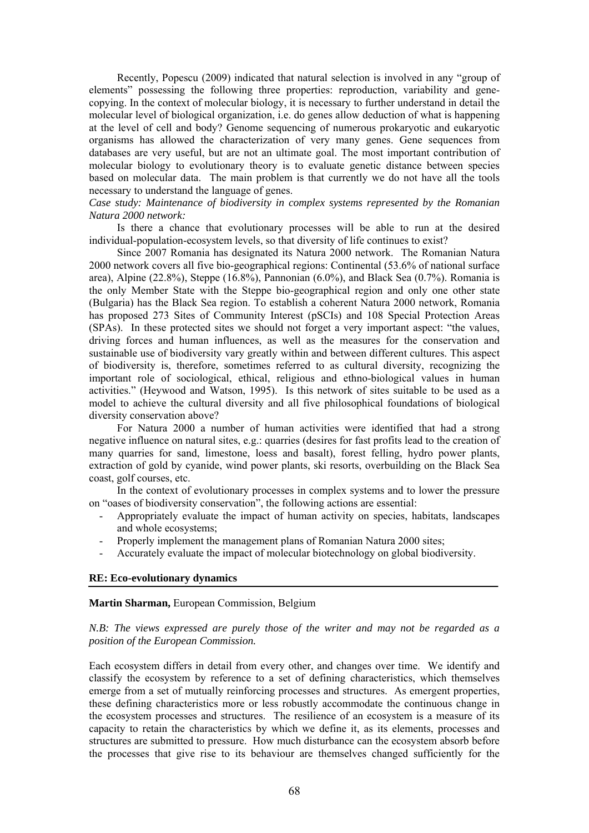Recently, Popescu (2009) indicated that natural selection is involved in any "group of elements" possessing the following three properties: reproduction, variability and genecopying. In the context of molecular biology, it is necessary to further understand in detail the molecular level of biological organization, i.e. do genes allow deduction of what is happening at the level of cell and body? Genome sequencing of numerous prokaryotic and eukaryotic organisms has allowed the characterization of very many genes. Gene sequences from databases are very useful, but are not an ultimate goal. The most important contribution of molecular biology to evolutionary theory is to evaluate genetic distance between species based on molecular data. The main problem is that currently we do not have all the tools necessary to understand the language of genes.

# *Case study: Maintenance of biodiversity in complex systems represented by the Romanian Natura 2000 network:*

Is there a chance that evolutionary processes will be able to run at the desired individual-population-ecosystem levels, so that diversity of life continues to exist?

Since 2007 Romania has designated its Natura 2000 network. The Romanian Natura 2000 network covers all five bio-geographical regions: Continental (53.6% of national surface area), Alpine (22.8%), Steppe (16.8%), Pannonian (6.0%), and Black Sea (0.7%). Romania is the only Member State with the Steppe bio-geographical region and only one other state (Bulgaria) has the Black Sea region. To establish a coherent Natura 2000 network, Romania has proposed 273 Sites of Community Interest (pSCIs) and 108 Special Protection Areas (SPAs). In these protected sites we should not forget a very important aspect: "the values, driving forces and human influences, as well as the measures for the conservation and sustainable use of biodiversity vary greatly within and between different cultures. This aspect of biodiversity is, therefore, sometimes referred to as cultural diversity, recognizing the important role of sociological, ethical, religious and ethno-biological values in human activities." (Heywood and Watson, 1995). Is this network of sites suitable to be used as a model to achieve the cultural diversity and all five philosophical foundations of biological diversity conservation above?

For Natura 2000 a number of human activities were identified that had a strong negative influence on natural sites, e.g.: quarries (desires for fast profits lead to the creation of many quarries for sand, limestone, loess and basalt), forest felling, hydro power plants, extraction of gold by cyanide, wind power plants, ski resorts, overbuilding on the Black Sea coast, golf courses, etc.

In the context of evolutionary processes in complex systems and to lower the pressure on "oases of biodiversity conservation", the following actions are essential:

- Appropriately evaluate the impact of human activity on species, habitats, landscapes and whole ecosystems;
- Properly implement the management plans of Romanian Natura 2000 sites;
- Accurately evaluate the impact of molecular biotechnology on global biodiversity.

# **RE: Eco-evolutionary dynamics**

#### **Martin Sharman,** European Commission, Belgium

# *N.B: The views expressed are purely those of the writer and may not be regarded as a position of the European Commission.*

Each ecosystem differs in detail from every other, and changes over time. We identify and classify the ecosystem by reference to a set of defining characteristics, which themselves emerge from a set of mutually reinforcing processes and structures. As emergent properties, these defining characteristics more or less robustly accommodate the continuous change in the ecosystem processes and structures. The resilience of an ecosystem is a measure of its capacity to retain the characteristics by which we define it, as its elements, processes and structures are submitted to pressure. How much disturbance can the ecosystem absorb before the processes that give rise to its behaviour are themselves changed sufficiently for the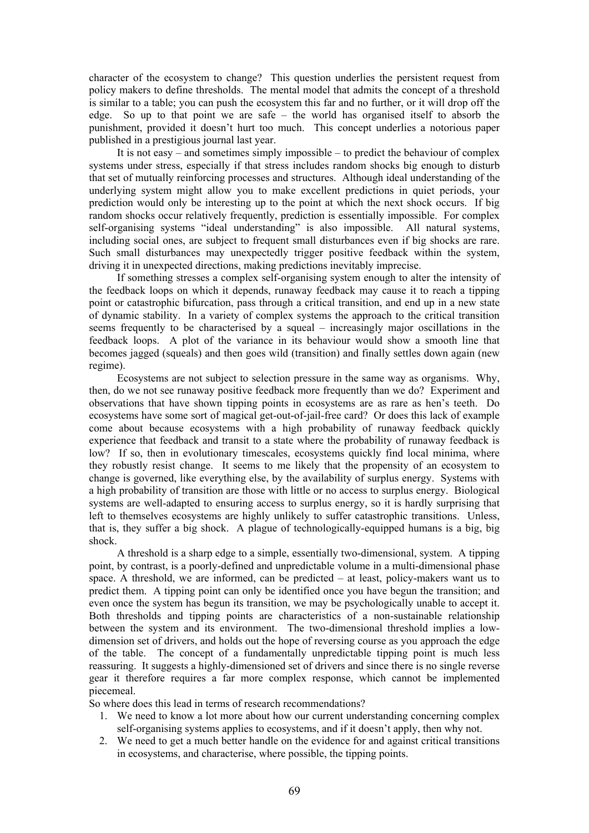character of the ecosystem to change? This question underlies the persistent request from policy makers to define thresholds. The mental model that admits the concept of a threshold is similar to a table; you can push the ecosystem this far and no further, or it will drop off the edge. So up to that point we are safe – the world has organised itself to absorb the punishment, provided it doesn't hurt too much. This concept underlies a notorious paper published in a prestigious journal last year.

It is not easy – and sometimes simply impossible – to predict the behaviour of complex systems under stress, especially if that stress includes random shocks big enough to disturb that set of mutually reinforcing processes and structures. Although ideal understanding of the underlying system might allow you to make excellent predictions in quiet periods, your prediction would only be interesting up to the point at which the next shock occurs. If big random shocks occur relatively frequently, prediction is essentially impossible. For complex self-organising systems "ideal understanding" is also impossible. All natural systems, including social ones, are subject to frequent small disturbances even if big shocks are rare. Such small disturbances may unexpectedly trigger positive feedback within the system, driving it in unexpected directions, making predictions inevitably imprecise.

If something stresses a complex self-organising system enough to alter the intensity of the feedback loops on which it depends, runaway feedback may cause it to reach a tipping point or catastrophic bifurcation, pass through a critical transition, and end up in a new state of dynamic stability. In a variety of complex systems the approach to the critical transition seems frequently to be characterised by a squeal – increasingly major oscillations in the feedback loops. A plot of the variance in its behaviour would show a smooth line that becomes jagged (squeals) and then goes wild (transition) and finally settles down again (new regime).

Ecosystems are not subject to selection pressure in the same way as organisms. Why, then, do we not see runaway positive feedback more frequently than we do? Experiment and observations that have shown tipping points in ecosystems are as rare as hen's teeth. Do ecosystems have some sort of magical get-out-of-jail-free card? Or does this lack of example come about because ecosystems with a high probability of runaway feedback quickly experience that feedback and transit to a state where the probability of runaway feedback is low? If so, then in evolutionary timescales, ecosystems quickly find local minima, where they robustly resist change. It seems to me likely that the propensity of an ecosystem to change is governed, like everything else, by the availability of surplus energy. Systems with a high probability of transition are those with little or no access to surplus energy. Biological systems are well-adapted to ensuring access to surplus energy, so it is hardly surprising that left to themselves ecosystems are highly unlikely to suffer catastrophic transitions. Unless, that is, they suffer a big shock. A plague of technologically-equipped humans is a big, big shock.

A threshold is a sharp edge to a simple, essentially two-dimensional, system. A tipping point, by contrast, is a poorly-defined and unpredictable volume in a multi-dimensional phase space. A threshold, we are informed, can be predicted – at least, policy-makers want us to predict them. A tipping point can only be identified once you have begun the transition; and even once the system has begun its transition, we may be psychologically unable to accept it. Both thresholds and tipping points are characteristics of a non-sustainable relationship between the system and its environment. The two-dimensional threshold implies a lowdimension set of drivers, and holds out the hope of reversing course as you approach the edge of the table. The concept of a fundamentally unpredictable tipping point is much less reassuring. It suggests a highly-dimensioned set of drivers and since there is no single reverse gear it therefore requires a far more complex response, which cannot be implemented piecemeal.

So where does this lead in terms of research recommendations?

- 1. We need to know a lot more about how our current understanding concerning complex self-organising systems applies to ecosystems, and if it doesn't apply, then why not.
- 2. We need to get a much better handle on the evidence for and against critical transitions in ecosystems, and characterise, where possible, the tipping points.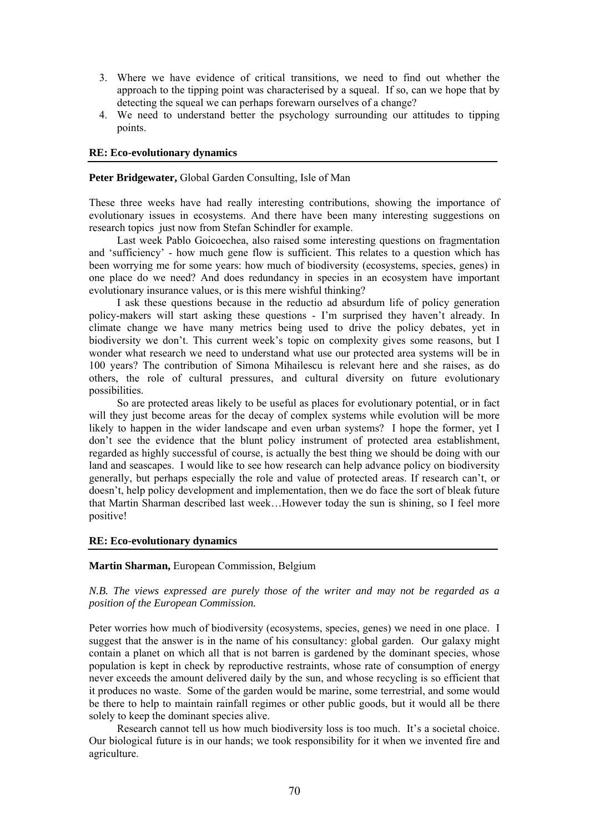- 3. Where we have evidence of critical transitions, we need to find out whether the approach to the tipping point was characterised by a squeal. If so, can we hope that by detecting the squeal we can perhaps forewarn ourselves of a change?
- 4. We need to understand better the psychology surrounding our attitudes to tipping points.

## **RE: Eco-evolutionary dynamics**

# **Peter Bridgewater,** Global Garden Consulting, Isle of Man

These three weeks have had really interesting contributions, showing the importance of evolutionary issues in ecosystems. And there have been many interesting suggestions on research topics just now from Stefan Schindler for example.

Last week Pablo Goicoechea, also raised some interesting questions on fragmentation and 'sufficiency' - how much gene flow is sufficient. This relates to a question which has been worrying me for some years: how much of biodiversity (ecosystems, species, genes) in one place do we need? And does redundancy in species in an ecosystem have important evolutionary insurance values, or is this mere wishful thinking?

I ask these questions because in the reductio ad absurdum life of policy generation policy-makers will start asking these questions - I'm surprised they haven't already. In climate change we have many metrics being used to drive the policy debates, yet in biodiversity we don't. This current week's topic on complexity gives some reasons, but I wonder what research we need to understand what use our protected area systems will be in 100 years? The contribution of Simona Mihailescu is relevant here and she raises, as do others, the role of cultural pressures, and cultural diversity on future evolutionary possibilities.

So are protected areas likely to be useful as places for evolutionary potential, or in fact will they just become areas for the decay of complex systems while evolution will be more likely to happen in the wider landscape and even urban systems? I hope the former, yet I don't see the evidence that the blunt policy instrument of protected area establishment, regarded as highly successful of course, is actually the best thing we should be doing with our land and seascapes. I would like to see how research can help advance policy on biodiversity generally, but perhaps especially the role and value of protected areas. If research can't, or doesn't, help policy development and implementation, then we do face the sort of bleak future that Martin Sharman described last week…However today the sun is shining, so I feel more positive!

# **RE: Eco-evolutionary dynamics**

#### **Martin Sharman,** European Commission, Belgium

# *N.B. The views expressed are purely those of the writer and may not be regarded as a position of the European Commission.*

Peter worries how much of biodiversity (ecosystems, species, genes) we need in one place. I suggest that the answer is in the name of his consultancy: global garden. Our galaxy might contain a planet on which all that is not barren is gardened by the dominant species, whose population is kept in check by reproductive restraints, whose rate of consumption of energy never exceeds the amount delivered daily by the sun, and whose recycling is so efficient that it produces no waste. Some of the garden would be marine, some terrestrial, and some would be there to help to maintain rainfall regimes or other public goods, but it would all be there solely to keep the dominant species alive.

Research cannot tell us how much biodiversity loss is too much. It's a societal choice. Our biological future is in our hands; we took responsibility for it when we invented fire and agriculture.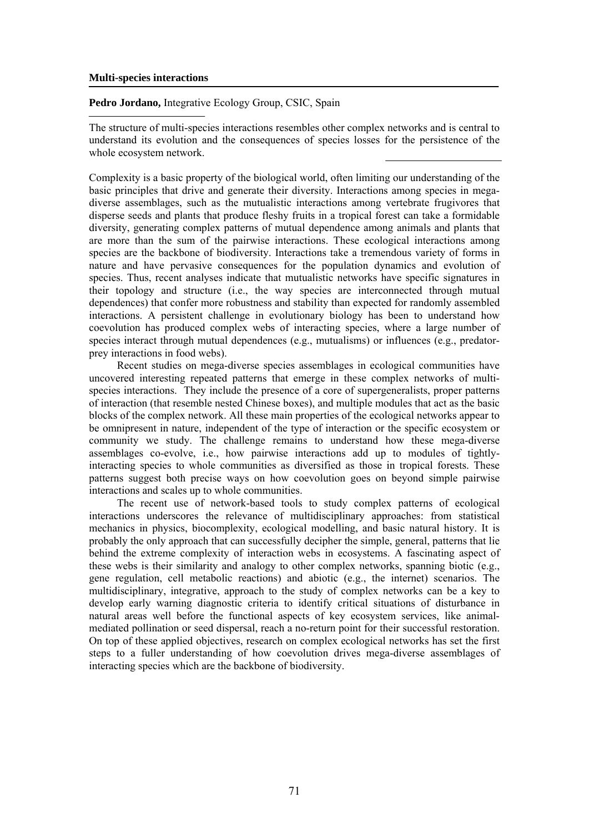#### **Multi-species interactions**

## **Pedro Jordano,** Integrative Ecology Group, CSIC, Spain

The structure of multi-species interactions resembles other complex networks and is central to understand its evolution and the consequences of species losses for the persistence of the whole ecosystem network.

Complexity is a basic property of the biological world, often limiting our understanding of the basic principles that drive and generate their diversity. Interactions among species in megadiverse assemblages, such as the mutualistic interactions among vertebrate frugivores that disperse seeds and plants that produce fleshy fruits in a tropical forest can take a formidable diversity, generating complex patterns of mutual dependence among animals and plants that are more than the sum of the pairwise interactions. These ecological interactions among species are the backbone of biodiversity. Interactions take a tremendous variety of forms in nature and have pervasive consequences for the population dynamics and evolution of species. Thus, recent analyses indicate that mutualistic networks have specific signatures in their topology and structure (i.e., the way species are interconnected through mutual dependences) that confer more robustness and stability than expected for randomly assembled interactions. A persistent challenge in evolutionary biology has been to understand how coevolution has produced complex webs of interacting species, where a large number of species interact through mutual dependences (e.g., mutualisms) or influences (e.g., predatorprey interactions in food webs).

Recent studies on mega-diverse species assemblages in ecological communities have uncovered interesting repeated patterns that emerge in these complex networks of multispecies interactions. They include the presence of a core of supergeneralists, proper patterns of interaction (that resemble nested Chinese boxes), and multiple modules that act as the basic blocks of the complex network. All these main properties of the ecological networks appear to be omnipresent in nature, independent of the type of interaction or the specific ecosystem or community we study. The challenge remains to understand how these mega-diverse assemblages co-evolve, i.e., how pairwise interactions add up to modules of tightlyinteracting species to whole communities as diversified as those in tropical forests. These patterns suggest both precise ways on how coevolution goes on beyond simple pairwise interactions and scales up to whole communities.

The recent use of network-based tools to study complex patterns of ecological interactions underscores the relevance of multidisciplinary approaches: from statistical mechanics in physics, biocomplexity, ecological modelling, and basic natural history. It is probably the only approach that can successfully decipher the simple, general, patterns that lie behind the extreme complexity of interaction webs in ecosystems. A fascinating aspect of these webs is their similarity and analogy to other complex networks, spanning biotic (e.g., gene regulation, cell metabolic reactions) and abiotic (e.g., the internet) scenarios. The multidisciplinary, integrative, approach to the study of complex networks can be a key to develop early warning diagnostic criteria to identify critical situations of disturbance in natural areas well before the functional aspects of key ecosystem services, like animalmediated pollination or seed dispersal, reach a no-return point for their successful restoration. On top of these applied objectives, research on complex ecological networks has set the first steps to a fuller understanding of how coevolution drives mega-diverse assemblages of interacting species which are the backbone of biodiversity.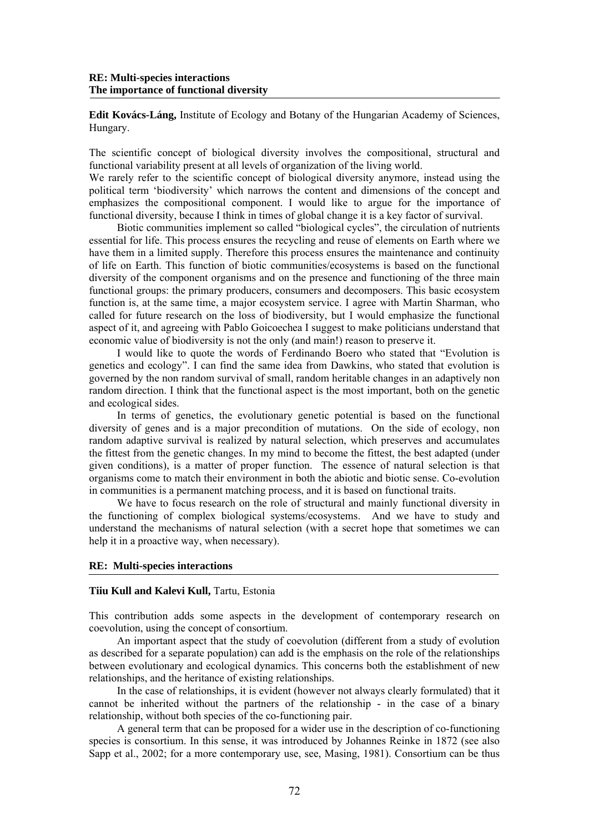**Edit Kovács-Láng,** Institute of Ecology and Botany of the Hungarian Academy of Sciences, Hungary.

The scientific concept of biological diversity involves the compositional, structural and functional variability present at all levels of organization of the living world.

We rarely refer to the scientific concept of biological diversity anymore, instead using the political term 'biodiversity' which narrows the content and dimensions of the concept and emphasizes the compositional component. I would like to argue for the importance of functional diversity, because I think in times of global change it is a key factor of survival.

Biotic communities implement so called "biological cycles", the circulation of nutrients essential for life. This process ensures the recycling and reuse of elements on Earth where we have them in a limited supply. Therefore this process ensures the maintenance and continuity of life on Earth. This function of biotic communities/ecosystems is based on the functional diversity of the component organisms and on the presence and functioning of the three main functional groups: the primary producers, consumers and decomposers. This basic ecosystem function is, at the same time, a major ecosystem service. I agree with Martin Sharman, who called for future research on the loss of biodiversity, but I would emphasize the functional aspect of it, and agreeing with Pablo Goicoechea I suggest to make politicians understand that economic value of biodiversity is not the only (and main!) reason to preserve it.

I would like to quote the words of Ferdinando Boero who stated that "Evolution is genetics and ecology". I can find the same idea from Dawkins, who stated that evolution is governed by the non random survival of small, random heritable changes in an adaptively non random direction. I think that the functional aspect is the most important, both on the genetic and ecological sides.

In terms of genetics, the evolutionary genetic potential is based on the functional diversity of genes and is a major precondition of mutations. On the side of ecology, non random adaptive survival is realized by natural selection, which preserves and accumulates the fittest from the genetic changes. In my mind to become the fittest, the best adapted (under given conditions), is a matter of proper function. The essence of natural selection is that organisms come to match their environment in both the abiotic and biotic sense. Co-evolution in communities is a permanent matching process, and it is based on functional traits.

We have to focus research on the role of structural and mainly functional diversity in the functioning of complex biological systems/ecosystems. And we have to study and understand the mechanisms of natural selection (with a secret hope that sometimes we can help it in a proactive way, when necessary).

#### **RE: Multi-species interactions**

# **Tiiu Kull and Kalevi Kull,** Tartu, Estonia

This contribution adds some aspects in the development of contemporary research on coevolution, using the concept of consortium.

An important aspect that the study of coevolution (different from a study of evolution as described for a separate population) can add is the emphasis on the role of the relationships between evolutionary and ecological dynamics. This concerns both the establishment of new relationships, and the heritance of existing relationships.

In the case of relationships, it is evident (however not always clearly formulated) that it cannot be inherited without the partners of the relationship - in the case of a binary relationship, without both species of the co-functioning pair.

A general term that can be proposed for a wider use in the description of co-functioning species is consortium. In this sense, it was introduced by Johannes Reinke in 1872 (see also Sapp et al., 2002; for a more contemporary use, see, Masing, 1981). Consortium can be thus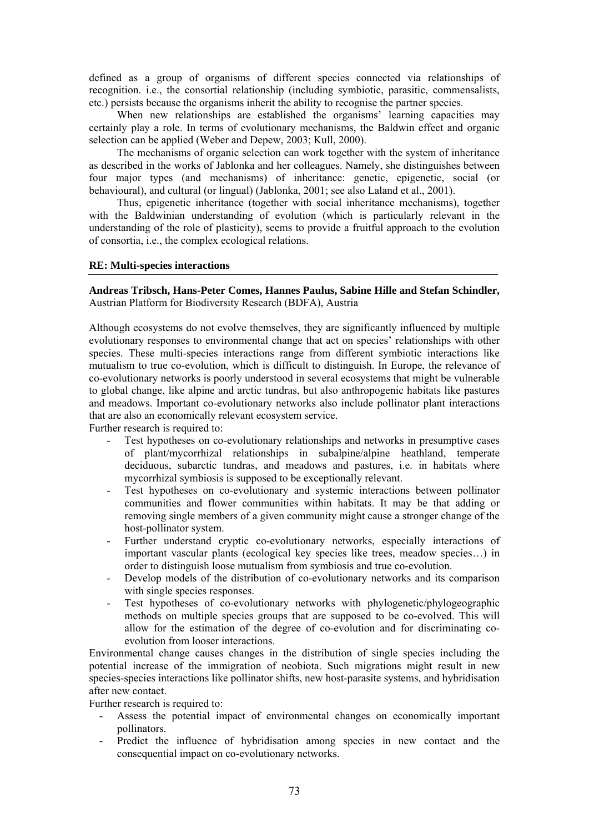defined as a group of organisms of different species connected via relationships of recognition. i.e., the consortial relationship (including symbiotic, parasitic, commensalists, etc.) persists because the organisms inherit the ability to recognise the partner species.

When new relationships are established the organisms' learning capacities may certainly play a role. In terms of evolutionary mechanisms, the Baldwin effect and organic selection can be applied (Weber and Depew, 2003; Kull, 2000).

The mechanisms of organic selection can work together with the system of inheritance as described in the works of Jablonka and her colleagues. Namely, she distinguishes between four major types (and mechanisms) of inheritance: genetic, epigenetic, social (or behavioural), and cultural (or lingual) (Jablonka, 2001; see also Laland et al., 2001).

Thus, epigenetic inheritance (together with social inheritance mechanisms), together with the Baldwinian understanding of evolution (which is particularly relevant in the understanding of the role of plasticity), seems to provide a fruitful approach to the evolution of consortia, i.e., the complex ecological relations.

#### **RE: Multi-species interactions**

**Andreas Tribsch, Hans-Peter Comes, Hannes Paulus, Sabine Hille and Stefan Schindler,**  Austrian Platform for Biodiversity Research (BDFA), Austria

Although ecosystems do not evolve themselves, they are significantly influenced by multiple evolutionary responses to environmental change that act on species' relationships with other species. These multi-species interactions range from different symbiotic interactions like mutualism to true co-evolution, which is difficult to distinguish. In Europe, the relevance of co-evolutionary networks is poorly understood in several ecosystems that might be vulnerable to global change, like alpine and arctic tundras, but also anthropogenic habitats like pastures and meadows. Important co-evolutionary networks also include pollinator plant interactions that are also an economically relevant ecosystem service.

Further research is required to:

- Test hypotheses on co-evolutionary relationships and networks in presumptive cases of plant/mycorrhizal relationships in subalpine/alpine heathland, temperate deciduous, subarctic tundras, and meadows and pastures, i.e. in habitats where mycorrhizal symbiosis is supposed to be exceptionally relevant.
- Test hypotheses on co-evolutionary and systemic interactions between pollinator communities and flower communities within habitats. It may be that adding or removing single members of a given community might cause a stronger change of the host-pollinator system.
- Further understand cryptic co-evolutionary networks, especially interactions of important vascular plants (ecological key species like trees, meadow species…) in order to distinguish loose mutualism from symbiosis and true co-evolution.
- Develop models of the distribution of co-evolutionary networks and its comparison with single species responses.
- Test hypotheses of co-evolutionary networks with phylogenetic/phylogeographic methods on multiple species groups that are supposed to be co-evolved. This will allow for the estimation of the degree of co-evolution and for discriminating coevolution from looser interactions.

Environmental change causes changes in the distribution of single species including the potential increase of the immigration of neobiota. Such migrations might result in new species-species interactions like pollinator shifts, new host-parasite systems, and hybridisation after new contact.

Further research is required to:

- Assess the potential impact of environmental changes on economically important pollinators.
- Predict the influence of hybridisation among species in new contact and the consequential impact on co-evolutionary networks.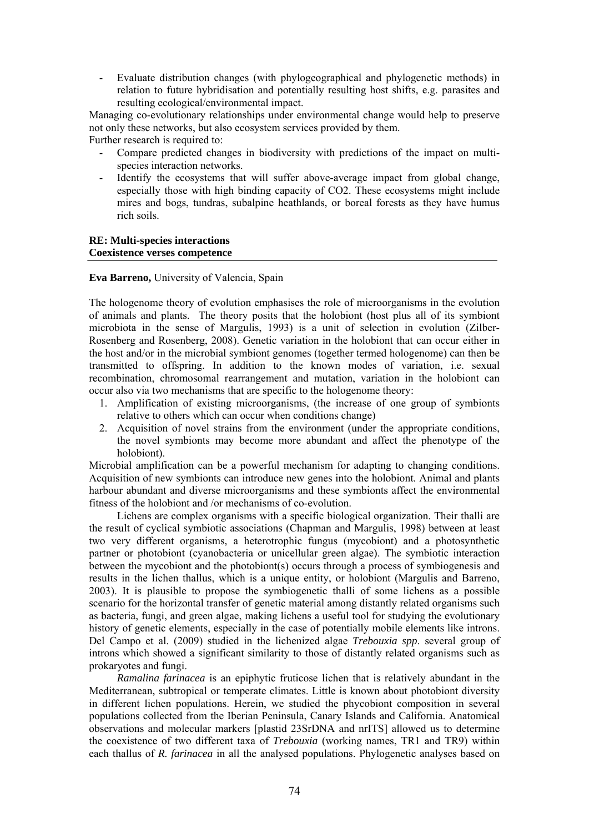- Evaluate distribution changes (with phylogeographical and phylogenetic methods) in relation to future hybridisation and potentially resulting host shifts, e.g. parasites and resulting ecological/environmental impact.

Managing co-evolutionary relationships under environmental change would help to preserve not only these networks, but also ecosystem services provided by them.

Further research is required to:

- Compare predicted changes in biodiversity with predictions of the impact on multispecies interaction networks.
- Identify the ecosystems that will suffer above-average impact from global change, especially those with high binding capacity of CO2. These ecosystems might include mires and bogs, tundras, subalpine heathlands, or boreal forests as they have humus rich soils.

## **RE: Multi-species interactions Coexistence verses competence**

## **Eva Barreno,** University of Valencia, Spain

The hologenome theory of evolution emphasises the role of microorganisms in the evolution of animals and plants. The theory posits that the holobiont (host plus all of its symbiont microbiota in the sense of Margulis, 1993) is a unit of selection in evolution (Zilber-Rosenberg and Rosenberg, 2008). Genetic variation in the holobiont that can occur either in the host and/or in the microbial symbiont genomes (together termed hologenome) can then be transmitted to offspring. In addition to the known modes of variation, i.e. sexual recombination, chromosomal rearrangement and mutation, variation in the holobiont can occur also via two mechanisms that are specific to the hologenome theory:

- 1. Amplification of existing microorganisms, (the increase of one group of symbionts relative to others which can occur when conditions change)
- 2. Acquisition of novel strains from the environment (under the appropriate conditions, the novel symbionts may become more abundant and affect the phenotype of the holobiont).

Microbial amplification can be a powerful mechanism for adapting to changing conditions. Acquisition of new symbionts can introduce new genes into the holobiont. Animal and plants harbour abundant and diverse microorganisms and these symbionts affect the environmental fitness of the holobiont and /or mechanisms of co-evolution.

Lichens are complex organisms with a specific biological organization. Their thalli are the result of cyclical symbiotic associations (Chapman and Margulis, 1998) between at least two very different organisms, a heterotrophic fungus (mycobiont) and a photosynthetic partner or photobiont (cyanobacteria or unicellular green algae). The symbiotic interaction between the mycobiont and the photobiont(s) occurs through a process of symbiogenesis and results in the lichen thallus, which is a unique entity, or holobiont (Margulis and Barreno, 2003). It is plausible to propose the symbiogenetic thalli of some lichens as a possible scenario for the horizontal transfer of genetic material among distantly related organisms such as bacteria, fungi, and green algae, making lichens a useful tool for studying the evolutionary history of genetic elements, especially in the case of potentially mobile elements like introns. Del Campo et al. (2009) studied in the lichenized algae *Trebouxia spp*. several group of introns which showed a significant similarity to those of distantly related organisms such as prokaryotes and fungi.

*Ramalina farinacea* is an epiphytic fruticose lichen that is relatively abundant in the Mediterranean, subtropical or temperate climates. Little is known about photobiont diversity in different lichen populations. Herein, we studied the phycobiont composition in several populations collected from the Iberian Peninsula, Canary Islands and California. Anatomical observations and molecular markers [plastid 23SrDNA and nrITS] allowed us to determine the coexistence of two different taxa of *Trebouxia* (working names, TR1 and TR9) within each thallus of *R. farinacea* in all the analysed populations. Phylogenetic analyses based on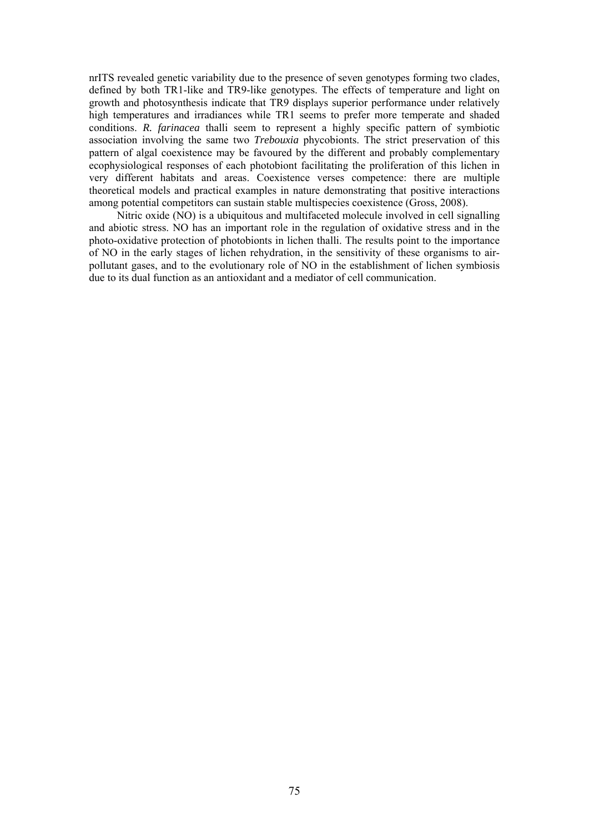nrITS revealed genetic variability due to the presence of seven genotypes forming two clades, defined by both TR1-like and TR9-like genotypes. The effects of temperature and light on growth and photosynthesis indicate that TR9 displays superior performance under relatively high temperatures and irradiances while TR1 seems to prefer more temperate and shaded conditions. *R. farinacea* thalli seem to represent a highly specific pattern of symbiotic association involving the same two *Trebouxia* phycobionts. The strict preservation of this pattern of algal coexistence may be favoured by the different and probably complementary ecophysiological responses of each photobiont facilitating the proliferation of this lichen in very different habitats and areas. Coexistence verses competence: there are multiple theoretical models and practical examples in nature demonstrating that positive interactions among potential competitors can sustain stable multispecies coexistence (Gross, 2008).

Nitric oxide (NO) is a ubiquitous and multifaceted molecule involved in cell signalling and abiotic stress. NO has an important role in the regulation of oxidative stress and in the photo-oxidative protection of photobionts in lichen thalli. The results point to the importance of NO in the early stages of lichen rehydration, in the sensitivity of these organisms to airpollutant gases, and to the evolutionary role of NO in the establishment of lichen symbiosis due to its dual function as an antioxidant and a mediator of cell communication.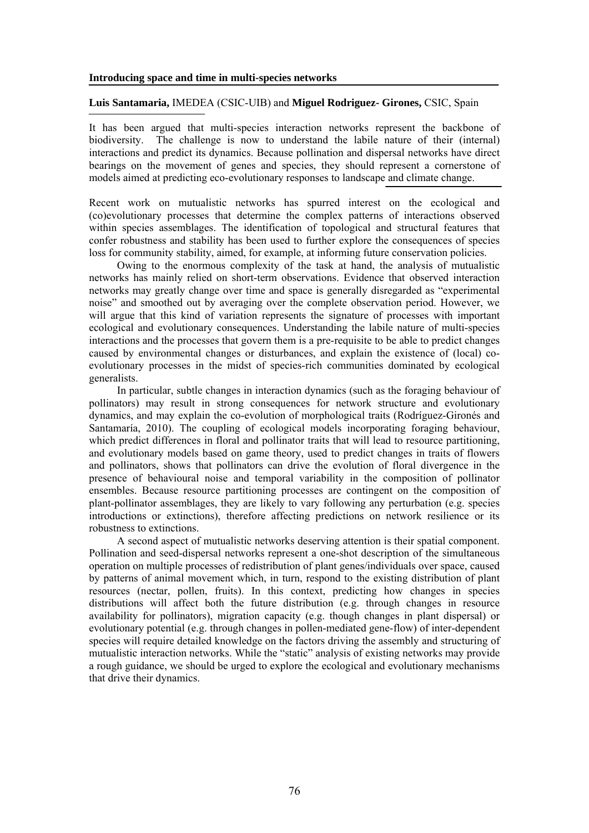#### **Introducing space and time in multi-species networks**

## **Luis Santamaria,** IMEDEA (CSIC-UIB) and **Miguel Rodriguez- Girones,** CSIC, Spain

It has been argued that multi-species interaction networks represent the backbone of biodiversity. The challenge is now to understand the labile nature of their (internal) interactions and predict its dynamics. Because pollination and dispersal networks have direct bearings on the movement of genes and species, they should represent a cornerstone of models aimed at predicting eco-evolutionary responses to landscape and climate change.

Recent work on mutualistic networks has spurred interest on the ecological and (co)evolutionary processes that determine the complex patterns of interactions observed within species assemblages. The identification of topological and structural features that confer robustness and stability has been used to further explore the consequences of species loss for community stability, aimed, for example, at informing future conservation policies.

Owing to the enormous complexity of the task at hand, the analysis of mutualistic networks has mainly relied on short-term observations. Evidence that observed interaction networks may greatly change over time and space is generally disregarded as "experimental noise" and smoothed out by averaging over the complete observation period. However, we will argue that this kind of variation represents the signature of processes with important ecological and evolutionary consequences. Understanding the labile nature of multi-species interactions and the processes that govern them is a pre-requisite to be able to predict changes caused by environmental changes or disturbances, and explain the existence of (local) coevolutionary processes in the midst of species-rich communities dominated by ecological generalists.

In particular, subtle changes in interaction dynamics (such as the foraging behaviour of pollinators) may result in strong consequences for network structure and evolutionary dynamics, and may explain the co-evolution of morphological traits (Rodríguez-Gironés and Santamaría, 2010). The coupling of ecological models incorporating foraging behaviour, which predict differences in floral and pollinator traits that will lead to resource partitioning, and evolutionary models based on game theory, used to predict changes in traits of flowers and pollinators, shows that pollinators can drive the evolution of floral divergence in the presence of behavioural noise and temporal variability in the composition of pollinator ensembles. Because resource partitioning processes are contingent on the composition of plant-pollinator assemblages, they are likely to vary following any perturbation (e.g. species introductions or extinctions), therefore affecting predictions on network resilience or its robustness to extinctions.

A second aspect of mutualistic networks deserving attention is their spatial component. Pollination and seed-dispersal networks represent a one-shot description of the simultaneous operation on multiple processes of redistribution of plant genes/individuals over space, caused by patterns of animal movement which, in turn, respond to the existing distribution of plant resources (nectar, pollen, fruits). In this context, predicting how changes in species distributions will affect both the future distribution (e.g. through changes in resource availability for pollinators), migration capacity (e.g. though changes in plant dispersal) or evolutionary potential (e.g. through changes in pollen-mediated gene-flow) of inter-dependent species will require detailed knowledge on the factors driving the assembly and structuring of mutualistic interaction networks. While the "static" analysis of existing networks may provide a rough guidance, we should be urged to explore the ecological and evolutionary mechanisms that drive their dynamics.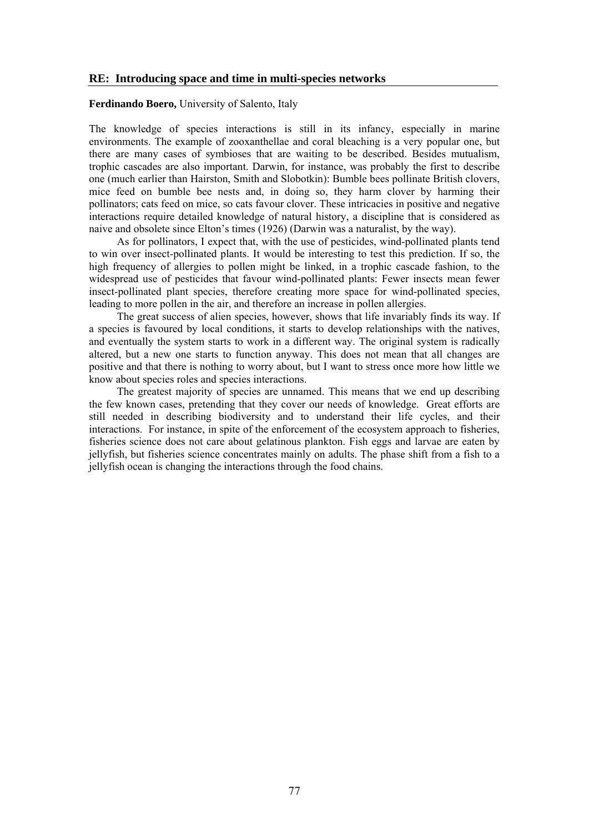#### **RE: Introducing space and time in multi-species networks**

### **Ferdinando Boero,** University of Salento, Italy

The knowledge of species interactions is still in its infancy, especially in marine environments. The example of zooxanthellae and coral bleaching is a very popular one, but there are many cases of symbioses that are waiting to be described. Besides mutualism, trophic cascades are also important. Darwin, for instance, was probably the first to describe one (much earlier than Hairston, Smith and Slobotkin): Bumble bees pollinate British clovers, mice feed on bumble bee nests and, in doing so, they harm clover by harming their pollinators; cats feed on mice, so cats favour clover. These intricacies in positive and negative interactions require detailed knowledge of natural history, a discipline that is considered as naive and obsolete since Elton's times (1926) (Darwin was a naturalist, by the way).

As for pollinators, I expect that, with the use of pesticides, wind-pollinated plants tend to win over insect-pollinated plants. It would be interesting to test this prediction. If so, the high frequency of allergies to pollen might be linked, in a trophic cascade fashion, to the widespread use of pesticides that favour wind-pollinated plants: Fewer insects mean fewer insect-pollinated plant species, therefore creating more space for wind-pollinated species, leading to more pollen in the air, and therefore an increase in pollen allergies.

The great success of alien species, however, shows that life invariably finds its way. If a species is favoured by local conditions, it starts to develop relationships with the natives, and eventually the system starts to work in a different way. The original system is radically altered, but a new one starts to function anyway. This does not mean that all changes are positive and that there is nothing to worry about, but I want to stress once more how little we know about species roles and species interactions.

The greatest majority of species are unnamed. This means that we end up describing the few known cases, pretending that they cover our needs of knowledge. Great efforts are still needed in describing biodiversity and to understand their life cycles, and their interactions. For instance, in spite of the enforcement of the ecosystem approach to fisheries, fisheries science does not care about gelatinous plankton. Fish eggs and larvae are eaten by jellyfish, but fisheries science concentrates mainly on adults. The phase shift from a fish to a jellyfish ocean is changing the interactions through the food chains.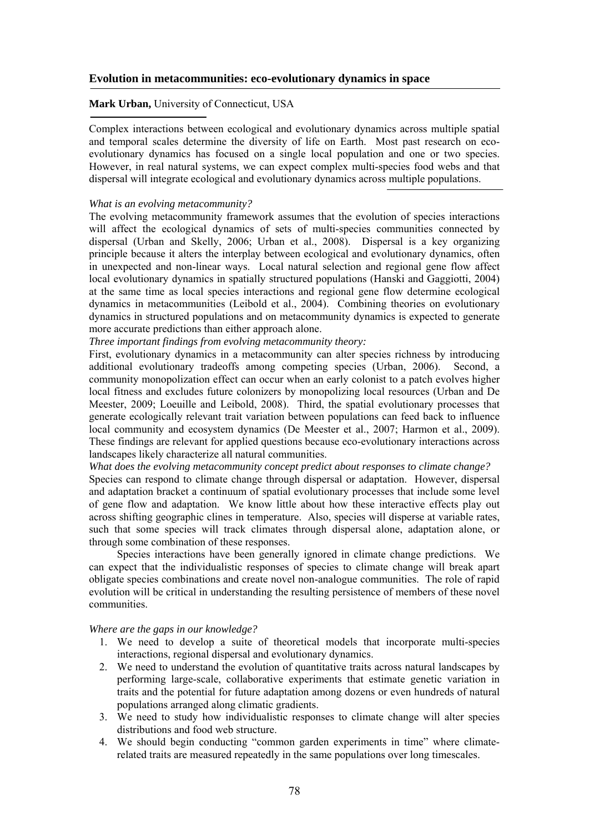# **Evolution in metacommunities: eco-evolutionary dynamics in space**

# **Mark Urban,** University of Connecticut, USA

Complex interactions between ecological and evolutionary dynamics across multiple spatial and temporal scales determine the diversity of life on Earth. Most past research on ecoevolutionary dynamics has focused on a single local population and one or two species. However, in real natural systems, we can expect complex multi-species food webs and that dispersal will integrate ecological and evolutionary dynamics across multiple populations.

## *What is an evolving metacommunity?*

The evolving metacommunity framework assumes that the evolution of species interactions will affect the ecological dynamics of sets of multi-species communities connected by dispersal (Urban and Skelly, 2006; Urban et al., 2008). Dispersal is a key organizing principle because it alters the interplay between ecological and evolutionary dynamics, often in unexpected and non-linear ways. Local natural selection and regional gene flow affect local evolutionary dynamics in spatially structured populations (Hanski and Gaggiotti, 2004) at the same time as local species interactions and regional gene flow determine ecological dynamics in metacommunities (Leibold et al., 2004). Combining theories on evolutionary dynamics in structured populations and on metacommunity dynamics is expected to generate more accurate predictions than either approach alone.

*Three important findings from evolving metacommunity theory:* 

First, evolutionary dynamics in a metacommunity can alter species richness by introducing additional evolutionary tradeoffs among competing species (Urban, 2006). Second, a community monopolization effect can occur when an early colonist to a patch evolves higher local fitness and excludes future colonizers by monopolizing local resources (Urban and De Meester, 2009; Loeuille and Leibold, 2008). Third, the spatial evolutionary processes that generate ecologically relevant trait variation between populations can feed back to influence local community and ecosystem dynamics (De Meester et al., 2007; Harmon et al., 2009). These findings are relevant for applied questions because eco-evolutionary interactions across landscapes likely characterize all natural communities.

*What does the evolving metacommunity concept predict about responses to climate change?*  Species can respond to climate change through dispersal or adaptation. However, dispersal and adaptation bracket a continuum of spatial evolutionary processes that include some level of gene flow and adaptation. We know little about how these interactive effects play out across shifting geographic clines in temperature. Also, species will disperse at variable rates, such that some species will track climates through dispersal alone, adaptation alone, or through some combination of these responses.

Species interactions have been generally ignored in climate change predictions. We can expect that the individualistic responses of species to climate change will break apart obligate species combinations and create novel non-analogue communities. The role of rapid evolution will be critical in understanding the resulting persistence of members of these novel communities.

#### *Where are the gaps in our knowledge?*

- 1. We need to develop a suite of theoretical models that incorporate multi-species interactions, regional dispersal and evolutionary dynamics.
- 2. We need to understand the evolution of quantitative traits across natural landscapes by performing large-scale, collaborative experiments that estimate genetic variation in traits and the potential for future adaptation among dozens or even hundreds of natural populations arranged along climatic gradients.
- 3. We need to study how individualistic responses to climate change will alter species distributions and food web structure.
- 4. We should begin conducting "common garden experiments in time" where climaterelated traits are measured repeatedly in the same populations over long timescales.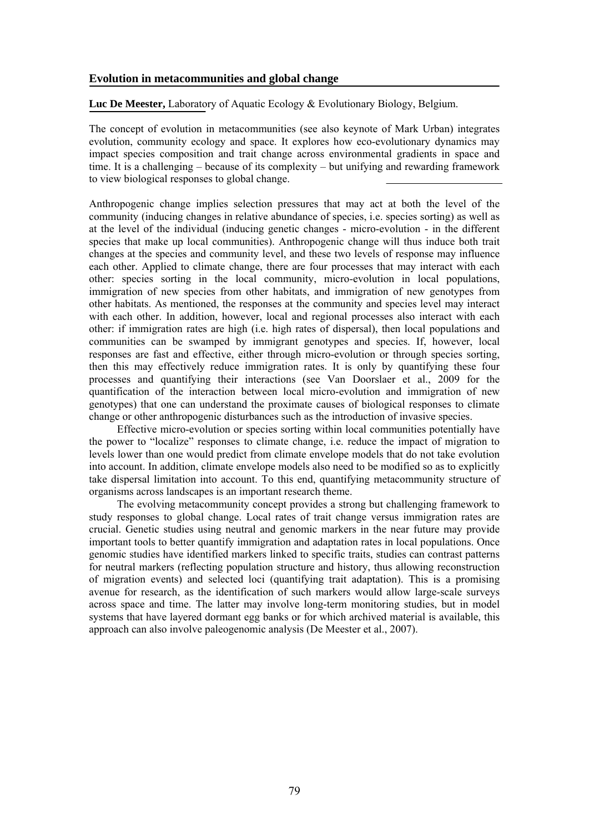# **Evolution in metacommunities and global change**

**Luc De Meester,** Laboratory of Aquatic Ecology & Evolutionary Biology, Belgium.

The concept of evolution in metacommunities (see also keynote of Mark Urban) integrates evolution, community ecology and space. It explores how eco-evolutionary dynamics may impact species composition and trait change across environmental gradients in space and time. It is a challenging – because of its complexity – but unifying and rewarding framework to view biological responses to global change.

Anthropogenic change implies selection pressures that may act at both the level of the community (inducing changes in relative abundance of species, i.e. species sorting) as well as at the level of the individual (inducing genetic changes - micro-evolution - in the different species that make up local communities). Anthropogenic change will thus induce both trait changes at the species and community level, and these two levels of response may influence each other. Applied to climate change, there are four processes that may interact with each other: species sorting in the local community, micro-evolution in local populations, immigration of new species from other habitats, and immigration of new genotypes from other habitats. As mentioned, the responses at the community and species level may interact with each other. In addition, however, local and regional processes also interact with each other: if immigration rates are high (i.e. high rates of dispersal), then local populations and communities can be swamped by immigrant genotypes and species. If, however, local responses are fast and effective, either through micro-evolution or through species sorting, then this may effectively reduce immigration rates. It is only by quantifying these four processes and quantifying their interactions (see Van Doorslaer et al., 2009 for the quantification of the interaction between local micro-evolution and immigration of new genotypes) that one can understand the proximate causes of biological responses to climate change or other anthropogenic disturbances such as the introduction of invasive species.

Effective micro-evolution or species sorting within local communities potentially have the power to "localize" responses to climate change, i.e. reduce the impact of migration to levels lower than one would predict from climate envelope models that do not take evolution into account. In addition, climate envelope models also need to be modified so as to explicitly take dispersal limitation into account. To this end, quantifying metacommunity structure of organisms across landscapes is an important research theme.

The evolving metacommunity concept provides a strong but challenging framework to study responses to global change. Local rates of trait change versus immigration rates are crucial. Genetic studies using neutral and genomic markers in the near future may provide important tools to better quantify immigration and adaptation rates in local populations. Once genomic studies have identified markers linked to specific traits, studies can contrast patterns for neutral markers (reflecting population structure and history, thus allowing reconstruction of migration events) and selected loci (quantifying trait adaptation). This is a promising avenue for research, as the identification of such markers would allow large-scale surveys across space and time. The latter may involve long-term monitoring studies, but in model systems that have layered dormant egg banks or for which archived material is available, this approach can also involve paleogenomic analysis (De Meester et al., 2007).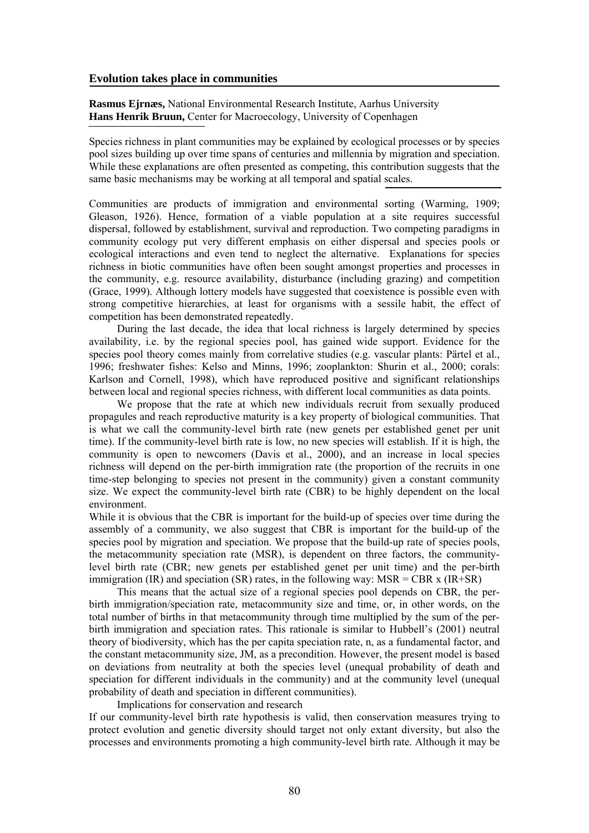#### **Evolution takes place in communities**

**Rasmus Ejrnæs,** National Environmental Research Institute, Aarhus University **Hans Henrik Bruun,** Center for Macroecology, University of Copenhagen

Species richness in plant communities may be explained by ecological processes or by species pool sizes building up over time spans of centuries and millennia by migration and speciation. While these explanations are often presented as competing, this contribution suggests that the same basic mechanisms may be working at all temporal and spatial scales.

Communities are products of immigration and environmental sorting (Warming, 1909; Gleason, 1926). Hence, formation of a viable population at a site requires successful dispersal, followed by establishment, survival and reproduction. Two competing paradigms in community ecology put very different emphasis on either dispersal and species pools or ecological interactions and even tend to neglect the alternative. Explanations for species richness in biotic communities have often been sought amongst properties and processes in the community, e.g. resource availability, disturbance (including grazing) and competition (Grace, 1999). Although lottery models have suggested that coexistence is possible even with strong competitive hierarchies, at least for organisms with a sessile habit, the effect of competition has been demonstrated repeatedly.

During the last decade, the idea that local richness is largely determined by species availability, i.e. by the regional species pool, has gained wide support. Evidence for the species pool theory comes mainly from correlative studies (e.g. vascular plants: Pärtel et al., 1996; freshwater fishes: Kelso and Minns, 1996; zooplankton: Shurin et al., 2000; corals: Karlson and Cornell, 1998), which have reproduced positive and significant relationships between local and regional species richness, with different local communities as data points.

We propose that the rate at which new individuals recruit from sexually produced propagules and reach reproductive maturity is a key property of biological communities. That is what we call the community-level birth rate (new genets per established genet per unit time). If the community-level birth rate is low, no new species will establish. If it is high, the community is open to newcomers (Davis et al., 2000), and an increase in local species richness will depend on the per-birth immigration rate (the proportion of the recruits in one time-step belonging to species not present in the community) given a constant community size. We expect the community-level birth rate (CBR) to be highly dependent on the local environment.

While it is obvious that the CBR is important for the build-up of species over time during the assembly of a community, we also suggest that CBR is important for the build-up of the species pool by migration and speciation. We propose that the build-up rate of species pools, the metacommunity speciation rate (MSR), is dependent on three factors, the communitylevel birth rate (CBR; new genets per established genet per unit time) and the per-birth immigration (IR) and speciation (SR) rates, in the following way: MSR = CBR x (IR+SR)

This means that the actual size of a regional species pool depends on CBR, the perbirth immigration/speciation rate, metacommunity size and time, or, in other words, on the total number of births in that metacommunity through time multiplied by the sum of the perbirth immigration and speciation rates. This rationale is similar to Hubbell's (2001) neutral theory of biodiversity, which has the per capita speciation rate, n, as a fundamental factor, and the constant metacommunity size, JM, as a precondition. However, the present model is based on deviations from neutrality at both the species level (unequal probability of death and speciation for different individuals in the community) and at the community level (unequal probability of death and speciation in different communities).

Implications for conservation and research

If our community-level birth rate hypothesis is valid, then conservation measures trying to protect evolution and genetic diversity should target not only extant diversity, but also the processes and environments promoting a high community-level birth rate. Although it may be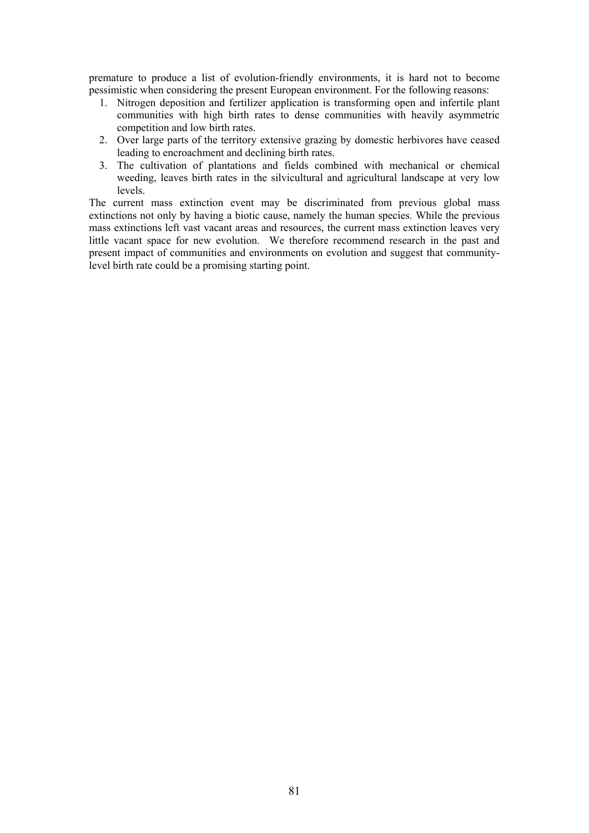premature to produce a list of evolution-friendly environments, it is hard not to become pessimistic when considering the present European environment. For the following reasons:

- 1. Nitrogen deposition and fertilizer application is transforming open and infertile plant communities with high birth rates to dense communities with heavily asymmetric competition and low birth rates.
- 2. Over large parts of the territory extensive grazing by domestic herbivores have ceased leading to encroachment and declining birth rates.
- 3. The cultivation of plantations and fields combined with mechanical or chemical weeding, leaves birth rates in the silvicultural and agricultural landscape at very low levels.

The current mass extinction event may be discriminated from previous global mass extinctions not only by having a biotic cause, namely the human species. While the previous mass extinctions left vast vacant areas and resources, the current mass extinction leaves very little vacant space for new evolution. We therefore recommend research in the past and present impact of communities and environments on evolution and suggest that communitylevel birth rate could be a promising starting point.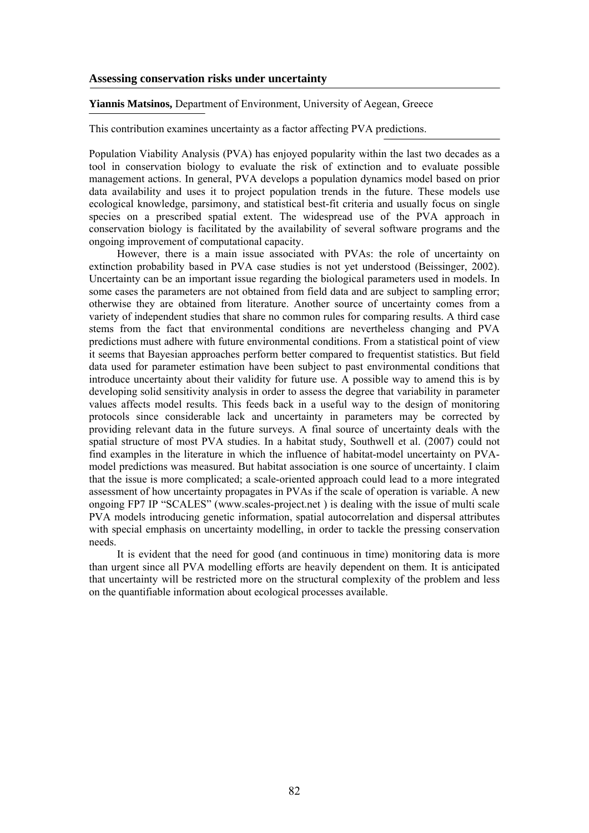### **Assessing conservation risks under uncertainty**

### **Yiannis Matsinos,** Department of Environment, University of Aegean, Greece

This contribution examines uncertainty as a factor affecting PVA predictions.

Population Viability Analysis (PVA) has enjoyed popularity within the last two decades as a tool in conservation biology to evaluate the risk of extinction and to evaluate possible management actions. In general, PVA develops a population dynamics model based on prior data availability and uses it to project population trends in the future. These models use ecological knowledge, parsimony, and statistical best-fit criteria and usually focus on single species on a prescribed spatial extent. The widespread use of the PVA approach in conservation biology is facilitated by the availability of several software programs and the ongoing improvement of computational capacity.

However, there is a main issue associated with PVAs: the role of uncertainty on extinction probability based in PVA case studies is not yet understood (Beissinger, 2002). Uncertainty can be an important issue regarding the biological parameters used in models. In some cases the parameters are not obtained from field data and are subject to sampling error; otherwise they are obtained from literature. Another source of uncertainty comes from a variety of independent studies that share no common rules for comparing results. A third case stems from the fact that environmental conditions are nevertheless changing and PVA predictions must adhere with future environmental conditions. From a statistical point of view it seems that Bayesian approaches perform better compared to frequentist statistics. But field data used for parameter estimation have been subject to past environmental conditions that introduce uncertainty about their validity for future use. A possible way to amend this is by developing solid sensitivity analysis in order to assess the degree that variability in parameter values affects model results. This feeds back in a useful way to the design of monitoring protocols since considerable lack and uncertainty in parameters may be corrected by providing relevant data in the future surveys. A final source of uncertainty deals with the spatial structure of most PVA studies. In a habitat study, Southwell et al. (2007) could not find examples in the literature in which the influence of habitat-model uncertainty on PVAmodel predictions was measured. But habitat association is one source of uncertainty. I claim that the issue is more complicated; a scale-oriented approach could lead to a more integrated assessment of how uncertainty propagates in PVAs if the scale of operation is variable. A new ongoing FP7 IP "SCALES" (www.scales-project.net ) is dealing with the issue of multi scale PVA models introducing genetic information, spatial autocorrelation and dispersal attributes with special emphasis on uncertainty modelling, in order to tackle the pressing conservation needs.

It is evident that the need for good (and continuous in time) monitoring data is more than urgent since all PVA modelling efforts are heavily dependent on them. It is anticipated that uncertainty will be restricted more on the structural complexity of the problem and less on the quantifiable information about ecological processes available.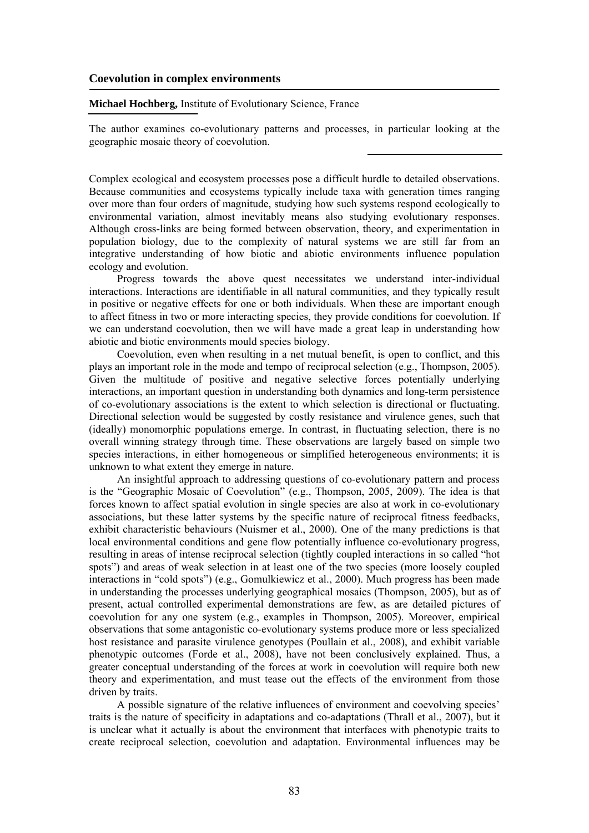## **Coevolution in complex environments**

#### **Michael Hochberg,** Institute of Evolutionary Science, France

The author examines co-evolutionary patterns and processes, in particular looking at the geographic mosaic theory of coevolution.

Complex ecological and ecosystem processes pose a difficult hurdle to detailed observations. Because communities and ecosystems typically include taxa with generation times ranging over more than four orders of magnitude, studying how such systems respond ecologically to environmental variation, almost inevitably means also studying evolutionary responses. Although cross-links are being formed between observation, theory, and experimentation in population biology, due to the complexity of natural systems we are still far from an integrative understanding of how biotic and abiotic environments influence population ecology and evolution.

Progress towards the above quest necessitates we understand inter-individual interactions. Interactions are identifiable in all natural communities, and they typically result in positive or negative effects for one or both individuals. When these are important enough to affect fitness in two or more interacting species, they provide conditions for coevolution. If we can understand coevolution, then we will have made a great leap in understanding how abiotic and biotic environments mould species biology.

Coevolution, even when resulting in a net mutual benefit, is open to conflict, and this plays an important role in the mode and tempo of reciprocal selection (e.g., Thompson, 2005). Given the multitude of positive and negative selective forces potentially underlying interactions, an important question in understanding both dynamics and long-term persistence of co-evolutionary associations is the extent to which selection is directional or fluctuating. Directional selection would be suggested by costly resistance and virulence genes, such that (ideally) monomorphic populations emerge. In contrast, in fluctuating selection, there is no overall winning strategy through time. These observations are largely based on simple two species interactions, in either homogeneous or simplified heterogeneous environments; it is unknown to what extent they emerge in nature.

An insightful approach to addressing questions of co-evolutionary pattern and process is the "Geographic Mosaic of Coevolution" (e.g., Thompson, 2005, 2009). The idea is that forces known to affect spatial evolution in single species are also at work in co-evolutionary associations, but these latter systems by the specific nature of reciprocal fitness feedbacks, exhibit characteristic behaviours (Nuismer et al., 2000). One of the many predictions is that local environmental conditions and gene flow potentially influence co-evolutionary progress, resulting in areas of intense reciprocal selection (tightly coupled interactions in so called "hot spots") and areas of weak selection in at least one of the two species (more loosely coupled interactions in "cold spots") (e.g., Gomulkiewicz et al., 2000). Much progress has been made in understanding the processes underlying geographical mosaics (Thompson, 2005), but as of present, actual controlled experimental demonstrations are few, as are detailed pictures of coevolution for any one system (e.g., examples in Thompson, 2005). Moreover, empirical observations that some antagonistic co-evolutionary systems produce more or less specialized host resistance and parasite virulence genotypes (Poullain et al., 2008), and exhibit variable phenotypic outcomes (Forde et al., 2008), have not been conclusively explained. Thus, a greater conceptual understanding of the forces at work in coevolution will require both new theory and experimentation, and must tease out the effects of the environment from those driven by traits.

A possible signature of the relative influences of environment and coevolving species' traits is the nature of specificity in adaptations and co-adaptations (Thrall et al., 2007), but it is unclear what it actually is about the environment that interfaces with phenotypic traits to create reciprocal selection, coevolution and adaptation. Environmental influences may be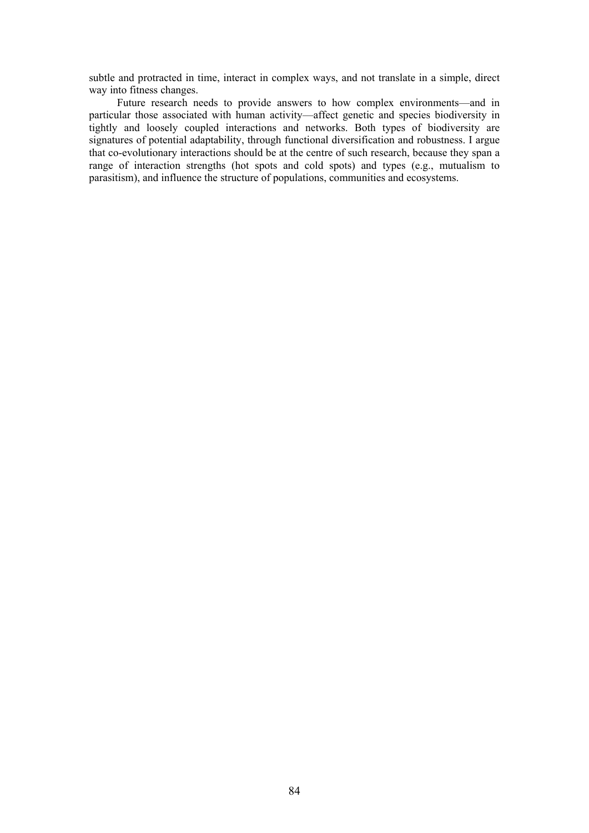subtle and protracted in time, interact in complex ways, and not translate in a simple, direct way into fitness changes.

Future research needs to provide answers to how complex environments—and in particular those associated with human activity—affect genetic and species biodiversity in tightly and loosely coupled interactions and networks. Both types of biodiversity are signatures of potential adaptability, through functional diversification and robustness. I argue that co-evolutionary interactions should be at the centre of such research, because they span a range of interaction strengths (hot spots and cold spots) and types (e.g., mutualism to parasitism), and influence the structure of populations, communities and ecosystems.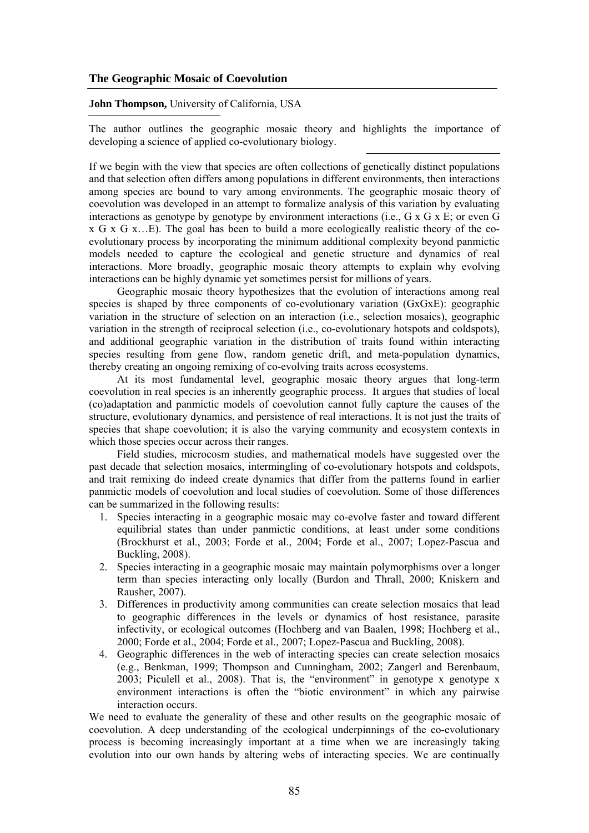# **The Geographic Mosaic of Coevolution**

## **John Thompson,** University of California, USA

The author outlines the geographic mosaic theory and highlights the importance of developing a science of applied co-evolutionary biology.

If we begin with the view that species are often collections of genetically distinct populations and that selection often differs among populations in different environments, then interactions among species are bound to vary among environments. The geographic mosaic theory of coevolution was developed in an attempt to formalize analysis of this variation by evaluating interactions as genotype by genotype by environment interactions (i.e., G x G x E; or even G x G x G x…E). The goal has been to build a more ecologically realistic theory of the coevolutionary process by incorporating the minimum additional complexity beyond panmictic models needed to capture the ecological and genetic structure and dynamics of real interactions. More broadly, geographic mosaic theory attempts to explain why evolving interactions can be highly dynamic yet sometimes persist for millions of years.

Geographic mosaic theory hypothesizes that the evolution of interactions among real species is shaped by three components of co-evolutionary variation (GxGxE): geographic variation in the structure of selection on an interaction (i.e., selection mosaics), geographic variation in the strength of reciprocal selection (i.e., co-evolutionary hotspots and coldspots), and additional geographic variation in the distribution of traits found within interacting species resulting from gene flow, random genetic drift, and meta-population dynamics, thereby creating an ongoing remixing of co-evolving traits across ecosystems.

At its most fundamental level, geographic mosaic theory argues that long-term coevolution in real species is an inherently geographic process. It argues that studies of local (co)adaptation and panmictic models of coevolution cannot fully capture the causes of the structure, evolutionary dynamics, and persistence of real interactions. It is not just the traits of species that shape coevolution; it is also the varying community and ecosystem contexts in which those species occur across their ranges.

Field studies, microcosm studies, and mathematical models have suggested over the past decade that selection mosaics, intermingling of co-evolutionary hotspots and coldspots, and trait remixing do indeed create dynamics that differ from the patterns found in earlier panmictic models of coevolution and local studies of coevolution. Some of those differences can be summarized in the following results:

- 1. Species interacting in a geographic mosaic may co-evolve faster and toward different equilibrial states than under panmictic conditions, at least under some conditions (Brockhurst et al., 2003; Forde et al., 2004; Forde et al., 2007; Lopez-Pascua and Buckling, 2008).
- 2. Species interacting in a geographic mosaic may maintain polymorphisms over a longer term than species interacting only locally (Burdon and Thrall, 2000; Kniskern and Rausher, 2007).
- 3. Differences in productivity among communities can create selection mosaics that lead to geographic differences in the levels or dynamics of host resistance, parasite infectivity, or ecological outcomes (Hochberg and van Baalen, 1998; Hochberg et al., 2000; Forde et al., 2004; Forde et al., 2007; Lopez-Pascua and Buckling, 2008).
- 4. Geographic differences in the web of interacting species can create selection mosaics (e.g., Benkman, 1999; Thompson and Cunningham, 2002; Zangerl and Berenbaum, 2003; Piculell et al., 2008). That is, the "environment" in genotype x genotype x environment interactions is often the "biotic environment" in which any pairwise interaction occurs.

We need to evaluate the generality of these and other results on the geographic mosaic of coevolution. A deep understanding of the ecological underpinnings of the co-evolutionary process is becoming increasingly important at a time when we are increasingly taking evolution into our own hands by altering webs of interacting species. We are continually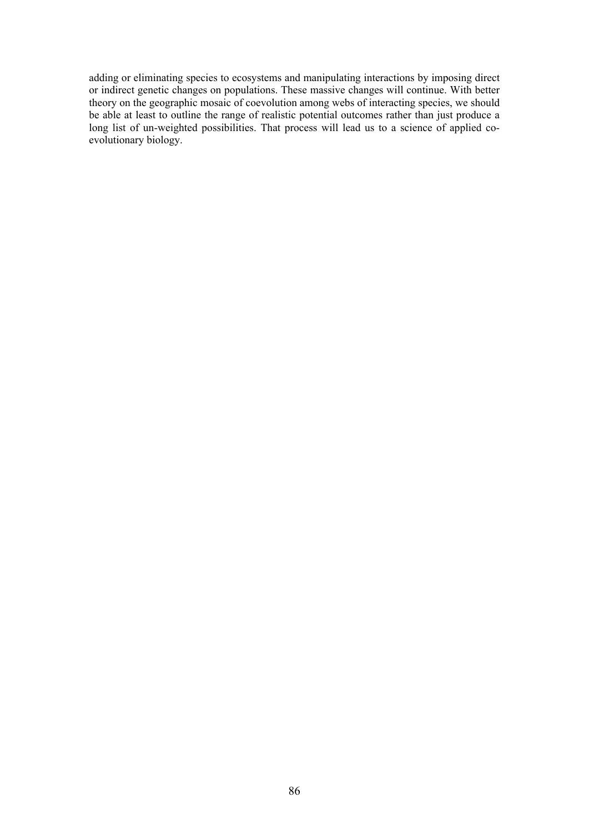adding or eliminating species to ecosystems and manipulating interactions by imposing direct or indirect genetic changes on populations. These massive changes will continue. With better theory on the geographic mosaic of coevolution among webs of interacting species, we should be able at least to outline the range of realistic potential outcomes rather than just produce a long list of un-weighted possibilities. That process will lead us to a science of applied coevolutionary biology.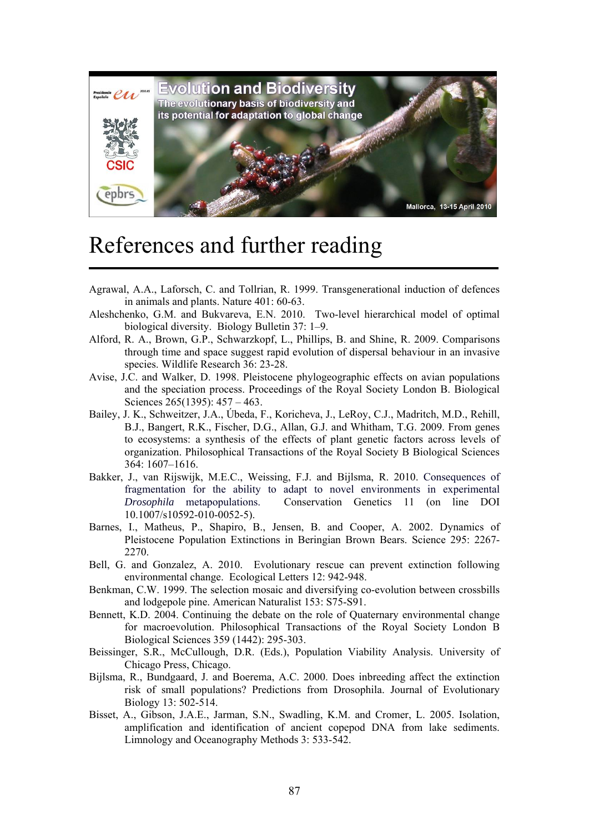

# References and further reading

- Agrawal, A.A., Laforsch, C. and Tollrian, R. 1999. Transgenerational induction of defences in animals and plants. Nature 401: 60-63.
- Aleshchenko, G.M. and Bukvareva, E.N. 2010. Two-level hierarchical model of optimal biological diversity. Biology Bulletin 37: 1–9.
- Alford, R. A., Brown, G.P., Schwarzkopf, L., Phillips, B. and Shine, R. 2009. Comparisons through time and space suggest rapid evolution of dispersal behaviour in an invasive species. Wildlife Research 36: 23-28.
- Avise, J.C. and Walker, D. 1998. Pleistocene phylogeographic effects on avian populations and the speciation process. Proceedings of the Royal Society London B. Biological Sciences 265(1395): 457 – 463.
- Bailey, J. K., Schweitzer, J.A., Úbeda, F., Koricheva, J., LeRoy, C.J., Madritch, M.D., Rehill, B.J., Bangert, R.K., Fischer, D.G., Allan, G.J. and Whitham, T.G. 2009. From genes to ecosystems: a synthesis of the effects of plant genetic factors across levels of organization. Philosophical Transactions of the Royal Society B Biological Sciences 364: 1607–1616.
- Bakker, J., van Rijswijk, M.E.C., Weissing, F.J. and Bijlsma, R. 2010. Consequences of fragmentation for the ability to adapt to novel environments in experimental *Drosophila* metapopulations. Conservation Genetics 11 (on line DOI 10.1007/s10592-010-0052-5).
- Barnes, I., Matheus, P., Shapiro, B., Jensen, B. and Cooper, A. 2002. Dynamics of Pleistocene Population Extinctions in Beringian Brown Bears. Science 295: 2267- 2270.
- Bell, G. and Gonzalez, A. 2010. Evolutionary rescue can prevent extinction following environmental change. Ecological Letters 12: 942-948.
- Benkman, C.W. 1999. The selection mosaic and diversifying co-evolution between crossbills and lodgepole pine. American Naturalist 153: S75-S91.
- Bennett, K.D. 2004. Continuing the debate on the role of Quaternary environmental change for macroevolution. Philosophical Transactions of the Royal Society London B Biological Sciences 359 (1442): 295-303.
- Beissinger, S.R., McCullough, D.R. (Eds.), Population Viability Analysis. University of Chicago Press, Chicago.
- Bijlsma, R., Bundgaard, J. and Boerema, A.C. 2000. Does inbreeding affect the extinction risk of small populations? Predictions from Drosophila. Journal of Evolutionary Biology 13: 502-514.
- Bisset, A., Gibson, J.A.E., Jarman, S.N., Swadling, K.M. and Cromer, L. 2005. Isolation, amplification and identification of ancient copepod DNA from lake sediments. Limnology and Oceanography Methods 3: 533-542.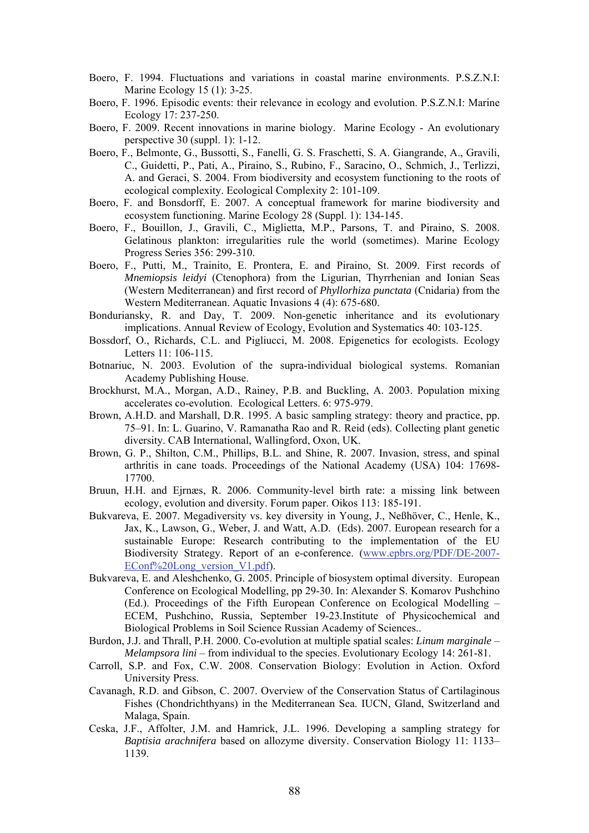- Boero, F. 1994. Fluctuations and variations in coastal marine environments. P.S.Z.N.I: Marine Ecology 15 (1): 3-25.
- Boero, F. 1996. Episodic events: their relevance in ecology and evolution. P.S.Z.N.I: Marine Ecology 17: 237-250.
- Boero, F. 2009. Recent innovations in marine biology. Marine Ecology An evolutionary perspective 30 (suppl. 1): 1-12.
- Boero, F., Belmonte, G., Bussotti, S., Fanelli, G. S. Fraschetti, S. A. Giangrande, A., Gravili, C., Guidetti, P., Pati, A., Piraino, S., Rubino, F., Saracino, O., Schmich, J., Terlizzi, A. and Geraci, S. 2004. From biodiversity and ecosystem functioning to the roots of ecological complexity. Ecological Complexity 2: 101-109.
- Boero, F. and Bonsdorff, E. 2007. A conceptual framework for marine biodiversity and ecosystem functioning. Marine Ecology 28 (Suppl. 1): 134-145.
- Boero, F., Bouillon, J., Gravili, C., Miglietta, M.P., Parsons, T. and Piraino, S. 2008. Gelatinous plankton: irregularities rule the world (sometimes). Marine Ecology Progress Series 356: 299-310.
- Boero, F., Putti, M., Trainito, E. Prontera, E. and Piraino, St. 2009. First records of *Mnemiopsis leidyi* (Ctenophora) from the Ligurian, Thyrrhenian and Ionian Seas (Western Mediterranean) and first record of *Phyllorhiza punctata* (Cnidaria) from the Western Mediterranean. Aquatic Invasions 4 (4): 675-680.
- Bonduriansky, R. and Day, T. 2009. Non-genetic inheritance and its evolutionary implications. Annual Review of Ecology, Evolution and Systematics 40: 103-125.
- Bossdorf, O., Richards, C.L. and Pigliucci, M. 2008. Epigenetics for ecologists. Ecology Letters 11: 106-115.
- Botnariuc, N. 2003. Evolution of the supra-individual biological systems. Romanian Academy Publishing House.
- Brockhurst, M.A., Morgan, A.D., Rainey, P.B. and Buckling, A. 2003. Population mixing accelerates co-evolution. Ecological Letters. 6: 975-979.
- Brown, A.H.D. and Marshall, D.R. 1995. A basic sampling strategy: theory and practice, pp. 75–91. In: L. Guarino, V. Ramanatha Rao and R. Reid (eds). Collecting plant genetic diversity. CAB International, Wallingford, Oxon, UK.
- Brown, G. P., Shilton, C.M., Phillips, B.L. and Shine, R. 2007. Invasion, stress, and spinal arthritis in cane toads. Proceedings of the National Academy (USA) 104: 17698- 17700.
- Bruun, H.H. and Ejrnæs, R. 2006. Community-level birth rate: a missing link between ecology, evolution and diversity. Forum paper. Oikos 113: 185-191.
- Bukvareva, E. 2007. Megadiversity vs. key diversity in Young, J., Neßhöver, C., Henle, K., Jax, K., Lawson, G., Weber, J. and Watt, A.D. (Eds). 2007. European research for a sustainable Europe: Research contributing to the implementation of the EU Biodiversity Strategy. Report of an e-conference. (www.epbrs.org/PDF/DE-2007- EConf%20Long\_version\_V1.pdf).
- Bukvareva, E. and Aleshchenko, G. 2005. Principle of biosystem optimal diversity. European Conference on Ecological Modelling, pp 29-30. In: Alexander S. Komarov Pushchino (Ed.). Proceedings of the Fifth European Conference on Ecological Modelling – ECEM, Pushchino, Russia, September 19-23.Institute of Physicochemical and Biological Problems in Soil Science Russian Academy of Sciences..
- Burdon, J.J. and Thrall, P.H. 2000. Co-evolution at multiple spatial scales: *Linum marginale Melampsora lini* – from individual to the species. Evolutionary Ecology 14: 261-81.
- Carroll, S.P. and Fox, C.W. 2008. Conservation Biology: Evolution in Action. Oxford University Press.
- Cavanagh, R.D. and Gibson, C. 2007. Overview of the Conservation Status of Cartilaginous Fishes (Chondrichthyans) in the Mediterranean Sea. IUCN, Gland, Switzerland and Malaga, Spain.
- Ceska, J.F., Affolter, J.M. and Hamrick, J.L. 1996. Developing a sampling strategy for *Baptisia arachnifera* based on allozyme diversity. Conservation Biology 11: 1133– 1139.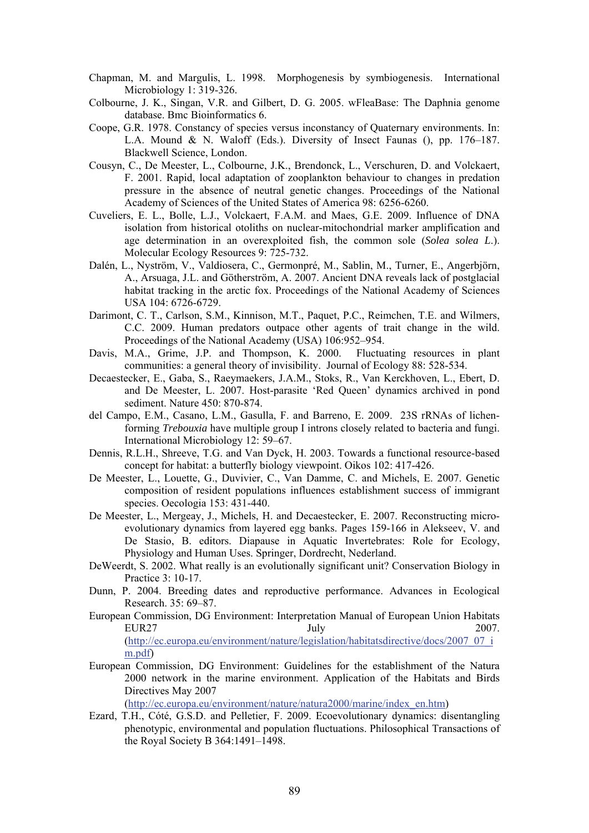- Chapman, M. and Margulis, L. 1998. Morphogenesis by symbiogenesis. International Microbiology 1: 319-326.
- Colbourne, J. K., Singan, V.R. and Gilbert, D. G. 2005. wFleaBase: The Daphnia genome database. Bmc Bioinformatics 6.
- Coope, G.R. 1978. Constancy of species versus inconstancy of Quaternary environments. In: L.A. Mound & N. Waloff (Eds.). Diversity of Insect Faunas (), pp. 176–187. Blackwell Science, London.
- Cousyn, C., De Meester, L., Colbourne, J.K., Brendonck, L., Verschuren, D. and Volckaert, F. 2001. Rapid, local adaptation of zooplankton behaviour to changes in predation pressure in the absence of neutral genetic changes. Proceedings of the National Academy of Sciences of the United States of America 98: 6256-6260.
- Cuveliers, E. L., Bolle, L.J., Volckaert, F.A.M. and Maes, G.E. 2009. Influence of DNA isolation from historical otoliths on nuclear-mitochondrial marker amplification and age determination in an overexploited fish, the common sole (*Solea solea L*.). Molecular Ecology Resources 9: 725-732.
- Dalén, L., Nyström, V., Valdiosera, C., Germonpré, M., Sablin, M., Turner, E., Angerbjörn, A., Arsuaga, J.L. and Götherström, A. 2007. Ancient DNA reveals lack of postglacial habitat tracking in the arctic fox. Proceedings of the National Academy of Sciences USA 104: 6726-6729.
- Darimont, C. T., Carlson, S.M., Kinnison, M.T., Paquet, P.C., Reimchen, T.E. and Wilmers, C.C. 2009. Human predators outpace other agents of trait change in the wild. Proceedings of the National Academy (USA) 106:952–954.
- Davis, M.A., Grime, J.P. and Thompson, K. 2000. Fluctuating resources in plant communities: a general theory of invisibility. Journal of Ecology 88: 528-534.
- Decaestecker, E., Gaba, S., Raeymaekers, J.A.M., Stoks, R., Van Kerckhoven, L., Ebert, D. and De Meester, L. 2007. Host-parasite 'Red Queen' dynamics archived in pond sediment. Nature 450: 870-874.
- del Campo, E.M., Casano, L.M., Gasulla, F. and Barreno, E. 2009. 23S rRNAs of lichenforming *Trebouxia* have multiple group I introns closely related to bacteria and fungi. International Microbiology 12: 59–67.
- Dennis, R.L.H., Shreeve, T.G. and Van Dyck, H. 2003. Towards a functional resource-based concept for habitat: a butterfly biology viewpoint. Oikos 102: 417-426.
- De Meester, L., Louette, G., Duvivier, C., Van Damme, C. and Michels, E. 2007. Genetic composition of resident populations influences establishment success of immigrant species. Oecologia 153: 431-440.
- De Meester, L., Mergeay, J., Michels, H. and Decaestecker, E. 2007. Reconstructing microevolutionary dynamics from layered egg banks. Pages 159-166 in Alekseev, V. and De Stasio, B. editors. Diapause in Aquatic Invertebrates: Role for Ecology, Physiology and Human Uses. Springer, Dordrecht, Nederland.
- DeWeerdt, S. 2002. What really is an evolutionally significant unit? Conservation Biology in Practice 3: 10-17.
- Dunn, P. 2004. Breeding dates and reproductive performance. Advances in Ecological Research. 35: 69–87.
- European Commission, DG Environment: Interpretation Manual of European Union Habitats EUR27 July 2007. (http://ec.europa.eu/environment/nature/legislation/habitatsdirective/docs/2007\_07\_i m.pdf)
- European Commission, DG Environment: Guidelines for the establishment of the Natura 2000 network in the marine environment. Application of the Habitats and Birds Directives May 2007

(http://ec.europa.eu/environment/nature/natura2000/marine/index\_en.htm)

Ezard, T.H., Cóté, G.S.D. and Pelletier, F. 2009. Ecoevolutionary dynamics: disentangling phenotypic, environmental and population fluctuations. Philosophical Transactions of the Royal Society B 364:1491–1498.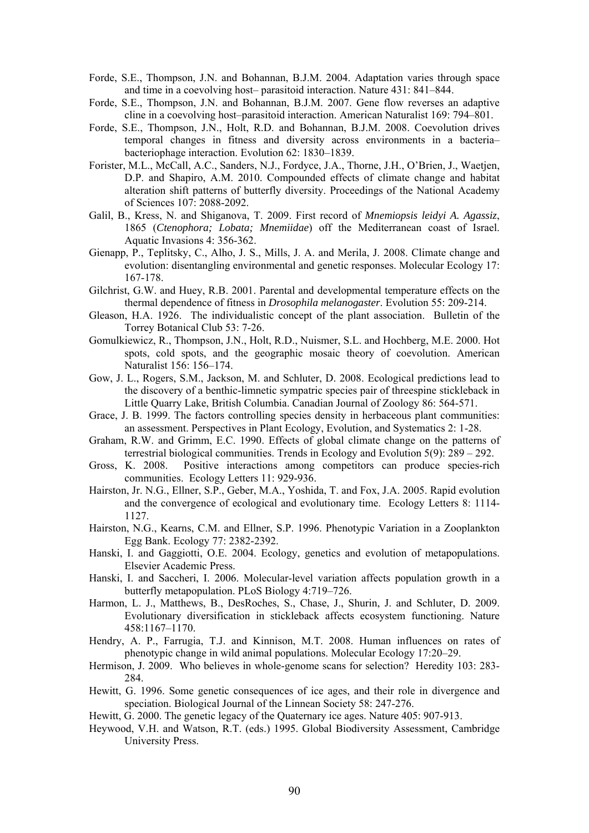- Forde, S.E., Thompson, J.N. and Bohannan, B.J.M. 2004. Adaptation varies through space and time in a coevolving host– parasitoid interaction. Nature 431: 841–844.
- Forde, S.E., Thompson, J.N. and Bohannan, B.J.M. 2007. Gene flow reverses an adaptive cline in a coevolving host–parasitoid interaction. American Naturalist 169: 794–801.
- Forde, S.E., Thompson, J.N., Holt, R.D. and Bohannan, B.J.M. 2008. Coevolution drives temporal changes in fitness and diversity across environments in a bacteria– bacteriophage interaction. Evolution 62: 1830–1839.
- Forister, M.L., McCall, A.C., Sanders, N.J., Fordyce, J.A., Thorne, J.H., O'Brien, J., Waetjen, D.P. and Shapiro, A.M. 2010. Compounded effects of climate change and habitat alteration shift patterns of butterfly diversity. Proceedings of the National Academy of Sciences 107: 2088-2092.
- Galil, B., Kress, N. and Shiganova, T. 2009. First record of *Mnemiopsis leidyi A. Agassiz*, 1865 (*Ctenophora; Lobata; Mnemiidae*) off the Mediterranean coast of Israel. Aquatic Invasions 4: 356-362.
- Gienapp, P., Teplitsky, C., Alho, J. S., Mills, J. A. and Merila, J. 2008. Climate change and evolution: disentangling environmental and genetic responses. Molecular Ecology 17: 167-178.
- Gilchrist, G.W. and Huey, R.B. 2001. Parental and developmental temperature effects on the thermal dependence of fitness in *Drosophila melanogaster*. Evolution 55: 209-214.
- Gleason, H.A. 1926. The individualistic concept of the plant association. Bulletin of the Torrey Botanical Club 53: 7-26.
- Gomulkiewicz, R., Thompson, J.N., Holt, R.D., Nuismer, S.L. and Hochberg, M.E. 2000. Hot spots, cold spots, and the geographic mosaic theory of coevolution. American Naturalist 156: 156–174.
- Gow, J. L., Rogers, S.M., Jackson, M. and Schluter, D. 2008. Ecological predictions lead to the discovery of a benthic-limnetic sympatric species pair of threespine stickleback in Little Quarry Lake, British Columbia. Canadian Journal of Zoology 86: 564-571.
- Grace, J. B. 1999. The factors controlling species density in herbaceous plant communities: an assessment. Perspectives in Plant Ecology, Evolution, and Systematics 2: 1-28.
- Graham, R.W. and Grimm, E.C. 1990. Effects of global climate change on the patterns of terrestrial biological communities. Trends in Ecology and Evolution 5(9): 289 – 292.
- Gross, K. 2008. Positive interactions among competitors can produce species-rich communities. Ecology Letters 11: 929-936.
- Hairston, Jr. N.G., Ellner, S.P., Geber, M.A., Yoshida, T. and Fox, J.A. 2005. Rapid evolution and the convergence of ecological and evolutionary time. Ecology Letters 8: 1114- 1127.
- Hairston, N.G., Kearns, C.M. and Ellner, S.P. 1996. Phenotypic Variation in a Zooplankton Egg Bank. Ecology 77: 2382-2392.
- Hanski, I. and Gaggiotti, O.E. 2004. Ecology, genetics and evolution of metapopulations. Elsevier Academic Press.
- Hanski, I. and Saccheri, I. 2006. Molecular-level variation affects population growth in a butterfly metapopulation. PLoS Biology 4:719–726.
- Harmon, L. J., Matthews, B., DesRoches, S., Chase, J., Shurin, J. and Schluter, D. 2009. Evolutionary diversification in stickleback affects ecosystem functioning. Nature 458:1167–1170.
- Hendry, A. P., Farrugia, T.J. and Kinnison, M.T. 2008. Human influences on rates of phenotypic change in wild animal populations. Molecular Ecology 17:20–29.
- Hermison, J. 2009. Who believes in whole-genome scans for selection? Heredity 103: 283-284.
- Hewitt, G. 1996. Some genetic consequences of ice ages, and their role in divergence and speciation. Biological Journal of the Linnean Society 58: 247-276.
- Hewitt, G. 2000. The genetic legacy of the Quaternary ice ages. Nature 405: 907-913.
- Heywood, V.H. and Watson, R.T. (eds.) 1995. Global Biodiversity Assessment, Cambridge University Press.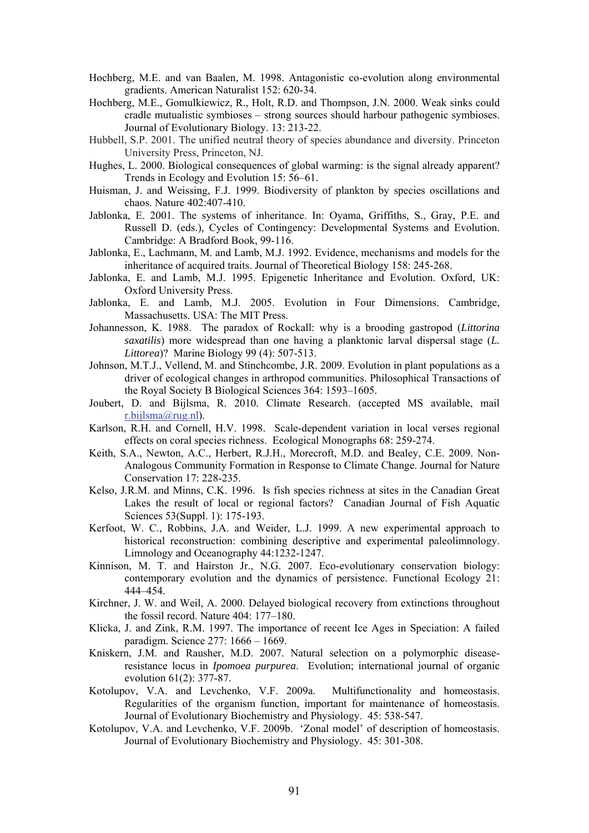- Hochberg, M.E. and van Baalen, M. 1998. Antagonistic co-evolution along environmental gradients. American Naturalist 152: 620-34.
- Hochberg, M.E., Gomulkiewicz, R., Holt, R.D. and Thompson, J.N. 2000. Weak sinks could cradle mutualistic symbioses – strong sources should harbour pathogenic symbioses. Journal of Evolutionary Biology. 13: 213-22.
- Hubbell, S.P. 2001. The unified neutral theory of species abundance and diversity. Princeton University Press, Princeton, NJ.
- Hughes, L. 2000. Biological consequences of global warming: is the signal already apparent? Trends in Ecology and Evolution 15: 56–61.
- Huisman, J. and Weissing, F.J. 1999. Biodiversity of plankton by species oscillations and chaos. Nature 402:407-410.
- Jablonka, E. 2001. The systems of inheritance. In: Oyama, Griffiths, S., Gray, P.E. and Russell D. (eds.), Cycles of Contingency: Developmental Systems and Evolution. Cambridge: A Bradford Book, 99-116.
- Jablonka, E., Lachmann, M. and Lamb, M.J. 1992. Evidence, mechanisms and models for the inheritance of acquired traits. Journal of Theoretical Biology 158: 245-268.
- Jablonka, E. and Lamb, M.J. 1995. Epigenetic Inheritance and Evolution. Oxford, UK: Oxford University Press.
- Jablonka, E. and Lamb, M.J. 2005. Evolution in Four Dimensions. Cambridge, Massachusetts. USA: The MIT Press.
- Johannesson, K. 1988. The paradox of Rockall: why is a brooding gastropod (*Littorina saxatilis*) more widespread than one having a planktonic larval dispersal stage (*L. Littorea*)? Marine Biology 99 (4): 507-513.
- Johnson, M.T.J., Vellend, M. and Stinchcombe, J.R. 2009. Evolution in plant populations as a driver of ecological changes in arthropod communities. Philosophical Transactions of the Royal Society B Biological Sciences 364: 1593–1605.
- Joubert, D. and Bijlsma, R. 2010. Climate Research. (accepted MS available, mail r.bijlsma@rug.nl).
- Karlson, R.H. and Cornell, H.V. 1998. Scale-dependent variation in local verses regional effects on coral species richness. Ecological Monographs 68: 259-274.
- Keith, S.A., Newton, A.C., Herbert, R.J.H., Morecroft, M.D. and Bealey, C.E. 2009. Non-Analogous Community Formation in Response to Climate Change. Journal for Nature Conservation 17: 228-235.
- Kelso, J.R.M. and Minns, C.K. 1996. Is fish species richness at sites in the Canadian Great Lakes the result of local or regional factors? Canadian Journal of Fish Aquatic Sciences 53(Suppl. 1): 175-193.
- Kerfoot, W. C., Robbins, J.A. and Weider, L.J. 1999. A new experimental approach to historical reconstruction: combining descriptive and experimental paleolimnology. Limnology and Oceanography 44:1232-1247.
- Kinnison, M. T. and Hairston Jr., N.G. 2007. Eco-evolutionary conservation biology: contemporary evolution and the dynamics of persistence. Functional Ecology 21: 444–454.
- Kirchner, J. W. and Weil, A. 2000. Delayed biological recovery from extinctions throughout the fossil record. Nature 404: 177–180.
- Klicka, J. and Zink, R.M. 1997. The importance of recent Ice Ages in Speciation: A failed paradigm. Science 277: 1666 – 1669.
- Kniskern, J.M. and Rausher, M.D. 2007. Natural selection on a polymorphic diseaseresistance locus in *Ipomoea purpurea*. Evolution; international journal of organic evolution 61(2): 377-87.
- Kotolupov, V.A. and Levchenko, V.F. 2009a. Multifunctionality and homeostasis. Regularities of the organism function, important for maintenance of homeostasis. Journal of Evolutionary Biochemistry and Physiology. 45: 538-547.
- Kotolupov, V.A. and Levchenko, V.F. 2009b. 'Zonal model' of description of homeostasis. Journal of Evolutionary Biochemistry and Physiology. 45: 301-308.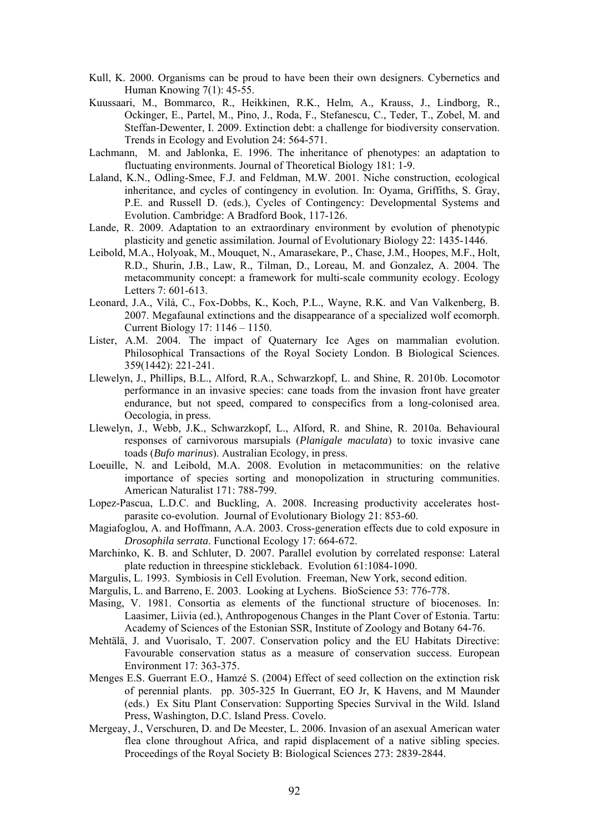- Kull, K. 2000. Organisms can be proud to have been their own designers. Cybernetics and Human Knowing 7(1): 45-55.
- Kuussaari, M., Bommarco, R., Heikkinen, R.K., Helm, A., Krauss, J., Lindborg, R., Ockinger, E., Partel, M., Pino, J., Roda, F., Stefanescu, C., Teder, T., Zobel, M. and Steffan-Dewenter, I. 2009. Extinction debt: a challenge for biodiversity conservation. Trends in Ecology and Evolution 24: 564-571.
- Lachmann, M. and Jablonka, E. 1996. The inheritance of phenotypes: an adaptation to fluctuating environments. Journal of Theoretical Biology 181: 1-9.
- Laland, K.N., Odling-Smee, F.J. and Feldman, M.W. 2001. Niche construction, ecological inheritance, and cycles of contingency in evolution. In: Oyama, Griffiths, S. Gray, P.E. and Russell D. (eds.), Cycles of Contingency: Developmental Systems and Evolution. Cambridge: A Bradford Book, 117-126.
- Lande, R. 2009. Adaptation to an extraordinary environment by evolution of phenotypic plasticity and genetic assimilation. Journal of Evolutionary Biology 22: 1435-1446.
- Leibold, M.A., Holyoak, M., Mouquet, N., Amarasekare, P., Chase, J.M., Hoopes, M.F., Holt, R.D., Shurin, J.B., Law, R., Tilman, D., Loreau, M. and Gonzalez, A. 2004. The metacommunity concept: a framework for multi-scale community ecology. Ecology Letters 7: 601-613.
- Leonard, J.A., Vilá, C., Fox-Dobbs, K., Koch, P.L., Wayne, R.K. and Van Valkenberg, B. 2007. Megafaunal extinctions and the disappearance of a specialized wolf ecomorph. Current Biology 17: 1146 – 1150.
- Lister, A.M. 2004. The impact of Quaternary Ice Ages on mammalian evolution. Philosophical Transactions of the Royal Society London. B Biological Sciences. 359(1442): 221-241.
- Llewelyn, J., Phillips, B.L., Alford, R.A., Schwarzkopf, L. and Shine, R. 2010b. Locomotor performance in an invasive species: cane toads from the invasion front have greater endurance, but not speed, compared to conspecifics from a long-colonised area. Oecologia, in press.
- Llewelyn, J., Webb, J.K., Schwarzkopf, L., Alford, R. and Shine, R. 2010a. Behavioural responses of carnivorous marsupials (*Planigale maculata*) to toxic invasive cane toads (*Bufo marinus*). Australian Ecology, in press.
- Loeuille, N. and Leibold, M.A. 2008. Evolution in metacommunities: on the relative importance of species sorting and monopolization in structuring communities. American Naturalist 171: 788-799.
- Lopez-Pascua, L.D.C. and Buckling, A. 2008. Increasing productivity accelerates hostparasite co-evolution. Journal of Evolutionary Biology 21: 853-60.
- Magiafoglou, A. and Hoffmann, A.A. 2003. Cross-generation effects due to cold exposure in *Drosophila serrata*. Functional Ecology 17: 664-672.
- Marchinko, K. B. and Schluter, D. 2007. Parallel evolution by correlated response: Lateral plate reduction in threespine stickleback. Evolution 61:1084-1090.
- Margulis, L. 1993. Symbiosis in Cell Evolution. Freeman, New York, second edition.
- Margulis, L. and Barreno, E. 2003. Looking at Lychens. BioScience 53: 776-778.
- Masing, V. 1981. Consortia as elements of the functional structure of biocenoses. In: Laasimer, Liivia (ed.), Anthropogenous Changes in the Plant Cover of Estonia. Tartu: Academy of Sciences of the Estonian SSR, Institute of Zoology and Botany 64-76.
- Mehtälä, J. and Vuorisalo, T. 2007. Conservation policy and the EU Habitats Directive: Favourable conservation status as a measure of conservation success. European Environment 17: 363-375.
- Menges E.S. Guerrant E.O., Hamzé S. (2004) Effect of seed collection on the extinction risk of perennial plants. pp. 305-325 In Guerrant, EO Jr, K Havens, and M Maunder (eds.) Ex Situ Plant Conservation: Supporting Species Survival in the Wild. Island Press, Washington, D.C. Island Press. Covelo.
- Mergeay, J., Verschuren, D. and De Meester, L. 2006. Invasion of an asexual American water flea clone throughout Africa, and rapid displacement of a native sibling species. Proceedings of the Royal Society B: Biological Sciences 273: 2839-2844.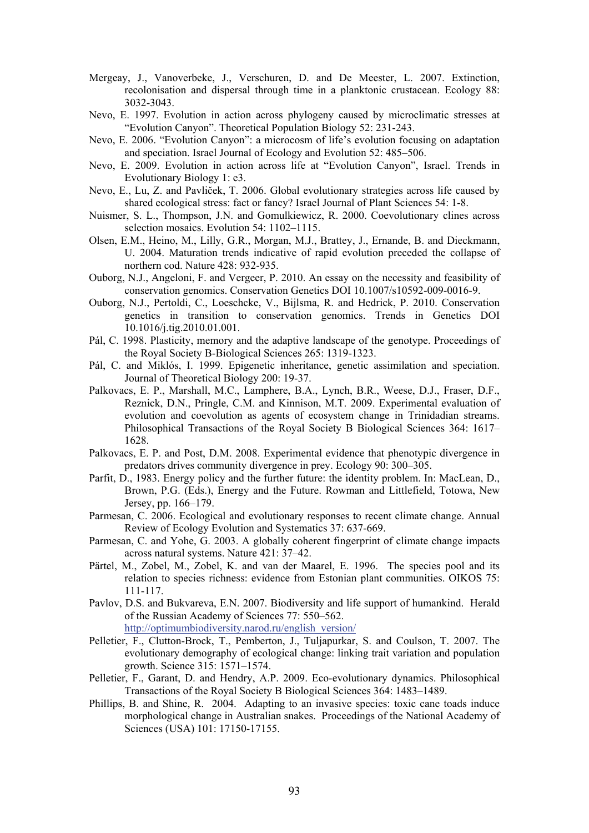- Mergeay, J., Vanoverbeke, J., Verschuren, D. and De Meester, L. 2007. Extinction, recolonisation and dispersal through time in a planktonic crustacean. Ecology 88: 3032-3043.
- Nevo, E. 1997. Evolution in action across phylogeny caused by microclimatic stresses at "Evolution Canyon". Theoretical Population Biology 52: 231-243.
- Nevo, E. 2006. "Evolution Canyon": a microcosm of life's evolution focusing on adaptation and speciation. Israel Journal of Ecology and Evolution 52: 485–506.
- Nevo, E. 2009. Evolution in action across life at "Evolution Canyon", Israel. Trends in Evolutionary Biology 1: e3.
- Nevo, E., Lu, Z. and Pavliček, T. 2006. Global evolutionary strategies across life caused by shared ecological stress: fact or fancy? Israel Journal of Plant Sciences 54: 1-8.
- Nuismer, S. L., Thompson, J.N. and Gomulkiewicz, R. 2000. Coevolutionary clines across selection mosaics. Evolution 54: 1102–1115.
- Olsen, E.M., Heino, M., Lilly, G.R., Morgan, M.J., Brattey, J., Ernande, B. and Dieckmann, U. 2004. Maturation trends indicative of rapid evolution preceded the collapse of northern cod. Nature 428: 932-935.
- Ouborg, N.J., Angeloni, F. and Vergeer, P. 2010. An essay on the necessity and feasibility of conservation genomics. Conservation Genetics DOI 10.1007/s10592-009-0016-9.
- Ouborg, N.J., Pertoldi, C., Loeschcke, V., Bijlsma, R. and Hedrick, P. 2010. Conservation genetics in transition to conservation genomics. Trends in Genetics DOI 10.1016/j.tig.2010.01.001.
- Pál, C. 1998. Plasticity, memory and the adaptive landscape of the genotype. Proceedings of the Royal Society B-Biological Sciences 265: 1319-1323.
- Pál, C. and Miklós, I. 1999. Epigenetic inheritance, genetic assimilation and speciation. Journal of Theoretical Biology 200: 19-37.
- Palkovacs, E. P., Marshall, M.C., Lamphere, B.A., Lynch, B.R., Weese, D.J., Fraser, D.F., Reznick, D.N., Pringle, C.M. and Kinnison, M.T. 2009. Experimental evaluation of evolution and coevolution as agents of ecosystem change in Trinidadian streams. Philosophical Transactions of the Royal Society B Biological Sciences 364: 1617– 1628.
- Palkovacs, E. P. and Post, D.M. 2008. Experimental evidence that phenotypic divergence in predators drives community divergence in prey. Ecology 90: 300–305.
- Parfit, D., 1983. Energy policy and the further future: the identity problem. In: MacLean, D., Brown, P.G. (Eds.), Energy and the Future. Rowman and Littlefield, Totowa, New Jersey, pp. 166–179.
- Parmesan, C. 2006. Ecological and evolutionary responses to recent climate change. Annual Review of Ecology Evolution and Systematics 37: 637-669.
- Parmesan, C. and Yohe, G. 2003. A globally coherent fingerprint of climate change impacts across natural systems. Nature 421: 37–42.
- Pärtel, M., Zobel, M., Zobel, K. and van der Maarel, E. 1996. The species pool and its relation to species richness: evidence from Estonian plant communities. OIKOS 75: 111-117.
- Pavlov, D.S. and Bukvareva, E.N. 2007. Biodiversity and life support of humankind. Herald of the Russian Academy of Sciences 77: 550–562. http://optimumbiodiversity.narod.ru/english\_version/
- Pelletier, F., Clutton-Brock, T., Pemberton, J., Tuljapurkar, S. and Coulson, T. 2007. The evolutionary demography of ecological change: linking trait variation and population growth. Science 315: 1571–1574.
- Pelletier, F., Garant, D. and Hendry, A.P. 2009. Eco-evolutionary dynamics. Philosophical Transactions of the Royal Society B Biological Sciences 364: 1483–1489.
- Phillips, B. and Shine, R. 2004. Adapting to an invasive species: toxic cane toads induce morphological change in Australian snakes. Proceedings of the National Academy of Sciences (USA) 101: 17150-17155.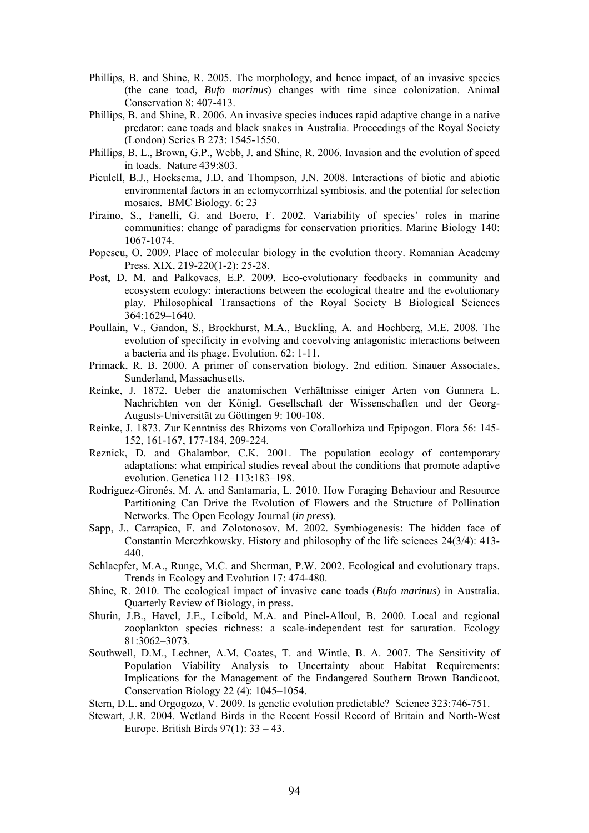- Phillips, B. and Shine, R. 2005. The morphology, and hence impact, of an invasive species (the cane toad, *Bufo marinus*) changes with time since colonization. Animal Conservation 8: 407-413.
- Phillips, B. and Shine, R. 2006. An invasive species induces rapid adaptive change in a native predator: cane toads and black snakes in Australia. Proceedings of the Royal Society (London) Series B 273: 1545-1550.
- Phillips, B. L., Brown, G.P., Webb, J. and Shine, R. 2006. Invasion and the evolution of speed in toads. Nature 439:803.
- Piculell, B.J., Hoeksema, J.D. and Thompson, J.N. 2008. Interactions of biotic and abiotic environmental factors in an ectomycorrhizal symbiosis, and the potential for selection mosaics. BMC Biology. 6: 23
- Piraino, S., Fanelli, G. and Boero, F. 2002. Variability of species' roles in marine communities: change of paradigms for conservation priorities. Marine Biology 140: 1067-1074.
- Popescu, O. 2009. Place of molecular biology in the evolution theory. Romanian Academy Press. XIX, 219-220(1-2): 25-28.
- Post, D. M. and Palkovacs, E.P. 2009. Eco-evolutionary feedbacks in community and ecosystem ecology: interactions between the ecological theatre and the evolutionary play. Philosophical Transactions of the Royal Society B Biological Sciences 364:1629–1640.
- Poullain, V., Gandon, S., Brockhurst, M.A., Buckling, A. and Hochberg, M.E. 2008. The evolution of specificity in evolving and coevolving antagonistic interactions between a bacteria and its phage. Evolution. 62: 1-11.
- Primack, R. B. 2000. A primer of conservation biology. 2nd edition. Sinauer Associates, Sunderland, Massachusetts.
- Reinke, J. 1872. Ueber die anatomischen Verhältnisse einiger Arten von Gunnera L. Nachrichten von der Königl. Gesellschaft der Wissenschaften und der Georg-Augusts-Universität zu Göttingen 9: 100-108.
- Reinke, J. 1873. Zur Kenntniss des Rhizoms von Corallorhiza und Epipogon. Flora 56: 145- 152, 161-167, 177-184, 209-224.
- Reznick, D. and Ghalambor, C.K. 2001. The population ecology of contemporary adaptations: what empirical studies reveal about the conditions that promote adaptive evolution. Genetica 112–113:183–198.
- Rodríguez-Gironés, M. A. and Santamaría, L. 2010. How Foraging Behaviour and Resource Partitioning Can Drive the Evolution of Flowers and the Structure of Pollination Networks. The Open Ecology Journal (*in press*).
- Sapp, J., Carrapico, F. and Zolotonosov, M. 2002. Symbiogenesis: The hidden face of Constantin Merezhkowsky. History and philosophy of the life sciences 24(3/4): 413- 440.
- Schlaepfer, M.A., Runge, M.C. and Sherman, P.W. 2002. Ecological and evolutionary traps. Trends in Ecology and Evolution 17: 474-480.
- Shine, R. 2010. The ecological impact of invasive cane toads (*Bufo marinus*) in Australia. Quarterly Review of Biology, in press.
- Shurin, J.B., Havel, J.E., Leibold, M.A. and Pinel-Alloul, B. 2000. Local and regional zooplankton species richness: a scale-independent test for saturation. Ecology 81:3062–3073.
- Southwell, D.M., Lechner, A.M, Coates, T. and Wintle, B. A. 2007. The Sensitivity of Population Viability Analysis to Uncertainty about Habitat Requirements: Implications for the Management of the Endangered Southern Brown Bandicoot, Conservation Biology 22 (4): 1045–1054.
- Stern, D.L. and Orgogozo, V. 2009. Is genetic evolution predictable? Science 323:746-751.
- Stewart, J.R. 2004. Wetland Birds in the Recent Fossil Record of Britain and North-West Europe. British Birds 97(1): 33 – 43.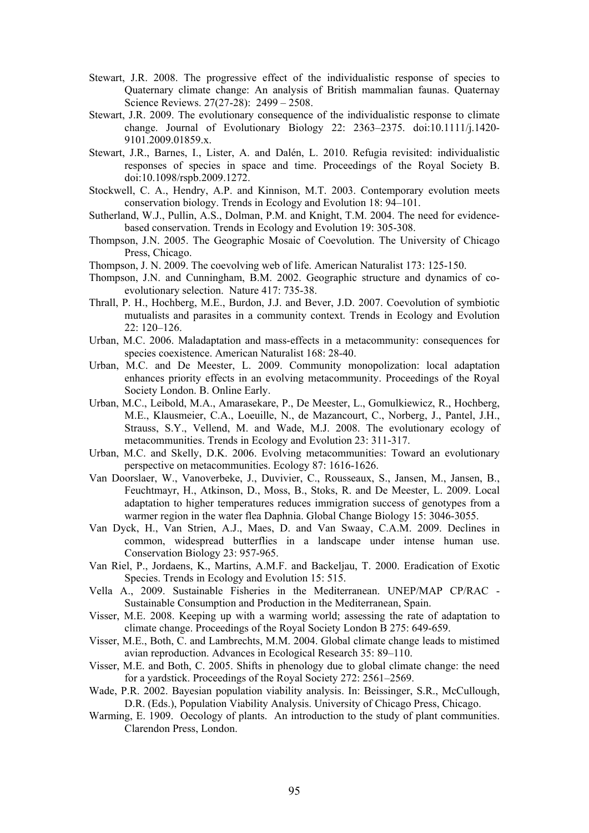- Stewart, J.R. 2008. The progressive effect of the individualistic response of species to Quaternary climate change: An analysis of British mammalian faunas. Quaternay Science Reviews. 27(27-28): 2499 – 2508.
- Stewart, J.R. 2009. The evolutionary consequence of the individualistic response to climate change. Journal of Evolutionary Biology 22: 2363–2375. doi:10.1111/j.1420- 9101.2009.01859.x.
- Stewart, J.R., Barnes, I., Lister, A. and Dalén, L. 2010. Refugia revisited: individualistic responses of species in space and time. Proceedings of the Royal Society B. doi:10.1098/rspb.2009.1272.
- Stockwell, C. A., Hendry, A.P. and Kinnison, M.T. 2003. Contemporary evolution meets conservation biology. Trends in Ecology and Evolution 18: 94–101.
- Sutherland, W.J., Pullin, A.S., Dolman, P.M. and Knight, T.M. 2004. The need for evidencebased conservation. Trends in Ecology and Evolution 19: 305-308.
- Thompson, J.N. 2005. The Geographic Mosaic of Coevolution. The University of Chicago Press, Chicago.
- Thompson, J. N. 2009. The coevolving web of life. American Naturalist 173: 125-150.
- Thompson, J.N. and Cunningham, B.M. 2002. Geographic structure and dynamics of coevolutionary selection. Nature 417: 735-38.
- Thrall, P. H., Hochberg, M.E., Burdon, J.J. and Bever, J.D. 2007. Coevolution of symbiotic mutualists and parasites in a community context. Trends in Ecology and Evolution 22: 120–126.
- Urban, M.C. 2006. Maladaptation and mass-effects in a metacommunity: consequences for species coexistence. American Naturalist 168: 28-40.
- Urban, M.C. and De Meester, L. 2009. Community monopolization: local adaptation enhances priority effects in an evolving metacommunity. Proceedings of the Royal Society London. B. Online Early.
- Urban, M.C., Leibold, M.A., Amarasekare, P., De Meester, L., Gomulkiewicz, R., Hochberg, M.E., Klausmeier, C.A., Loeuille, N., de Mazancourt, C., Norberg, J., Pantel, J.H., Strauss, S.Y., Vellend, M. and Wade, M.J. 2008. The evolutionary ecology of metacommunities. Trends in Ecology and Evolution 23: 311-317.
- Urban, M.C. and Skelly, D.K. 2006. Evolving metacommunities: Toward an evolutionary perspective on metacommunities. Ecology 87: 1616-1626.
- Van Doorslaer, W., Vanoverbeke, J., Duvivier, C., Rousseaux, S., Jansen, M., Jansen, B., Feuchtmayr, H., Atkinson, D., Moss, B., Stoks, R. and De Meester, L. 2009. Local adaptation to higher temperatures reduces immigration success of genotypes from a warmer region in the water flea Daphnia. Global Change Biology 15: 3046-3055.
- Van Dyck, H., Van Strien, A.J., Maes, D. and Van Swaay, C.A.M. 2009. Declines in common, widespread butterflies in a landscape under intense human use. Conservation Biology 23: 957-965.
- Van Riel, P., Jordaens, K., Martins, A.M.F. and Backeljau, T. 2000. Eradication of Exotic Species. Trends in Ecology and Evolution 15: 515.
- Vella A., 2009. Sustainable Fisheries in the Mediterranean. UNEP/MAP CP/RAC Sustainable Consumption and Production in the Mediterranean, Spain.
- Visser, M.E. 2008. Keeping up with a warming world; assessing the rate of adaptation to climate change. Proceedings of the Royal Society London B 275: 649-659.
- Visser, M.E., Both, C. and Lambrechts, M.M. 2004. Global climate change leads to mistimed avian reproduction. Advances in Ecological Research 35: 89–110.
- Visser, M.E. and Both, C. 2005. Shifts in phenology due to global climate change: the need for a yardstick. Proceedings of the Royal Society 272: 2561–2569.
- Wade, P.R. 2002. Bayesian population viability analysis. In: Beissinger, S.R., McCullough, D.R. (Eds.), Population Viability Analysis. University of Chicago Press, Chicago.
- Warming, E. 1909. Oecology of plants. An introduction to the study of plant communities. Clarendon Press, London.